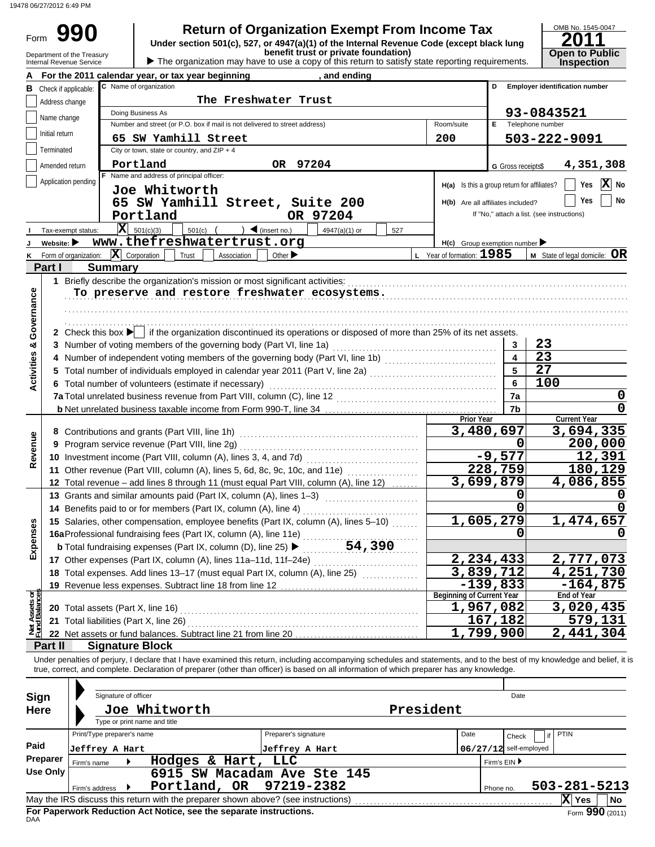19478 06/27/2012 6:49 PM

Form

**990 a** Return of Organization Exempt From Income Tax **Promed Solution Code (except black lung 2011** 

Department of the Treasury **benefit trust or private foundation)**<br>Internal Revenue Service **Depart of the Organization may have to use a copy of this return to satisfy state reporting requirements. <b>Inspection** 

| OMB No. 1545-0047                    |
|--------------------------------------|
| 2011                                 |
|                                      |
|                                      |
| <b>Open to Public<br/>Inspection</b> |

|                                |                                | <b>Product the organization may have to doo a oopy or this retain to bationy otato reporting requirements.</b><br>For the 2011 calendar year, or tax year beginning<br>, and ending |                                             |                    |                                            |
|--------------------------------|--------------------------------|-------------------------------------------------------------------------------------------------------------------------------------------------------------------------------------|---------------------------------------------|--------------------|--------------------------------------------|
|                                | <b>B</b> Check if applicable:  | C Name of organization                                                                                                                                                              |                                             | D                  | <b>Employer identification number</b>      |
|                                | Address change                 | The Freshwater Trust                                                                                                                                                                |                                             |                    |                                            |
|                                |                                | Doing Business As                                                                                                                                                                   |                                             |                    | 93-0843521                                 |
|                                | Name change                    | Number and street (or P.O. box if mail is not delivered to street address)                                                                                                          | Room/suite                                  |                    | E Telephone number                         |
|                                | Initial return                 | 65 SW Yamhill Street                                                                                                                                                                | 200                                         |                    | 503-222-9091                               |
|                                | Terminated                     | City or town, state or country, and $ZIP + 4$                                                                                                                                       |                                             |                    |                                            |
|                                | Amended return                 | OR 97204<br>Portland                                                                                                                                                                |                                             | G Gross receipts\$ | 4,351,308                                  |
|                                |                                | F Name and address of principal officer:                                                                                                                                            |                                             |                    |                                            |
|                                | Application pending            | Joe Whitworth                                                                                                                                                                       | H(a) Is this a group return for affiliates? |                    | X No<br>Yes                                |
|                                |                                | 65 SW Yamhill Street, Suite 200                                                                                                                                                     | H(b) Are all affiliates included?           |                    | Yes<br>No                                  |
|                                |                                | Portland<br>OR 97204                                                                                                                                                                |                                             |                    | If "No," attach a list. (see instructions) |
|                                | Tax-exempt status:             | $\mathbf{X}$ 501(c)(3)<br>$\sum$ (insert no.)<br>$501(c)$ (<br>4947(a)(1) or<br>527                                                                                                 |                                             |                    |                                            |
|                                | Website: $\blacktriangleright$ | www.thefreshwatertrust.org                                                                                                                                                          | $H(c)$ Group exemption number               |                    |                                            |
| ĸ                              | Form of organization:          | $ \mathbf{X} $ Corporation<br>Trust<br>Association<br>Other $\blacktriangleright$                                                                                                   | L Year of formation: 1985                   |                    | $M$ State of legal domicile: $OR$          |
|                                | Part I                         | <b>Summary</b>                                                                                                                                                                      |                                             |                    |                                            |
|                                |                                | 1 Briefly describe the organization's mission or most significant activities:                                                                                                       |                                             |                    |                                            |
|                                |                                | To preserve and restore freshwater ecosystems.                                                                                                                                      |                                             |                    |                                            |
|                                |                                |                                                                                                                                                                                     |                                             |                    |                                            |
|                                |                                |                                                                                                                                                                                     |                                             |                    |                                            |
| Governance                     |                                | 2 Check this box $\blacktriangleright$ if the organization discontinued its operations or disposed of more than 25% of its net assets.                                              |                                             |                    |                                            |
|                                |                                | 3 Number of voting members of the governing body (Part VI, line 1a)                                                                                                                 |                                             | 3                  | 23                                         |
|                                |                                |                                                                                                                                                                                     |                                             | 4                  | $\overline{23}$                            |
|                                |                                | 5 Total number of individuals employed in calendar year 2011 (Part V, line 2a) [11] [11] [11] Total number of individuals employed in calendar year 2011 (Part V, line 2a)          |                                             | 5                  | $\overline{27}$                            |
| <b>Activities &amp;</b>        |                                | 6 Total number of volunteers (estimate if necessary)                                                                                                                                |                                             | 6                  | 100                                        |
|                                |                                | 7a Total unrelated business revenue from Part VIII, column (C), line 12                                                                                                             |                                             | 7a                 | 0                                          |
|                                |                                | b Net unrelated business taxable income from Form 990-T, line 34                                                                                                                    |                                             | 7b                 | 0                                          |
|                                |                                |                                                                                                                                                                                     | Prior Year                                  |                    | <b>Current Year</b>                        |
|                                |                                | 8 Contributions and grants (Part VIII, line 1h)                                                                                                                                     | 3,480,697                                   |                    | 3,694,335                                  |
| Revenue                        | 9                              | Program service revenue (Part VIII, line 2g)                                                                                                                                        |                                             |                    | 200,000                                    |
|                                |                                |                                                                                                                                                                                     |                                             | $-9,577$           | 12,391                                     |
|                                |                                | 11 Other revenue (Part VIII, column (A), lines 5, 6d, 8c, 9c, 10c, and 11e)                                                                                                         |                                             | 228,759            | 180,129                                    |
|                                |                                | 12 Total revenue - add lines 8 through 11 (must equal Part VIII, column (A), line 12)                                                                                               | 3,699,879                                   |                    | 4,086,855                                  |
|                                |                                | 13 Grants and similar amounts paid (Part IX, column (A), lines 1-3)                                                                                                                 |                                             |                    |                                            |
|                                |                                | 14 Benefits paid to or for members (Part IX, column (A), line 4)                                                                                                                    |                                             |                    |                                            |
|                                |                                | 15 Salaries, other compensation, employee benefits (Part IX, column (A), lines 5-10)                                                                                                | 1,605,279                                   |                    | 1,474,657                                  |
| enses                          |                                | 16a Professional fundraising fees (Part IX, column (A), line 11e)                                                                                                                   |                                             |                    |                                            |
| Expr                           |                                |                                                                                                                                                                                     |                                             |                    |                                            |
|                                |                                | 17 Other expenses (Part IX, column (A), lines 11a-11d, 11f-24e)                                                                                                                     | 2,234,433                                   |                    | 2,777,073                                  |
|                                |                                | 18 Total expenses. Add lines 13-17 (must equal Part IX, column (A), line 25) [                                                                                                      | 3,839,712                                   |                    | 4,251,730                                  |
|                                |                                | 19 Revenue less expenses. Subtract line 18 from line 12                                                                                                                             |                                             | $-139,833$         | $-164,875$                                 |
|                                |                                |                                                                                                                                                                                     | <b>Beginning of Current Year</b>            |                    | End of Year                                |
| Net Assets or<br>Fund Balances |                                |                                                                                                                                                                                     | 1,967,082                                   |                    | 3,020,435                                  |
|                                |                                | 21 Total liabilities (Part X, line 26)                                                                                                                                              |                                             | 167,182            | 579,131                                    |
|                                |                                | 22 Net assets or fund balances. Subtract line 21 from line 20                                                                                                                       | 1,799,900                                   |                    | 2,441,304                                  |
|                                | Part II                        | <b>Signature Block</b>                                                                                                                                                              |                                             |                    |                                            |

Under penalties of perjury, I declare that I have examined this return, including accompanying schedules and statements, and to the best of my knowledge and belief, it is true, correct, and complete. Declaration of preparer (other than officer) is based on all information of which preparer has any knowledge.

| Sign        | Signature of officer       |                                                                    |                                                                                   |           |                          | Date         |  |                 |                 |  |
|-------------|----------------------------|--------------------------------------------------------------------|-----------------------------------------------------------------------------------|-----------|--------------------------|--------------|--|-----------------|-----------------|--|
| <b>Here</b> |                            | Joe Whitworth                                                      |                                                                                   | President |                          |              |  |                 |                 |  |
|             | Print/Type preparer's name | Type or print name and title                                       | Preparer's signature                                                              |           | Date                     | Check        |  | <b>PTIN</b>     |                 |  |
| Paid        | Jeffrey A Hart             |                                                                    | Jeffrey A Hart                                                                    |           | $06/27/12$ self-employed |              |  |                 |                 |  |
| Preparer    | Firm's name                | Hodges & Hart, LLC                                                 |                                                                                   |           |                          | Firm's EIN ▶ |  |                 |                 |  |
| Use Only    | Firm's address             |                                                                    | 6915 SW Macadam Ave Ste 145<br>Portland, OR 97219-2382                            |           |                          | Phone no.    |  | 503-281-5213    |                 |  |
|             |                            |                                                                    | May the IRS discuss this return with the preparer shown above? (see instructions) |           |                          |              |  | X<br><b>Yes</b> | <b>No</b>       |  |
| <b>DAA</b>  |                            | For Paperwork Reduction Act Notice, see the separate instructions. |                                                                                   |           |                          |              |  |                 | Form 990 (2011) |  |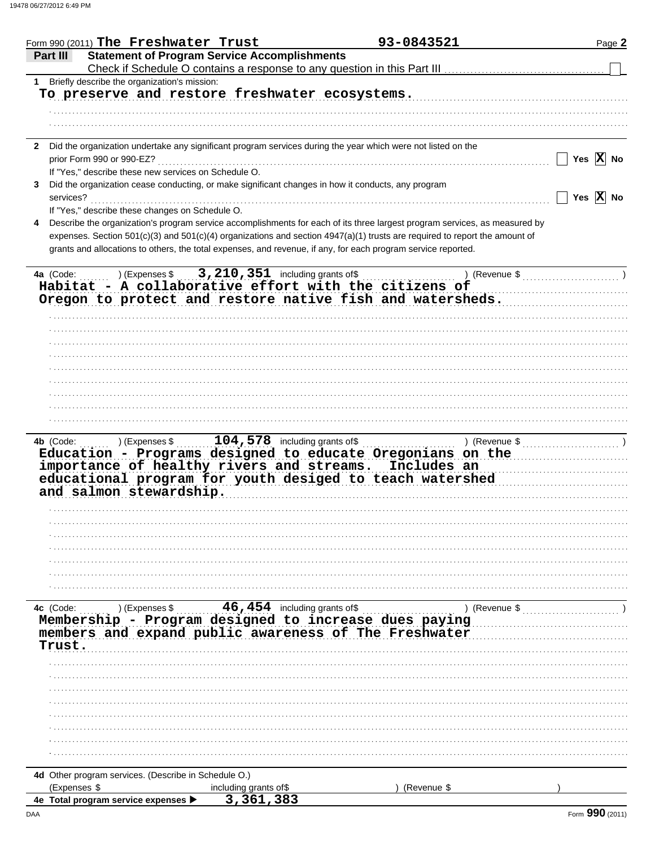|           | Form 990 (2011) The Freshwater Trust                 |                                                                                                    | 93-0843521                                                                                                                 | Page 2                |
|-----------|------------------------------------------------------|----------------------------------------------------------------------------------------------------|----------------------------------------------------------------------------------------------------------------------------|-----------------------|
| Part III  |                                                      | <b>Statement of Program Service Accomplishments</b>                                                |                                                                                                                            |                       |
|           |                                                      |                                                                                                    |                                                                                                                            |                       |
| 1         | Briefly describe the organization's mission:         |                                                                                                    |                                                                                                                            |                       |
|           |                                                      | To preserve and restore freshwater ecosystems.                                                     |                                                                                                                            |                       |
|           |                                                      |                                                                                                    |                                                                                                                            |                       |
|           |                                                      |                                                                                                    |                                                                                                                            |                       |
|           |                                                      |                                                                                                    |                                                                                                                            |                       |
|           |                                                      |                                                                                                    | 2 Did the organization undertake any significant program services during the year which were not listed on the             |                       |
|           | prior Form 990 or 990-EZ?                            |                                                                                                    |                                                                                                                            | Yes $\overline{X}$ No |
|           |                                                      |                                                                                                    |                                                                                                                            |                       |
|           | If "Yes," describe these new services on Schedule O. |                                                                                                    |                                                                                                                            |                       |
|           |                                                      | Did the organization cease conducting, or make significant changes in how it conducts, any program |                                                                                                                            |                       |
| services? |                                                      |                                                                                                    |                                                                                                                            | Yes $\overline{X}$ No |
|           | If "Yes," describe these changes on Schedule O.      |                                                                                                    |                                                                                                                            |                       |
| 4         |                                                      |                                                                                                    | Describe the organization's program service accomplishments for each of its three largest program services, as measured by |                       |
|           |                                                      |                                                                                                    | expenses. Section 501(c)(3) and 501(c)(4) organizations and section 4947(a)(1) trusts are required to report the amount of |                       |
|           |                                                      |                                                                                                    | grants and allocations to others, the total expenses, and revenue, if any, for each program service reported.              |                       |
|           |                                                      |                                                                                                    |                                                                                                                            |                       |
| 4a (Code: | ) (Expenses \$                                       | $3,210,351$ including grants of \$                                                                 | ) (Revenue $\frac{1}{2}$ (Revenue $\frac{1}{2}$ )                                                                          |                       |
|           |                                                      |                                                                                                    | Habitat - A collaborative effort with the citizens of                                                                      |                       |
|           |                                                      |                                                                                                    | Oregon to protect and restore native fish and watersheds.                                                                  |                       |
|           |                                                      |                                                                                                    |                                                                                                                            |                       |
|           |                                                      |                                                                                                    |                                                                                                                            |                       |
|           |                                                      |                                                                                                    |                                                                                                                            |                       |
|           |                                                      |                                                                                                    |                                                                                                                            |                       |
|           |                                                      |                                                                                                    |                                                                                                                            |                       |
|           |                                                      |                                                                                                    |                                                                                                                            |                       |
|           |                                                      |                                                                                                    |                                                                                                                            |                       |
|           |                                                      |                                                                                                    |                                                                                                                            |                       |
|           |                                                      |                                                                                                    |                                                                                                                            |                       |
|           |                                                      |                                                                                                    |                                                                                                                            |                       |
|           |                                                      |                                                                                                    |                                                                                                                            |                       |
| 4b (Code: | ) (Expenses \$                                       | $104,578$ including grants of \$                                                                   | ) (Revenue $\frac{1}{2}$ (Revenue $\frac{1}{2}$ (Revenue $\frac{1}{2}$ )                                                   |                       |
|           |                                                      |                                                                                                    | Education - Programs designed to educate Oregonians on the                                                                 |                       |
|           |                                                      |                                                                                                    | importance of healthy rivers and streams. Includes an                                                                      |                       |
|           |                                                      |                                                                                                    | educational program for youth desiged to teach watershed                                                                   |                       |
|           | and salmon stewardship.                              |                                                                                                    |                                                                                                                            |                       |
|           |                                                      |                                                                                                    |                                                                                                                            |                       |
|           |                                                      |                                                                                                    |                                                                                                                            |                       |
|           |                                                      |                                                                                                    |                                                                                                                            |                       |
|           |                                                      |                                                                                                    |                                                                                                                            |                       |
|           |                                                      |                                                                                                    |                                                                                                                            |                       |
|           |                                                      |                                                                                                    |                                                                                                                            |                       |
|           |                                                      |                                                                                                    |                                                                                                                            |                       |
|           |                                                      |                                                                                                    |                                                                                                                            |                       |
|           |                                                      |                                                                                                    |                                                                                                                            |                       |
| 4c (Code: | ) (Expenses \$                                       | 46,454 including grants of \$                                                                      | ) (Revenue \$                                                                                                              |                       |
|           |                                                      |                                                                                                    | Membership - Program designed to increase dues paying<br>members and expand public awareness of The Freshwater             |                       |
|           |                                                      |                                                                                                    |                                                                                                                            |                       |
|           |                                                      |                                                                                                    |                                                                                                                            |                       |
| Trust.    |                                                      |                                                                                                    |                                                                                                                            |                       |
|           |                                                      |                                                                                                    |                                                                                                                            |                       |
|           |                                                      |                                                                                                    |                                                                                                                            |                       |
|           |                                                      |                                                                                                    |                                                                                                                            |                       |
|           |                                                      |                                                                                                    |                                                                                                                            |                       |
|           |                                                      |                                                                                                    |                                                                                                                            |                       |
|           |                                                      |                                                                                                    |                                                                                                                            |                       |
|           |                                                      |                                                                                                    |                                                                                                                            |                       |
|           |                                                      |                                                                                                    |                                                                                                                            |                       |
|           |                                                      |                                                                                                    |                                                                                                                            |                       |
|           |                                                      |                                                                                                    |                                                                                                                            |                       |
|           | 4d Other program services. (Describe in Schedule O.) |                                                                                                    |                                                                                                                            |                       |
|           |                                                      |                                                                                                    |                                                                                                                            |                       |
|           | (Expenses \$<br>4e Total program service expenses >  | including grants of\$<br>3,361,383                                                                 | (Revenue \$                                                                                                                |                       |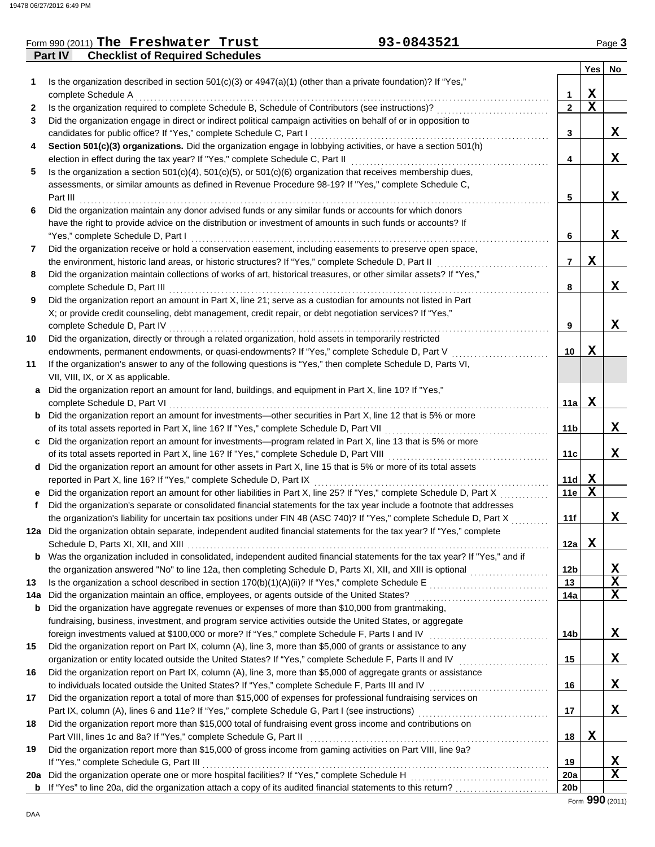## **Part IV Checklist of Required Schedules** Form 990 (2011) The Freshwater Trust **93-0843521** Page 3

|     |                                                                                                                                                                                                                             |                 | <b>Yes</b> | No |
|-----|-----------------------------------------------------------------------------------------------------------------------------------------------------------------------------------------------------------------------------|-----------------|------------|----|
| 1   | Is the organization described in section $501(c)(3)$ or $4947(a)(1)$ (other than a private foundation)? If "Yes,"                                                                                                           |                 |            |    |
|     | complete Schedule A                                                                                                                                                                                                         | 1               | х          |    |
| 2   | Is the organization required to complete Schedule B, Schedule of Contributors (see instructions)?                                                                                                                           | $\mathbf{2}$    | х          |    |
| 3   | Did the organization engage in direct or indirect political campaign activities on behalf of or in opposition to                                                                                                            |                 |            |    |
|     | candidates for public office? If "Yes," complete Schedule C, Part I                                                                                                                                                         | 3               |            | X. |
| 4   | Section 501(c)(3) organizations. Did the organization engage in lobbying activities, or have a section 501(h)                                                                                                               |                 |            |    |
|     |                                                                                                                                                                                                                             | 4               |            | X  |
| 5   | Is the organization a section $501(c)(4)$ , $501(c)(5)$ , or $501(c)(6)$ organization that receives membership dues,                                                                                                        |                 |            |    |
|     | assessments, or similar amounts as defined in Revenue Procedure 98-19? If "Yes," complete Schedule C,                                                                                                                       |                 |            |    |
|     | Part III                                                                                                                                                                                                                    | 5               |            | X. |
| 6   | Did the organization maintain any donor advised funds or any similar funds or accounts for which donors                                                                                                                     |                 |            |    |
|     | have the right to provide advice on the distribution or investment of amounts in such funds or accounts? If                                                                                                                 |                 |            |    |
|     | "Yes," complete Schedule D, Part I                                                                                                                                                                                          | 6               |            | X. |
| 7   | Did the organization receive or hold a conservation easement, including easements to preserve open space,                                                                                                                   | $\overline{7}$  | x          |    |
| 8   | the environment, historic land areas, or historic structures? If "Yes," complete Schedule D, Part II<br>Did the organization maintain collections of works of art, historical treasures, or other similar assets? If "Yes," |                 |            |    |
|     | complete Schedule D, Part III                                                                                                                                                                                               | 8               |            | X  |
| 9   | Did the organization report an amount in Part X, line 21; serve as a custodian for amounts not listed in Part                                                                                                               |                 |            |    |
|     | X; or provide credit counseling, debt management, credit repair, or debt negotiation services? If "Yes,"                                                                                                                    |                 |            |    |
|     |                                                                                                                                                                                                                             | 9               |            | X. |
| 10  | Did the organization, directly or through a related organization, hold assets in temporarily restricted                                                                                                                     |                 |            |    |
|     | endowments, permanent endowments, or quasi-endowments? If "Yes," complete Schedule D, Part V                                                                                                                                | 10              | x          |    |
| 11  | If the organization's answer to any of the following questions is "Yes," then complete Schedule D, Parts VI,                                                                                                                |                 |            |    |
|     | VII, VIII, IX, or X as applicable.                                                                                                                                                                                          |                 |            |    |
|     | a Did the organization report an amount for land, buildings, and equipment in Part X, line 10? If "Yes,"                                                                                                                    |                 |            |    |
|     | complete Schedule D, Part VI                                                                                                                                                                                                | 11a l           | x          |    |
|     | <b>b</b> Did the organization report an amount for investments—other securities in Part X, line 12 that is 5% or more                                                                                                       |                 |            |    |
|     | of its total assets reported in Part X, line 16? If "Yes," complete Schedule D, Part VII [[[[[[[[[[[[[[[[[[[[[                                                                                                              | 11b             |            | X. |
|     | c Did the organization report an amount for investments—program related in Part X, line 13 that is 5% or more                                                                                                               |                 |            |    |
|     | of its total assets reported in Part X, line 16? If "Yes," complete Schedule D, Part VIII [[[[[[[[[[[[[[[[[[[[                                                                                                              | 11c             |            | X  |
|     | d Did the organization report an amount for other assets in Part X, line 15 that is 5% or more of its total assets<br>reported in Part X, line 16? If "Yes," complete Schedule D, Part IX                                   | 11d             | x          |    |
|     | Did the organization report an amount for other liabilities in Part X, line 25? If "Yes," complete Schedule D, Part X                                                                                                       | 11e             | X          |    |
| f   | Did the organization's separate or consolidated financial statements for the tax year include a footnote that addresses                                                                                                     |                 |            |    |
|     | the organization's liability for uncertain tax positions under FIN 48 (ASC 740)? If "Yes," complete Schedule D, Part X                                                                                                      | 11f             |            | X  |
|     | 12a Did the organization obtain separate, independent audited financial statements for the tax year? If "Yes," complete                                                                                                     |                 |            |    |
|     |                                                                                                                                                                                                                             | 12a             | x          |    |
| b   | Was the organization included in consolidated, independent audited financial statements for the tax year? If "Yes," and if                                                                                                  |                 |            |    |
|     |                                                                                                                                                                                                                             | 12 <sub>b</sub> |            | X  |
| 13  |                                                                                                                                                                                                                             | 13              |            | X  |
| 14a |                                                                                                                                                                                                                             | 14a             |            | X  |
| b   | Did the organization have aggregate revenues or expenses of more than \$10,000 from grantmaking,                                                                                                                            |                 |            |    |
|     | fundraising, business, investment, and program service activities outside the United States, or aggregate                                                                                                                   |                 |            |    |
|     | foreign investments valued at \$100,000 or more? If "Yes," complete Schedule F, Parts I and IV [[[[[[[[[[[[[[[                                                                                                              | 14b             |            | X  |
| 15  | Did the organization report on Part IX, column (A), line 3, more than \$5,000 of grants or assistance to any                                                                                                                |                 |            |    |
|     |                                                                                                                                                                                                                             | 15              |            | X  |
| 16  | Did the organization report on Part IX, column (A), line 3, more than \$5,000 of aggregate grants or assistance                                                                                                             |                 |            |    |
|     | to individuals located outside the United States? If "Yes," complete Schedule F, Parts III and IV [[[[[[[[[[[                                                                                                               | 16              |            | X  |
| 17  | Did the organization report a total of more than \$15,000 of expenses for professional fundraising services on                                                                                                              | 17              |            | X  |
| 18  | Did the organization report more than \$15,000 total of fundraising event gross income and contributions on                                                                                                                 |                 |            |    |
|     | Part VIII, lines 1c and 8a? If "Yes," complete Schedule G, Part II                                                                                                                                                          | 18              | X          |    |
| 19  | Did the organization report more than \$15,000 of gross income from gaming activities on Part VIII, line 9a?                                                                                                                |                 |            |    |
|     | If "Yes," complete Schedule G, Part III                                                                                                                                                                                     | 19              |            | X  |
| 20a |                                                                                                                                                                                                                             | 20a             |            | X  |
|     |                                                                                                                                                                                                                             | 20 <sub>b</sub> |            |    |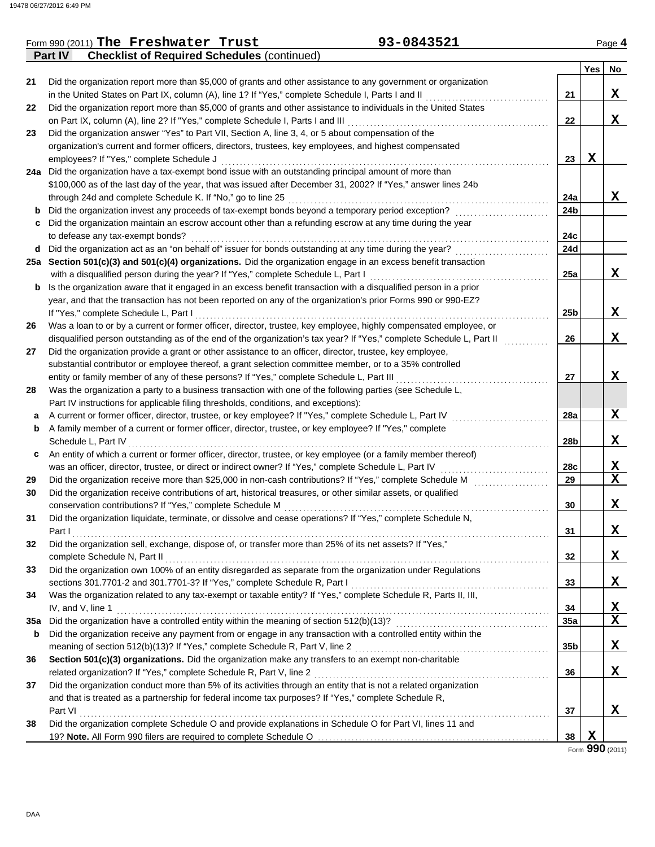|     | 93-0843521<br>Form 990 (2011) The Freshwater Trust                                                                   |                 |     | Page 4       |
|-----|----------------------------------------------------------------------------------------------------------------------|-----------------|-----|--------------|
|     | <b>Checklist of Required Schedules (continued)</b><br><b>Part IV</b>                                                 |                 |     |              |
|     |                                                                                                                      |                 | Yes | No           |
| 21  | Did the organization report more than \$5,000 of grants and other assistance to any government or organization       |                 |     |              |
|     | in the United States on Part IX, column (A), line 1? If "Yes," complete Schedule I, Parts I and II                   | 21              |     | X            |
| 22  | Did the organization report more than \$5,000 of grants and other assistance to individuals in the United States     |                 |     |              |
|     | on Part IX, column (A), line 2? If "Yes," complete Schedule I, Parts I and III                                       | 22              |     | X            |
| 23  | Did the organization answer "Yes" to Part VII, Section A, line 3, 4, or 5 about compensation of the                  |                 |     |              |
|     | organization's current and former officers, directors, trustees, key employees, and highest compensated              |                 |     |              |
|     | employees? If "Yes," complete Schedule J                                                                             | 23              | X   |              |
|     | 24a Did the organization have a tax-exempt bond issue with an outstanding principal amount of more than              |                 |     |              |
|     | \$100,000 as of the last day of the year, that was issued after December 31, 2002? If "Yes," answer lines 24b        |                 |     |              |
|     | through 24d and complete Schedule K. If "No," go to line 25                                                          | 24a             |     | X            |
| b   | Did the organization invest any proceeds of tax-exempt bonds beyond a temporary period exception?                    | 24b             |     |              |
| с   | Did the organization maintain an escrow account other than a refunding escrow at any time during the year            |                 |     |              |
|     | to defease any tax-exempt bonds?                                                                                     | 24c             |     |              |
|     |                                                                                                                      | 24d             |     |              |
| d   | Did the organization act as an "on behalf of" issuer for bonds outstanding at any time during the year?              |                 |     |              |
|     | 25a Section 501(c)(3) and 501(c)(4) organizations. Did the organization engage in an excess benefit transaction      |                 |     |              |
|     | with a disqualified person during the year? If "Yes," complete Schedule L, Part I                                    | 25a             |     | X            |
| b   | Is the organization aware that it engaged in an excess benefit transaction with a disqualified person in a prior     |                 |     |              |
|     | year, and that the transaction has not been reported on any of the organization's prior Forms 990 or 990-EZ?         |                 |     |              |
|     | If "Yes," complete Schedule L, Part I                                                                                | 25 <sub>b</sub> |     | X            |
| 26  | Was a loan to or by a current or former officer, director, trustee, key employee, highly compensated employee, or    |                 |     |              |
|     | disqualified person outstanding as of the end of the organization's tax year? If "Yes," complete Schedule L, Part II | 26              |     | X            |
| 27  | Did the organization provide a grant or other assistance to an officer, director, trustee, key employee,             |                 |     |              |
|     | substantial contributor or employee thereof, a grant selection committee member, or to a 35% controlled              |                 |     |              |
|     | entity or family member of any of these persons? If "Yes," complete Schedule L, Part III                             | 27              |     | X            |
| 28  | Was the organization a party to a business transaction with one of the following parties (see Schedule L,            |                 |     |              |
|     | Part IV instructions for applicable filing thresholds, conditions, and exceptions):                                  |                 |     |              |
| а   | A current or former officer, director, trustee, or key employee? If "Yes," complete Schedule L, Part IV              | 28a             |     | X            |
| b   | A family member of a current or former officer, director, trustee, or key employee? If "Yes," complete               |                 |     |              |
|     | Schedule L, Part IV                                                                                                  | 28b             |     | X            |
| c   | An entity of which a current or former officer, director, trustee, or key employee (or a family member thereof)      |                 |     |              |
|     | was an officer, director, trustee, or direct or indirect owner? If "Yes," complete Schedule L, Part IV               | 28c             |     | X            |
| 29  | Did the organization receive more than \$25,000 in non-cash contributions? If "Yes," complete Schedule M             | 29              |     | $\mathbf x$  |
| 30  | Did the organization receive contributions of art, historical treasures, or other similar assets, or qualified       |                 |     |              |
|     | conservation contributions? If "Yes," complete Schedule M                                                            | 30              |     | X            |
| 31  | Did the organization liquidate, terminate, or dissolve and cease operations? If "Yes," complete Schedule N,          |                 |     |              |
|     | Part I                                                                                                               | 31              |     | X            |
| 32  | Did the organization sell, exchange, dispose of, or transfer more than 25% of its net assets? If "Yes,"              |                 |     |              |
|     | complete Schedule N, Part II                                                                                         | 32              |     | X            |
| 33  | Did the organization own 100% of an entity disregarded as separate from the organization under Regulations           |                 |     |              |
|     | sections 301.7701-2 and 301.7701-3? If "Yes," complete Schedule R, Part I                                            | 33              |     | X            |
| 34  | Was the organization related to any tax-exempt or taxable entity? If "Yes," complete Schedule R, Parts II, III,      |                 |     |              |
|     | IV, and V, line 1                                                                                                    | 34              |     | $\mathbf{x}$ |
| 35a | Did the organization have a controlled entity within the meaning of section 512(b)(13)?                              | 35a             |     | $\mathbf X$  |
| b   | Did the organization receive any payment from or engage in any transaction with a controlled entity within the       |                 |     |              |
|     | meaning of section 512(b)(13)? If "Yes," complete Schedule R, Part V, line 2                                         | 35b             |     | X            |
|     | Section 501(c)(3) organizations. Did the organization make any transfers to an exempt non-charitable                 |                 |     |              |
| 36  |                                                                                                                      |                 |     |              |
|     | related organization? If "Yes," complete Schedule R, Part V, line 2                                                  | 36              |     | X            |
| 37  | Did the organization conduct more than 5% of its activities through an entity that is not a related organization     |                 |     |              |
|     | and that is treated as a partnership for federal income tax purposes? If "Yes," complete Schedule R,                 |                 |     |              |
|     | Part VI                                                                                                              | 37              |     | x            |
| 38  | Did the organization complete Schedule O and provide explanations in Schedule O for Part VI, lines 11 and            |                 |     |              |
|     |                                                                                                                      | 38              | X   |              |

Form **990** (2011)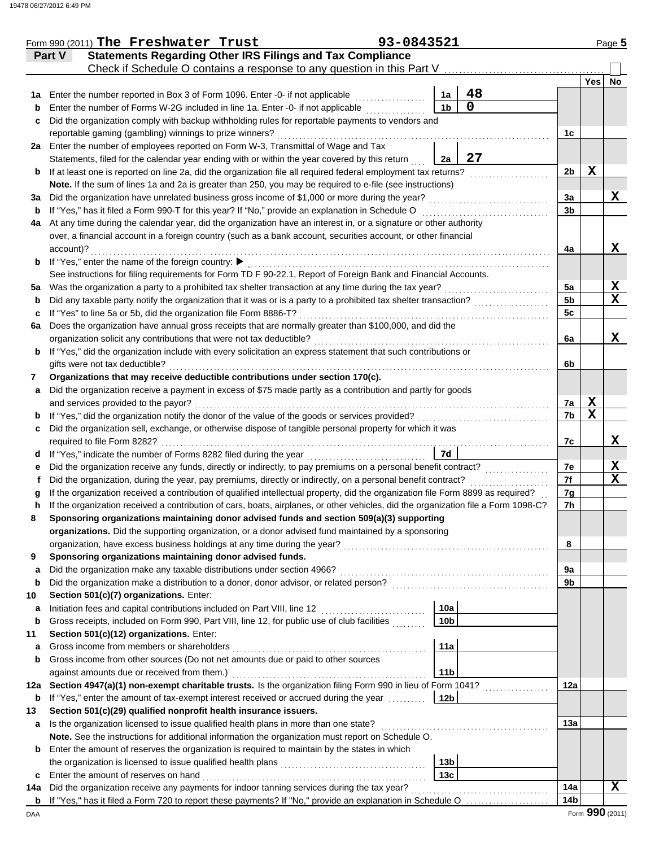|     | Form 990 (2011) The Freshwater Trust                                                                                               | 93-0843521 |                 |             |                 |     | Page 5          |
|-----|------------------------------------------------------------------------------------------------------------------------------------|------------|-----------------|-------------|-----------------|-----|-----------------|
|     | <b>Statements Regarding Other IRS Filings and Tax Compliance</b><br>Part V                                                         |            |                 |             |                 |     |                 |
|     | Check if Schedule O contains a response to any question in this Part V                                                             |            |                 |             |                 |     |                 |
|     |                                                                                                                                    |            |                 |             |                 | Yes | No              |
| 1a  | Enter the number reported in Box 3 of Form 1096. Enter -0- if not applicable                                                       |            | 1a              | 48          |                 |     |                 |
| b   | Enter the number of Forms W-2G included in line 1a. Enter -0- if not applicable                                                    |            | 1 <sub>b</sub>  | $\mathbf 0$ |                 |     |                 |
| c   | Did the organization comply with backup withholding rules for reportable payments to vendors and                                   |            |                 |             |                 |     |                 |
|     | reportable gaming (gambling) winnings to prize winners?                                                                            |            |                 |             | 1c              |     |                 |
|     | 2a Enter the number of employees reported on Form W-3, Transmittal of Wage and Tax                                                 |            |                 |             |                 |     |                 |
|     | Statements, filed for the calendar year ending with or within the year covered by this return                                      |            | 2a              | 27          |                 |     |                 |
| b   | If at least one is reported on line 2a, did the organization file all required federal employment tax returns?                     |            |                 |             | 2 <sub>b</sub>  | X   |                 |
|     | Note. If the sum of lines 1a and 2a is greater than 250, you may be required to e-file (see instructions)                          |            |                 |             |                 |     |                 |
| За  | Did the organization have unrelated business gross income of \$1,000 or more during the year?                                      |            |                 |             | Зa              |     | X               |
| b   | If "Yes," has it filed a Form 990-T for this year? If "No," provide an explanation in Schedule O                                   |            |                 |             | 3b              |     |                 |
| 4a  | At any time during the calendar year, did the organization have an interest in, or a signature or other authority                  |            |                 |             |                 |     |                 |
|     | over, a financial account in a foreign country (such as a bank account, securities account, or other financial                     |            |                 |             |                 |     |                 |
|     | account)?                                                                                                                          |            |                 |             | 4a              |     | x               |
| b   | If "Yes," enter the name of the foreign country: ▶                                                                                 |            |                 |             |                 |     |                 |
|     | See instructions for filing requirements for Form TD F 90-22.1, Report of Foreign Bank and Financial Accounts.                     |            |                 |             |                 |     |                 |
| 5а  | Was the organization a party to a prohibited tax shelter transaction at any time during the tax year?                              |            |                 |             | 5a              |     | X               |
| b   | Did any taxable party notify the organization that it was or is a party to a prohibited tax shelter transaction?                   |            |                 |             | 5 <sub>b</sub>  |     | $\mathbf x$     |
| c   | If "Yes" to line 5a or 5b, did the organization file Form 8886-T?                                                                  |            |                 |             | 5c              |     |                 |
| 6a  | Does the organization have annual gross receipts that are normally greater than \$100,000, and did the                             |            |                 |             |                 |     |                 |
|     | organization solicit any contributions that were not tax deductible?                                                               |            |                 |             | 6a              |     | X               |
| b   | If "Yes," did the organization include with every solicitation an express statement that such contributions or                     |            |                 |             |                 |     |                 |
|     | gifts were not tax deductible?                                                                                                     |            |                 |             | 6b              |     |                 |
| 7   | Organizations that may receive deductible contributions under section 170(c).                                                      |            |                 |             |                 |     |                 |
| a   | Did the organization receive a payment in excess of \$75 made partly as a contribution and partly for goods                        |            |                 |             |                 |     |                 |
|     | and services provided to the payor?                                                                                                |            |                 |             | 7a              | X   |                 |
| b   | If "Yes," did the organization notify the donor of the value of the goods or services provided?                                    |            |                 |             | 7b              | X   |                 |
| c   | Did the organization sell, exchange, or otherwise dispose of tangible personal property for which it was                           |            |                 |             |                 |     |                 |
|     | required to file Form 8282?                                                                                                        |            |                 |             | 7c              |     | x               |
| d   |                                                                                                                                    |            | 7d              |             |                 |     |                 |
| е   | Did the organization receive any funds, directly or indirectly, to pay premiums on a personal benefit contract?                    |            |                 |             | 7e              |     | X               |
| Ť   | Did the organization, during the year, pay premiums, directly or indirectly, on a personal benefit contract?                       |            |                 |             | 7f              |     | $\mathbf x$     |
| a   | If the organization received a contribution of qualified intellectual property, did the organization file Form 8899 as required?   |            |                 |             | 7g              |     |                 |
|     | If the organization received a contribution of cars, boats, airplanes, or other vehicles, did the organization file a Form 1098-C? |            |                 |             | 7h              |     |                 |
|     | Sponsoring organizations maintaining donor advised funds and section 509(a)(3) supporting                                          |            |                 |             |                 |     |                 |
|     | organizations. Did the supporting organization, or a donor advised fund maintained by a sponsoring                                 |            |                 |             |                 |     |                 |
|     | organization, have excess business holdings at any time during the year?                                                           |            |                 |             | 8               |     |                 |
| 9   | Sponsoring organizations maintaining donor advised funds.                                                                          |            |                 |             |                 |     |                 |
| a   | Did the organization make any taxable distributions under section 4966?                                                            |            |                 |             | 9а              |     |                 |
| b   | Did the organization make a distribution to a donor, donor advisor, or related person?                                             |            |                 |             | 9b              |     |                 |
| 10  | Section 501(c)(7) organizations. Enter:                                                                                            |            |                 |             |                 |     |                 |
| а   | Initiation fees and capital contributions included on Part VIII, line 12                                                           |            | 10a             |             |                 |     |                 |
| b   | Gross receipts, included on Form 990, Part VIII, line 12, for public use of club facilities                                        |            | 10 <sub>b</sub> |             |                 |     |                 |
| 11  | Section 501(c)(12) organizations. Enter:                                                                                           |            |                 |             |                 |     |                 |
| а   | Gross income from members or shareholders                                                                                          |            | 11a             |             |                 |     |                 |
| b   | Gross income from other sources (Do not net amounts due or paid to other sources                                                   |            |                 |             |                 |     |                 |
|     | against amounts due or received from them.)                                                                                        |            | 11 <sub>b</sub> |             |                 |     |                 |
| 12a | Section 4947(a)(1) non-exempt charitable trusts. Is the organization filing Form 990 in lieu of Form 1041?                         |            |                 |             | 12a             |     |                 |
| b   | If "Yes," enter the amount of tax-exempt interest received or accrued during the year                                              |            | 12 <sub>b</sub> |             |                 |     |                 |
| 13  | Section 501(c)(29) qualified nonprofit health insurance issuers.                                                                   |            |                 |             |                 |     |                 |
| a   | Is the organization licensed to issue qualified health plans in more than one state?                                               |            |                 |             | 13a             |     |                 |
|     | Note. See the instructions for additional information the organization must report on Schedule O.                                  |            |                 |             |                 |     |                 |
| b   | Enter the amount of reserves the organization is required to maintain by the states in which                                       |            |                 |             |                 |     |                 |
|     | the organization is licensed to issue qualified health plans                                                                       |            | 13 <sub>b</sub> |             |                 |     |                 |
| c   | Enter the amount of reserves on hand                                                                                               |            | 13 <sub>c</sub> |             |                 |     |                 |
| 14a | Did the organization receive any payments for indoor tanning services during the tax year?                                         |            |                 |             | 14a             |     | X               |
| b   | If "Yes," has it filed a Form 720 to report these payments? If "No," provide an explanation in Schedule O                          |            |                 |             | 14 <sub>b</sub> |     |                 |
| DAA |                                                                                                                                    |            |                 |             |                 |     | Form 990 (2011) |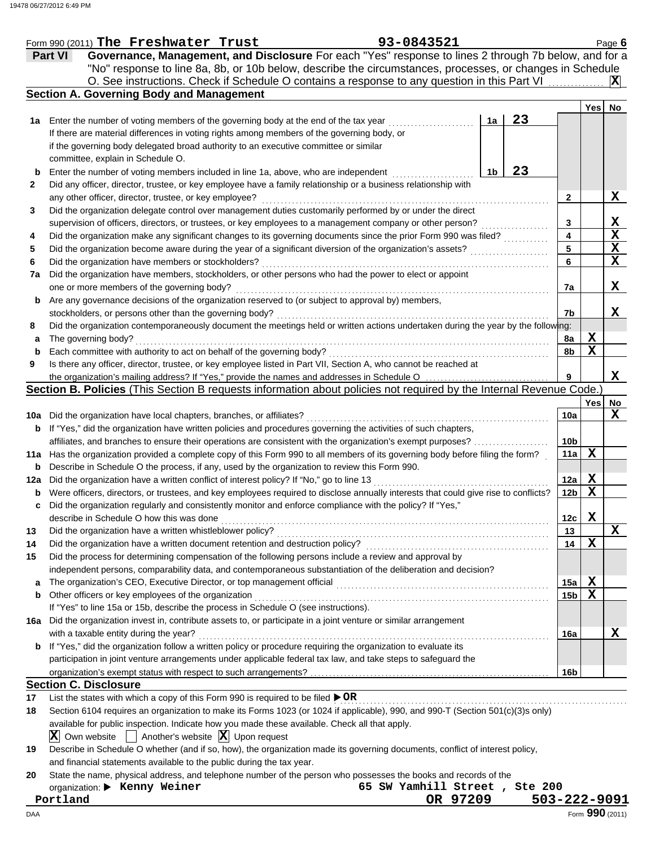|     | 93-0843521<br>Form 990 (2011) The Freshwater Trust                                                                                  |    |                 |             | Page 6          |
|-----|-------------------------------------------------------------------------------------------------------------------------------------|----|-----------------|-------------|-----------------|
|     | Governance, Management, and Disclosure For each "Yes" response to lines 2 through 7b below, and for a<br><b>Part VI</b>             |    |                 |             |                 |
|     | "No" response to line 8a, 8b, or 10b below, describe the circumstances, processes, or changes in Schedule                           |    |                 |             |                 |
|     | O. See instructions. Check if Schedule O contains a response to any question in this Part VI                                        |    |                 |             | ΙXΙ             |
|     | <b>Section A. Governing Body and Management</b>                                                                                     |    |                 |             |                 |
|     |                                                                                                                                     |    |                 | <b>Yes</b>  | No              |
| 1a  | 1a<br>Enter the number of voting members of the governing body at the end of the tax year                                           | 23 |                 |             |                 |
|     | If there are material differences in voting rights among members of the governing body, or                                          |    |                 |             |                 |
|     | if the governing body delegated broad authority to an executive committee or similar                                                |    |                 |             |                 |
|     | committee, explain in Schedule O.                                                                                                   |    |                 |             |                 |
| b   | 1 <sub>b</sub><br>Enter the number of voting members included in line 1a, above, who are independent                                | 23 |                 |             |                 |
| 2   | Did any officer, director, trustee, or key employee have a family relationship or a business relationship with                      |    |                 |             |                 |
|     | any other officer, director, trustee, or key employee?                                                                              |    | 2               |             | x               |
| 3   | Did the organization delegate control over management duties customarily performed by or under the direct                           |    |                 |             |                 |
|     | supervision of officers, directors, or trustees, or key employees to a management company or other person?                          |    | 3               |             | X               |
| 4   | Did the organization make any significant changes to its governing documents since the prior Form 990 was filed?                    |    | 4               |             | $\mathbf X$     |
| 5   | Did the organization become aware during the year of a significant diversion of the organization's assets?                          |    | 5               |             | X               |
| 6   | Did the organization have members or stockholders?                                                                                  |    | 6               |             | $\mathbf x$     |
| 7a  | Did the organization have members, stockholders, or other persons who had the power to elect or appoint                             |    |                 |             |                 |
|     | one or more members of the governing body?                                                                                          |    | 7a              |             | X               |
| b   | Are any governance decisions of the organization reserved to (or subject to approval by) members,                                   |    |                 |             |                 |
|     | stockholders, or persons other than the governing body?                                                                             |    | 7b              |             | x               |
| 8   | Did the organization contemporaneously document the meetings held or written actions undertaken during the year by the following:   |    |                 |             |                 |
| a   | The governing body?                                                                                                                 |    | 8a              | X           |                 |
| b   | Each committee with authority to act on behalf of the governing body?                                                               |    | 8b              | $\mathbf X$ |                 |
| 9   | Is there any officer, director, trustee, or key employee listed in Part VII, Section A, who cannot be reached at                    |    |                 |             |                 |
|     | the organization's mailing address? If "Yes," provide the names and addresses in Schedule O                                         |    | 9               |             | X               |
|     | Section B. Policies (This Section B requests information about policies not required by the Internal Revenue Code.)                 |    |                 |             |                 |
|     |                                                                                                                                     |    |                 | Yes         | No.             |
|     | 10a Did the organization have local chapters, branches, or affiliates?                                                              |    | 10a             |             | X               |
| b   | If "Yes," did the organization have written policies and procedures governing the activities of such chapters,                      |    |                 |             |                 |
|     | affiliates, and branches to ensure their operations are consistent with the organization's exempt purposes?                         |    | 10 <sub>b</sub> |             |                 |
| 11a | Has the organization provided a complete copy of this Form 990 to all members of its governing body before filing the form?         |    | 11a             | $\mathbf x$ |                 |
| b   | Describe in Schedule O the process, if any, used by the organization to review this Form 990.                                       |    |                 |             |                 |
| 12a | Did the organization have a written conflict of interest policy? If "No," go to line 13                                             |    | 12a             | X           |                 |
| b   | Were officers, directors, or trustees, and key employees required to disclose annually interests that could give rise to conflicts? |    | 12 <sub>b</sub> | $\mathbf X$ |                 |
|     | Did the organization regularly and consistently monitor and enforce compliance with the policy? If "Yes,"                           |    |                 |             |                 |
|     | describe in Schedule O how this was done                                                                                            |    | 12c             | X           |                 |
| 13  | Did the organization have a written whistleblower policy?                                                                           |    | 13              |             | X               |
| 14  | Did the organization have a written document retention and destruction policy?                                                      |    | 14              | $\mathbf X$ |                 |
| 15  | Did the process for determining compensation of the following persons include a review and approval by                              |    |                 |             |                 |
|     | independent persons, comparability data, and contemporaneous substantiation of the deliberation and decision?                       |    |                 |             |                 |
| a   | The organization's CEO, Executive Director, or top management official                                                              |    | 15a             | $\mathbf x$ |                 |
| b   | Other officers or key employees of the organization                                                                                 |    | 15 <sub>b</sub> | $\mathbf x$ |                 |
|     | If "Yes" to line 15a or 15b, describe the process in Schedule O (see instructions).                                                 |    |                 |             |                 |
|     | 16a Did the organization invest in, contribute assets to, or participate in a joint venture or similar arrangement                  |    |                 |             |                 |
|     | with a taxable entity during the year?                                                                                              |    | 16a             |             | X               |
|     | <b>b</b> If "Yes," did the organization follow a written policy or procedure requiring the organization to evaluate its             |    |                 |             |                 |
|     | participation in joint venture arrangements under applicable federal tax law, and take steps to safeguard the                       |    |                 |             |                 |
|     |                                                                                                                                     |    | 16 <sub>b</sub> |             |                 |
|     | <b>Section C. Disclosure</b>                                                                                                        |    |                 |             |                 |
| 17  | List the states with which a copy of this Form 990 is required to be filed $\triangleright$ OR                                      |    |                 |             |                 |
| 18  | Section 6104 requires an organization to make its Forms 1023 (or 1024 if applicable), 990, and 990-T (Section 501(c)(3)s only)      |    |                 |             |                 |
|     | available for public inspection. Indicate how you made these available. Check all that apply.                                       |    |                 |             |                 |
|     | Another's website $ \mathbf{X} $ Upon request<br>$ \mathbf{X} $ Own website                                                         |    |                 |             |                 |
| 19  | Describe in Schedule O whether (and if so, how), the organization made its governing documents, conflict of interest policy,        |    |                 |             |                 |
|     | and financial statements available to the public during the tax year.                                                               |    |                 |             |                 |
| 20  | State the name, physical address, and telephone number of the person who possesses the books and records of the                     |    |                 |             |                 |
|     | 65 SW Yamhill Street, Ste 200<br>organization: > Kenny Weiner                                                                       |    |                 |             |                 |
|     | OR 97209<br>Portland                                                                                                                |    | 503-222-9091    |             |                 |
| DAA |                                                                                                                                     |    |                 |             | Form 990 (2011) |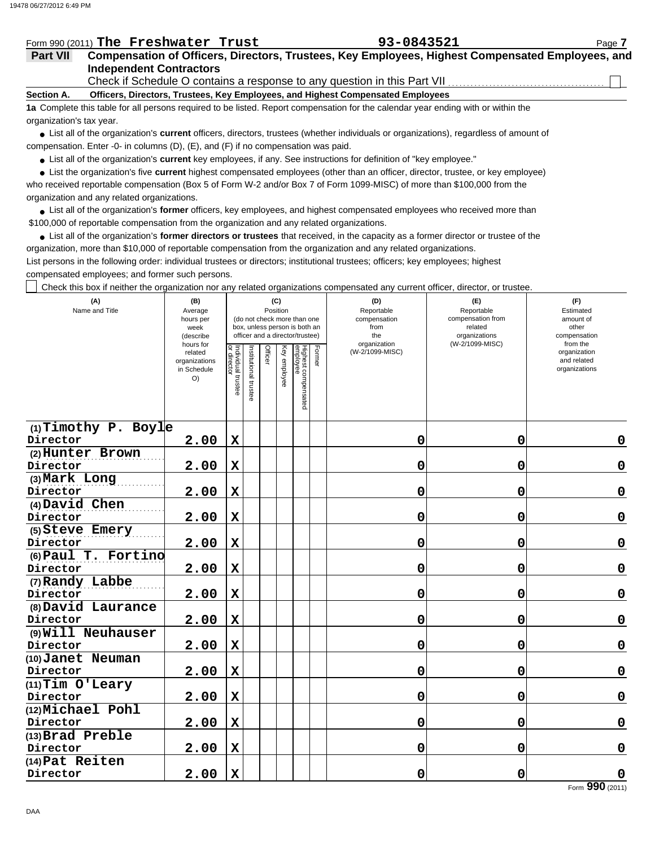## Form 990 (2011) The Freshwater Trust **93-0843521** Page 7

|  |  | 93-0843521 |  |  |  |  |  |  |  |
|--|--|------------|--|--|--|--|--|--|--|
|--|--|------------|--|--|--|--|--|--|--|

## **Independent Contractors Part VII Compensation of Officers, Directors, Trustees, Key Employees, Highest Compensated Employees, and**

Check if Schedule O contains a response to any question in this Part VII.

**Section A. Officers, Directors, Trustees, Key Employees, and Highest Compensated Employees**

**1a** Complete this table for all persons required to be listed. Report compensation for the calendar year ending with or within the organization's tax year.

● List all of the organization's **current** officers, directors, trustees (whether individuals or organizations), regardless of amount of compensation. Enter -0- in columns (D), (E), and (F) if no compensation was paid.

● List all of the organization's **current** key employees, if any. See instructions for definition of "key employee."

who received reportable compensation (Box 5 of Form W-2 and/or Box 7 of Form 1099-MISC) of more than \$100,000 from the organization and any related organizations. ● List the organization's five current highest compensated employees (other than an officer, director, trustee, or key employee)

**•** List all of the organization's former officers, key employees, and highest compensated employees who received more than \$100,000 of reportable compensation from the organization and any related organizations.

List all of the organization's **former directors or trustees** that received, in the capacity as a former director or trustee of the **•** organization, more than \$10,000 of reportable compensation from the organization and any related organizations.

List persons in the following order: individual trustees or directors; institutional trustees; officers; key employees; highest compensated employees; and former such persons.

 $\Box$  Check this box if neither the organization nor any related organizations compensated any current officer, director, or trustee.

| (A)<br>Name and Title          | (B)<br>Average<br>hours per<br>week<br>(describe<br>hours for |                                   |                      |         | (C)<br>Position | (do not check more than one<br>box, unless person is both an<br>officer and a director/trustee) | anization nor any rolated organizations componedica any carrent childer, allocter, or tracted<br>(E)<br>Reportable<br>compensation from<br>related<br>organizations<br>(W-2/1099-MISC) | (F)<br>Estimated<br>amount of<br>other<br>compensation<br>from the |   |                                              |
|--------------------------------|---------------------------------------------------------------|-----------------------------------|----------------------|---------|-----------------|-------------------------------------------------------------------------------------------------|----------------------------------------------------------------------------------------------------------------------------------------------------------------------------------------|--------------------------------------------------------------------|---|----------------------------------------------|
|                                | related<br>organizations<br>in Schedule<br>O)                 | Individual trustee<br>or director | Institutional truste | Officer | Key employee    | Highest compensated<br>employee                                                                 | Former                                                                                                                                                                                 | (W-2/1099-MISC)                                                    |   | organization<br>and related<br>organizations |
| $(1)$ Timothy P. Boyle         |                                                               |                                   |                      |         |                 |                                                                                                 |                                                                                                                                                                                        |                                                                    |   |                                              |
| Director                       | 2.00                                                          | $\mathbf x$                       |                      |         |                 |                                                                                                 |                                                                                                                                                                                        | 0                                                                  | 0 | $\mathbf 0$                                  |
| (2) Hunter Brown               |                                                               |                                   |                      |         |                 |                                                                                                 |                                                                                                                                                                                        |                                                                    |   |                                              |
| Director                       | 2.00                                                          | $\mathbf X$                       |                      |         |                 |                                                                                                 |                                                                                                                                                                                        | $\mathbf 0$                                                        | 0 | $\mathbf 0$                                  |
| (3) Mark Long                  |                                                               |                                   |                      |         |                 |                                                                                                 |                                                                                                                                                                                        |                                                                    |   |                                              |
| Director                       | 2.00                                                          | X                                 |                      |         |                 |                                                                                                 |                                                                                                                                                                                        | 0                                                                  | 0 | $\mathbf 0$                                  |
| (4) David Chen<br>Director     | 2.00                                                          | X                                 |                      |         |                 |                                                                                                 |                                                                                                                                                                                        | $\mathbf 0$                                                        | 0 | $\mathbf 0$                                  |
| (5) Steve Emery                |                                                               |                                   |                      |         |                 |                                                                                                 |                                                                                                                                                                                        |                                                                    |   |                                              |
| Director                       | 2.00                                                          | $\mathbf x$                       |                      |         |                 |                                                                                                 |                                                                                                                                                                                        | 0                                                                  | 0 | $\mathbf 0$                                  |
| (6) Paul T. Fortino            |                                                               |                                   |                      |         |                 |                                                                                                 |                                                                                                                                                                                        |                                                                    |   |                                              |
| Director                       | 2.00                                                          | $\mathbf x$                       |                      |         |                 |                                                                                                 |                                                                                                                                                                                        | 0                                                                  | 0 | $\mathbf 0$                                  |
| (7) Randy Labbe                |                                                               |                                   |                      |         |                 |                                                                                                 |                                                                                                                                                                                        |                                                                    |   |                                              |
| Director                       | 2.00                                                          | $\mathbf X$                       |                      |         |                 |                                                                                                 |                                                                                                                                                                                        | 0                                                                  | 0 | $\mathbf 0$                                  |
| (8) David Laurance             |                                                               |                                   |                      |         |                 |                                                                                                 |                                                                                                                                                                                        |                                                                    |   |                                              |
| Director                       | 2.00                                                          | X                                 |                      |         |                 |                                                                                                 |                                                                                                                                                                                        | 0                                                                  | 0 | $\mathbf 0$                                  |
| (9) Will Neuhauser             |                                                               |                                   |                      |         |                 |                                                                                                 |                                                                                                                                                                                        |                                                                    |   |                                              |
| Director                       | 2.00                                                          | $\mathbf X$                       |                      |         |                 |                                                                                                 |                                                                                                                                                                                        | $\mathbf 0$                                                        | 0 | $\pmb{0}$                                    |
| (10) Janet Neuman              |                                                               |                                   |                      |         |                 |                                                                                                 |                                                                                                                                                                                        |                                                                    |   |                                              |
| Director                       | 2.00                                                          | $\mathbf X$                       |                      |         |                 |                                                                                                 |                                                                                                                                                                                        | $\mathbf 0$                                                        | 0 | $\pmb{0}$                                    |
| $(11)$ Tim O'Leary<br>Director | 2.00                                                          | $\mathbf x$                       |                      |         |                 |                                                                                                 |                                                                                                                                                                                        | 0                                                                  | 0 | $\pmb{0}$                                    |
| (12) Michael Pohl              |                                                               |                                   |                      |         |                 |                                                                                                 |                                                                                                                                                                                        |                                                                    |   |                                              |
| Director                       | 2.00                                                          | $\mathbf x$                       |                      |         |                 |                                                                                                 |                                                                                                                                                                                        | $\mathbf 0$                                                        | 0 | $\pmb{0}$                                    |
| (13) Brad Preble               |                                                               |                                   |                      |         |                 |                                                                                                 |                                                                                                                                                                                        |                                                                    |   |                                              |
| Director                       | 2.00                                                          | X                                 |                      |         |                 |                                                                                                 |                                                                                                                                                                                        | 0                                                                  | 0 | $\mathbf 0$                                  |
| (14) Pat Reiten                |                                                               |                                   |                      |         |                 |                                                                                                 |                                                                                                                                                                                        |                                                                    |   |                                              |
| Director                       | 2.00                                                          | $\mathbf X$                       |                      |         |                 |                                                                                                 |                                                                                                                                                                                        | $\mathbf 0$                                                        | 0 | $\mathbf 0$                                  |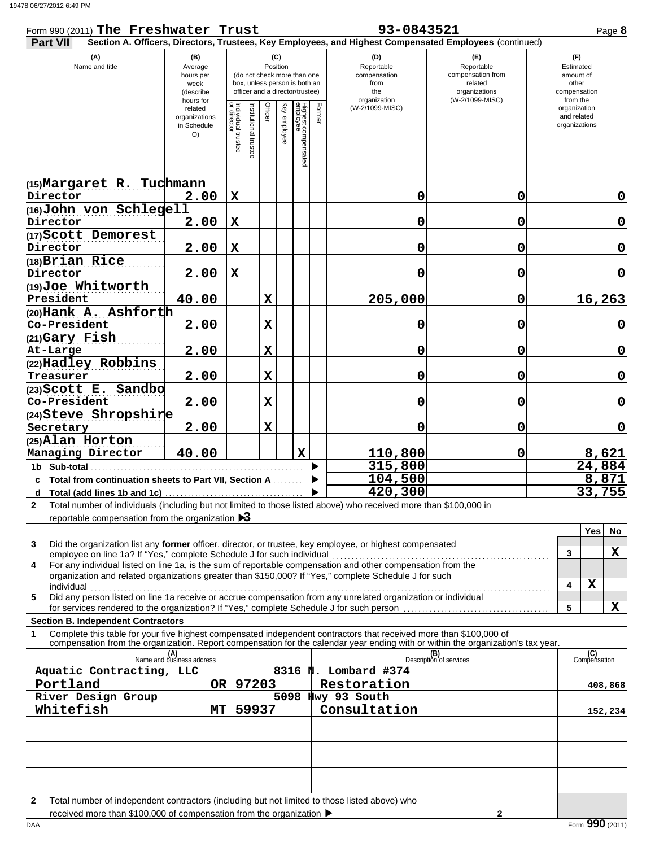### Form 990 (2011) The Freshwater Trust **93-0843521** Page 8 **Part VII Section A. Officers, Directors, Trustees, Key Employees, and Highest Compensated Employees** (continued) and related organizations the from **the contract of the contract of the contract of the contract of the contract of the contract of the contract of the contract of the contract of the contract of the contract of the contract of the contract of the cont** from the Estimated amount of (W-2/1099-MISC) organization Reportable compensation Name and title **(A) (B) (C) (D) (E) (F)** organization compensation O) (describe related hours per Average hours for week in Schedule organizations (W-2/1099-MISC) Reportable organizations compensation from (do not check more than one box, unless person is both an officer and a director/trustee) Position

|                                                                                                                                   | related<br>organizations<br>in Schedule<br>O() | Individual trustee<br>or director | Institutional trustee | Officer      | Key employee | Highest compensated<br>employee | Formel | (W-2/1099-MISC) |                                | organization<br>and related<br>organizations |           |
|-----------------------------------------------------------------------------------------------------------------------------------|------------------------------------------------|-----------------------------------|-----------------------|--------------|--------------|---------------------------------|--------|-----------------|--------------------------------|----------------------------------------------|-----------|
| (15)Margaret R. Tuchmann                                                                                                          |                                                |                                   |                       |              |              |                                 |        |                 |                                |                                              |           |
| Director                                                                                                                          | 2.00                                           | $\mathbf x$                       |                       |              |              |                                 |        | 0               | 0                              |                                              | 0         |
| (16) John von Schlegell                                                                                                           |                                                |                                   |                       |              |              |                                 |        |                 |                                |                                              |           |
| Director                                                                                                                          | 2.00                                           | $\mathbf x$                       |                       |              |              |                                 |        | 0               | 0                              |                                              | 0         |
| (17) Scott Demorest                                                                                                               |                                                |                                   |                       |              |              |                                 |        |                 |                                |                                              |           |
| Director                                                                                                                          | 2.00                                           | $\mathbf x$                       |                       |              |              |                                 |        | 0               | 0                              |                                              | 0         |
| (18)Brian Rice                                                                                                                    |                                                |                                   |                       |              |              |                                 |        |                 |                                |                                              |           |
| Director                                                                                                                          | 2.00                                           | $\mathbf x$                       |                       |              |              |                                 |        | 0               | 0                              |                                              | 0         |
| (19)Joe Whitworth                                                                                                                 |                                                |                                   |                       |              |              |                                 |        |                 |                                |                                              |           |
| President                                                                                                                         | 40.00                                          |                                   |                       | $\mathbf x$  |              |                                 |        | 205,000         | 0                              | 16,263                                       |           |
| (20)Hank A. Ashforth                                                                                                              |                                                |                                   |                       |              |              |                                 |        |                 |                                |                                              |           |
| Co-President                                                                                                                      | 2.00                                           |                                   |                       | X            |              |                                 |        | 0               | 0                              |                                              | 0         |
| (21)Gary Fish                                                                                                                     |                                                |                                   |                       |              |              |                                 |        |                 |                                |                                              |           |
| At-Large                                                                                                                          | 2.00                                           |                                   |                       | $\mathbf{x}$ |              |                                 |        | 0               | 0                              |                                              | 0         |
| (22)Hadley Robbins                                                                                                                |                                                |                                   |                       |              |              |                                 |        |                 |                                |                                              |           |
| Treasurer                                                                                                                         | 2.00                                           |                                   |                       | $\mathbf x$  |              |                                 |        | 0               | 0                              |                                              | 0         |
| (23) Scott E. Sandbo<br>Co-President                                                                                              | 2.00                                           |                                   |                       | $\mathbf x$  |              |                                 |        | 0               | 0                              |                                              | 0         |
| (24)Steve Shropshire                                                                                                              |                                                |                                   |                       |              |              |                                 |        |                 |                                |                                              |           |
| Secretary                                                                                                                         | 2.00                                           |                                   |                       | X            |              |                                 |        | 0               | 0                              |                                              | 0         |
| (25) Alan Horton                                                                                                                  |                                                |                                   |                       |              |              |                                 |        |                 |                                |                                              |           |
| Managing Director                                                                                                                 | 40.00                                          |                                   |                       |              |              | $\mathbf x$                     |        | 110,800         | 0                              |                                              | 8,621     |
| 1b Sub-total                                                                                                                      |                                                |                                   |                       |              |              |                                 |        | 315,800         |                                | 24,884                                       |           |
| c Total from continuation sheets to Part VII, Section A                                                                           |                                                |                                   |                       |              |              |                                 |        | 104,500         |                                |                                              | 8,871     |
|                                                                                                                                   |                                                |                                   |                       |              |              |                                 |        | 420,300         |                                | 33,755                                       |           |
| Total number of individuals (including but not limited to those listed above) who received more than \$100,000 in<br>$\mathbf{2}$ |                                                |                                   |                       |              |              |                                 |        |                 |                                |                                              |           |
| reportable compensation from the organization $\triangleright$ 3                                                                  |                                                |                                   |                       |              |              |                                 |        |                 |                                |                                              |           |
|                                                                                                                                   |                                                |                                   |                       |              |              |                                 |        |                 |                                | Yes                                          | <b>No</b> |
| 3<br>Did the organization list any former officer, director, or trustee, key employee, or highest compensated                     |                                                |                                   |                       |              |              |                                 |        |                 |                                |                                              |           |
| employee on line 1a? If "Yes," complete Schedule J for such individual                                                            |                                                |                                   |                       |              |              |                                 |        |                 |                                | 3                                            | x         |
| For any individual listed on line 1a, is the sum of reportable compensation and other compensation from the<br>4                  |                                                |                                   |                       |              |              |                                 |        |                 |                                |                                              |           |
| organization and related organizations greater than \$150,000? If "Yes," complete Schedule J for such                             |                                                |                                   |                       |              |              |                                 |        |                 |                                | $\mathbf x$<br>4                             |           |
| individual<br>5<br>Did any person listed on line 1a receive or accrue compensation from any unrelated organization or individual  |                                                |                                   |                       |              |              |                                 |        |                 |                                |                                              |           |
|                                                                                                                                   |                                                |                                   |                       |              |              |                                 |        |                 |                                | 5                                            | X         |
| <b>Section B. Independent Contractors</b>                                                                                         |                                                |                                   |                       |              |              |                                 |        |                 |                                |                                              |           |
| Complete this table for your five highest compensated independent contractors that received more than \$100,000 of<br>1           |                                                |                                   |                       |              |              |                                 |        |                 |                                |                                              |           |
| compensation from the organization. Report compensation for the calendar year ending with or within the organization's tax year.  |                                                |                                   |                       |              |              |                                 |        |                 |                                |                                              |           |
|                                                                                                                                   | (A)<br>Name and business address               |                                   |                       |              |              |                                 |        |                 | (B)<br>Description of services | (C)<br>Compensation                          |           |

| 3 | Did the organization list any former officer, director, or trustee, key employee, or highest compensated      |  |  |
|---|---------------------------------------------------------------------------------------------------------------|--|--|
|   | employee on line 1a? If "Yes," complete Schedule J for such individual                                        |  |  |
| 4 | For any individual listed on line 1a, is the sum of reportable compensation and other compensation from the   |  |  |
|   | organization and related organizations greater than \$150,000? If "Yes," complete Schedule J for such         |  |  |
|   | individual                                                                                                    |  |  |
| 5 | Did any person listed on line 1a receive or accrue compensation from any unrelated organization or individual |  |  |
|   | for services rendered to the organization? If "Yes," complete Schedule J for such person                      |  |  |
|   |                                                                                                               |  |  |

### **Section B. Independent Contractors**

| compensation from the organization. Report compensation for the calendar vear ending with or within the organization's tax vear. |  |  |  |  |
|----------------------------------------------------------------------------------------------------------------------------------|--|--|--|--|
|                                                                                                                                  |  |  |  |  |
|                                                                                                                                  |  |  |  |  |

| (A)<br>Name and business address                                                                                                                                                                          |     |          | (B)<br>Description of services | (C)<br>Compensation |
|-----------------------------------------------------------------------------------------------------------------------------------------------------------------------------------------------------------|-----|----------|--------------------------------|---------------------|
| Aquatic Contracting, LLC                                                                                                                                                                                  |     | 8316     | N. Lombard #374                |                     |
| Portland                                                                                                                                                                                                  | OR. | 97203    | Restoration                    | 408,868             |
| River Design Group                                                                                                                                                                                        |     | 5098     | Hwy 93 South                   |                     |
| Whitefish                                                                                                                                                                                                 |     | MT 59937 | Consultation                   | 152,234             |
|                                                                                                                                                                                                           |     |          |                                |                     |
|                                                                                                                                                                                                           |     |          |                                |                     |
|                                                                                                                                                                                                           |     |          |                                |                     |
|                                                                                                                                                                                                           |     |          |                                |                     |
|                                                                                                                                                                                                           |     |          |                                |                     |
|                                                                                                                                                                                                           |     |          |                                |                     |
| Total number of independent contractors (including but not limited to those listed above) who<br>$\mathbf{2}$<br>received more than \$100,000 of compensation from the organization $\blacktriangleright$ |     |          |                                |                     |

received more than \$100,000 of compensation from the organization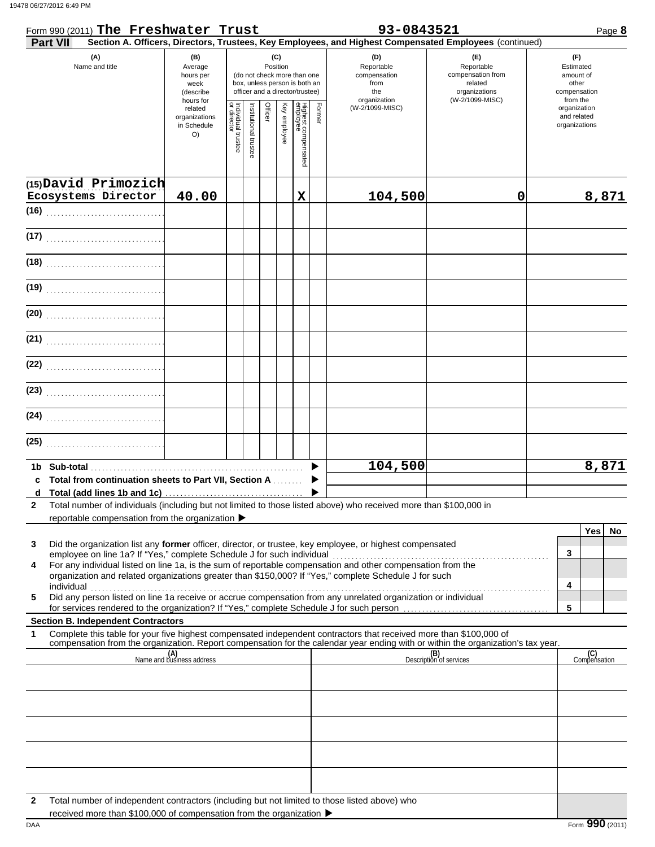| Form 990 (2011) The Freshwater Trust<br><b>Part VII</b>                                                                                                                                                                                                                                                                                              |                                                                                                                                                                                     |                                   |                       |         |              |                                   |        | 93-0843521<br>Section A. Officers, Directors, Trustees, Key Employees, and Highest Compensated Employees (continued) |                                                                                       |                                                                    | Page 8 |
|------------------------------------------------------------------------------------------------------------------------------------------------------------------------------------------------------------------------------------------------------------------------------------------------------------------------------------------------------|-------------------------------------------------------------------------------------------------------------------------------------------------------------------------------------|-----------------------------------|-----------------------|---------|--------------|-----------------------------------|--------|----------------------------------------------------------------------------------------------------------------------|---------------------------------------------------------------------------------------|--------------------------------------------------------------------|--------|
| (A)<br>Name and title                                                                                                                                                                                                                                                                                                                                | (B)<br>(C)<br>Position<br>Average<br>(do not check more than one<br>hours per<br>box, unless person is both an<br>week<br>officer and a director/trustee)<br>(describe<br>hours for |                                   |                       |         |              |                                   |        | (D)<br>Reportable<br>compensation<br>from<br>the<br>organization                                                     | (E)<br>Reportable<br>compensation from<br>related<br>organizations<br>(W-2/1099-MISC) | (F)<br>Estimated<br>amount of<br>other<br>compensation<br>from the |        |
|                                                                                                                                                                                                                                                                                                                                                      | related<br>organizations<br>in Schedule<br>O)                                                                                                                                       | Individual trustee<br>or director | Institutional trustee | Officer | Key employee | Highest compensa<br>employee<br>ā | Former | (W-2/1099-MISC)                                                                                                      |                                                                                       | organization<br>and related<br>organizations                       |        |
| (15) David Primozich<br>Ecosystems Director                                                                                                                                                                                                                                                                                                          | 40.00                                                                                                                                                                               |                                   |                       |         |              | X                                 |        | 104,500                                                                                                              | $\mathbf 0$                                                                           |                                                                    | 8,871  |
|                                                                                                                                                                                                                                                                                                                                                      |                                                                                                                                                                                     |                                   |                       |         |              |                                   |        |                                                                                                                      |                                                                                       |                                                                    |        |
| (17)                                                                                                                                                                                                                                                                                                                                                 |                                                                                                                                                                                     |                                   |                       |         |              |                                   |        |                                                                                                                      |                                                                                       |                                                                    |        |
| (18)                                                                                                                                                                                                                                                                                                                                                 |                                                                                                                                                                                     |                                   |                       |         |              |                                   |        |                                                                                                                      |                                                                                       |                                                                    |        |
| (19)                                                                                                                                                                                                                                                                                                                                                 |                                                                                                                                                                                     |                                   |                       |         |              |                                   |        |                                                                                                                      |                                                                                       |                                                                    |        |
| (20)                                                                                                                                                                                                                                                                                                                                                 |                                                                                                                                                                                     |                                   |                       |         |              |                                   |        |                                                                                                                      |                                                                                       |                                                                    |        |
| (21)                                                                                                                                                                                                                                                                                                                                                 |                                                                                                                                                                                     |                                   |                       |         |              |                                   |        |                                                                                                                      |                                                                                       |                                                                    |        |
| (22)                                                                                                                                                                                                                                                                                                                                                 |                                                                                                                                                                                     |                                   |                       |         |              |                                   |        |                                                                                                                      |                                                                                       |                                                                    |        |
| (23)                                                                                                                                                                                                                                                                                                                                                 |                                                                                                                                                                                     |                                   |                       |         |              |                                   |        |                                                                                                                      |                                                                                       |                                                                    |        |
| (24)                                                                                                                                                                                                                                                                                                                                                 |                                                                                                                                                                                     |                                   |                       |         |              |                                   |        |                                                                                                                      |                                                                                       |                                                                    |        |
| (25)                                                                                                                                                                                                                                                                                                                                                 |                                                                                                                                                                                     |                                   |                       |         |              |                                   |        |                                                                                                                      |                                                                                       |                                                                    |        |
| c Total from continuation sheets to Part VII, Section A                                                                                                                                                                                                                                                                                              |                                                                                                                                                                                     |                                   |                       |         |              |                                   |        | 104,500                                                                                                              |                                                                                       |                                                                    | 8,871  |
| Total number of individuals (including but not limited to those listed above) who received more than \$100,000 in<br>2<br>reportable compensation from the organization ▶                                                                                                                                                                            |                                                                                                                                                                                     |                                   |                       |         |              |                                   |        |                                                                                                                      |                                                                                       |                                                                    |        |
| Did the organization list any former officer, director, or trustee, key employee, or highest compensated<br>3                                                                                                                                                                                                                                        |                                                                                                                                                                                     |                                   |                       |         |              |                                   |        |                                                                                                                      |                                                                                       | <b>Yes</b><br>3                                                    | No     |
| For any individual listed on line 1a, is the sum of reportable compensation and other compensation from the<br>4<br>organization and related organizations greater than \$150,000? If "Yes," complete Schedule J for such                                                                                                                            |                                                                                                                                                                                     |                                   |                       |         |              |                                   |        |                                                                                                                      |                                                                                       |                                                                    |        |
| individual with a construction of the construction of the construction of the construction of the construction of the construction of the construction of the construction of the construction of the construction of the cons<br>Did any person listed on line 1a receive or accrue compensation from any unrelated organization or individual<br>5 |                                                                                                                                                                                     |                                   |                       |         |              |                                   |        |                                                                                                                      |                                                                                       | 4<br>5                                                             |        |
| <b>Section B. Independent Contractors</b>                                                                                                                                                                                                                                                                                                            |                                                                                                                                                                                     |                                   |                       |         |              |                                   |        |                                                                                                                      |                                                                                       |                                                                    |        |
| Complete this table for your five highest compensated independent contractors that received more than \$100,000 of<br>1<br>compensation from the organization. Report compensation for the calendar year ending with or within the organization's tax year.                                                                                          |                                                                                                                                                                                     |                                   |                       |         |              |                                   |        |                                                                                                                      |                                                                                       |                                                                    |        |
|                                                                                                                                                                                                                                                                                                                                                      | (A)<br>Name and business address                                                                                                                                                    |                                   |                       |         |              |                                   |        |                                                                                                                      | (B)<br>Description of services                                                        | (C)<br>Compensation                                                |        |
|                                                                                                                                                                                                                                                                                                                                                      |                                                                                                                                                                                     |                                   |                       |         |              |                                   |        |                                                                                                                      |                                                                                       |                                                                    |        |
|                                                                                                                                                                                                                                                                                                                                                      |                                                                                                                                                                                     |                                   |                       |         |              |                                   |        |                                                                                                                      |                                                                                       |                                                                    |        |
|                                                                                                                                                                                                                                                                                                                                                      |                                                                                                                                                                                     |                                   |                       |         |              |                                   |        |                                                                                                                      |                                                                                       |                                                                    |        |

**2** Total number of independent contractors (including but not limited to those listed above) who

DAA **Form 990** (2011) received more than \$100,000 of compensation from the organization  $\blacktriangleright$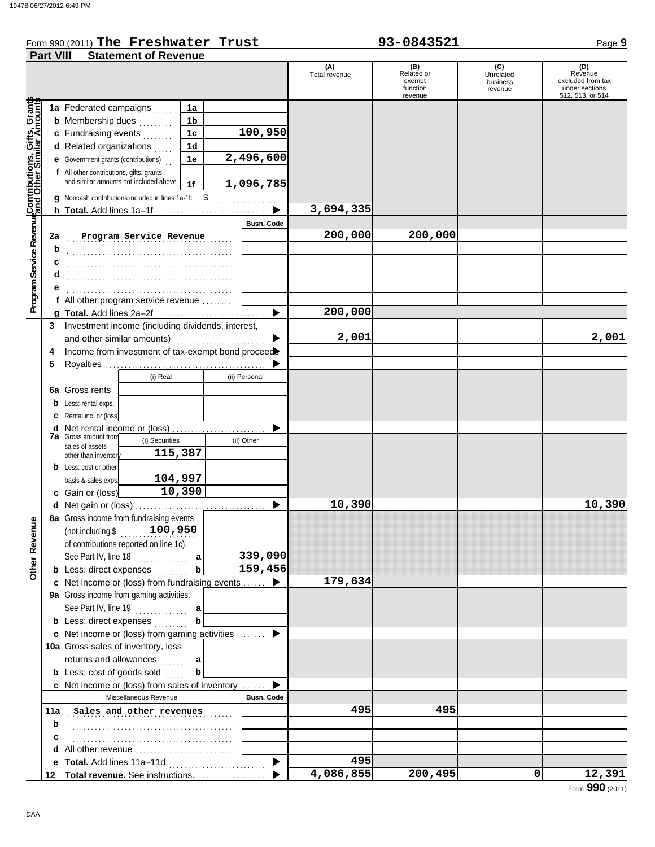### Form 990 (2011) Page **9 The Freshwater Trust 93-0843521**

| (C)<br>(A)<br>(B)<br>(D)<br>Related or<br>Revenue<br>Total revenue<br>Unrelated<br>exempt<br>business<br>function<br>revenue<br>revenue<br>Program Service Revenu <mark>¢Contributions, Gifts, Grant</mark> s<br>Program Service Revenu∮and Other Similar Amounts<br>1a Federated campaigns<br>1a<br><b>b</b> Membership dues<br>1b<br>.<br>100,950<br>c Fundraising events<br>1c<br>d Related organizations<br>1d<br>2,496,600<br><b>e</b> Government grants (contributions)<br>1e<br>f All other contributions, gifts, grants,<br>and similar amounts not included above<br>1,096,785<br>1 <sub>f</sub><br>Noncash contributions included in lines 1a-1f: \$<br>3,694,335<br><b>Busn. Code</b><br>200,000<br>200,000<br>2a<br>Program Service Revenue<br>b<br>f All other program service revenue<br>200,000<br>▶<br>Investment income (including dividends, interest,<br>3<br>2,001<br>and other similar amounts)<br>Income from investment of tax-exempt bond proceed<br>4<br>5<br>(i) Real<br>(ii) Personal<br>6a Gross rents<br>Less: rental exps.<br>b<br>Rental inc. or (loss)<br>Net rental income or (loss)<br>d<br>.<br><b>7a</b> Gross amount from<br>(i) Securities<br>(ii) Other<br>sales of assets<br>115,387<br>other than inventor<br><b>b</b> Less: cost or other<br>104,997<br>basis & sales exps<br>10,390<br>c Gain or (loss)<br>10,390<br>d Net gain or (loss)<br>8a Gross income from fundraising events<br>nue<br>(not including $$100,950$<br>Other Rever<br>of contributions reported on line 1c).<br>339,090<br>See Part IV, line 18<br>a<br>.<br>159,456<br><b>b</b> Less: direct expenses<br>b<br>179,634<br>c Net income or (loss) from fundraising events<br>9a Gross income from gaming activities.<br>See Part IV, line 19<br>a<br><b>b</b> Less: direct expenses<br>b<br><b>c</b> Net income or (loss) from gaming activities | <b>Part VIII</b> | <b>Statement of Revenue</b> |  |  |  |  |                                     |
|-----------------------------------------------------------------------------------------------------------------------------------------------------------------------------------------------------------------------------------------------------------------------------------------------------------------------------------------------------------------------------------------------------------------------------------------------------------------------------------------------------------------------------------------------------------------------------------------------------------------------------------------------------------------------------------------------------------------------------------------------------------------------------------------------------------------------------------------------------------------------------------------------------------------------------------------------------------------------------------------------------------------------------------------------------------------------------------------------------------------------------------------------------------------------------------------------------------------------------------------------------------------------------------------------------------------------------------------------------------------------------------------------------------------------------------------------------------------------------------------------------------------------------------------------------------------------------------------------------------------------------------------------------------------------------------------------------------------------------------------------------------------------------------------------------------------------------------------------------------------|------------------|-----------------------------|--|--|--|--|-------------------------------------|
|                                                                                                                                                                                                                                                                                                                                                                                                                                                                                                                                                                                                                                                                                                                                                                                                                                                                                                                                                                                                                                                                                                                                                                                                                                                                                                                                                                                                                                                                                                                                                                                                                                                                                                                                                                                                                                                                 |                  |                             |  |  |  |  |                                     |
|                                                                                                                                                                                                                                                                                                                                                                                                                                                                                                                                                                                                                                                                                                                                                                                                                                                                                                                                                                                                                                                                                                                                                                                                                                                                                                                                                                                                                                                                                                                                                                                                                                                                                                                                                                                                                                                                 |                  |                             |  |  |  |  | excluded from tax<br>under sections |
|                                                                                                                                                                                                                                                                                                                                                                                                                                                                                                                                                                                                                                                                                                                                                                                                                                                                                                                                                                                                                                                                                                                                                                                                                                                                                                                                                                                                                                                                                                                                                                                                                                                                                                                                                                                                                                                                 |                  |                             |  |  |  |  | 512, 513, or 514                    |
|                                                                                                                                                                                                                                                                                                                                                                                                                                                                                                                                                                                                                                                                                                                                                                                                                                                                                                                                                                                                                                                                                                                                                                                                                                                                                                                                                                                                                                                                                                                                                                                                                                                                                                                                                                                                                                                                 |                  |                             |  |  |  |  |                                     |
|                                                                                                                                                                                                                                                                                                                                                                                                                                                                                                                                                                                                                                                                                                                                                                                                                                                                                                                                                                                                                                                                                                                                                                                                                                                                                                                                                                                                                                                                                                                                                                                                                                                                                                                                                                                                                                                                 |                  |                             |  |  |  |  |                                     |
|                                                                                                                                                                                                                                                                                                                                                                                                                                                                                                                                                                                                                                                                                                                                                                                                                                                                                                                                                                                                                                                                                                                                                                                                                                                                                                                                                                                                                                                                                                                                                                                                                                                                                                                                                                                                                                                                 |                  |                             |  |  |  |  |                                     |
|                                                                                                                                                                                                                                                                                                                                                                                                                                                                                                                                                                                                                                                                                                                                                                                                                                                                                                                                                                                                                                                                                                                                                                                                                                                                                                                                                                                                                                                                                                                                                                                                                                                                                                                                                                                                                                                                 |                  |                             |  |  |  |  |                                     |
|                                                                                                                                                                                                                                                                                                                                                                                                                                                                                                                                                                                                                                                                                                                                                                                                                                                                                                                                                                                                                                                                                                                                                                                                                                                                                                                                                                                                                                                                                                                                                                                                                                                                                                                                                                                                                                                                 |                  |                             |  |  |  |  |                                     |
|                                                                                                                                                                                                                                                                                                                                                                                                                                                                                                                                                                                                                                                                                                                                                                                                                                                                                                                                                                                                                                                                                                                                                                                                                                                                                                                                                                                                                                                                                                                                                                                                                                                                                                                                                                                                                                                                 |                  |                             |  |  |  |  |                                     |
|                                                                                                                                                                                                                                                                                                                                                                                                                                                                                                                                                                                                                                                                                                                                                                                                                                                                                                                                                                                                                                                                                                                                                                                                                                                                                                                                                                                                                                                                                                                                                                                                                                                                                                                                                                                                                                                                 |                  |                             |  |  |  |  |                                     |
|                                                                                                                                                                                                                                                                                                                                                                                                                                                                                                                                                                                                                                                                                                                                                                                                                                                                                                                                                                                                                                                                                                                                                                                                                                                                                                                                                                                                                                                                                                                                                                                                                                                                                                                                                                                                                                                                 |                  |                             |  |  |  |  |                                     |
|                                                                                                                                                                                                                                                                                                                                                                                                                                                                                                                                                                                                                                                                                                                                                                                                                                                                                                                                                                                                                                                                                                                                                                                                                                                                                                                                                                                                                                                                                                                                                                                                                                                                                                                                                                                                                                                                 |                  |                             |  |  |  |  |                                     |
|                                                                                                                                                                                                                                                                                                                                                                                                                                                                                                                                                                                                                                                                                                                                                                                                                                                                                                                                                                                                                                                                                                                                                                                                                                                                                                                                                                                                                                                                                                                                                                                                                                                                                                                                                                                                                                                                 |                  |                             |  |  |  |  |                                     |
|                                                                                                                                                                                                                                                                                                                                                                                                                                                                                                                                                                                                                                                                                                                                                                                                                                                                                                                                                                                                                                                                                                                                                                                                                                                                                                                                                                                                                                                                                                                                                                                                                                                                                                                                                                                                                                                                 |                  |                             |  |  |  |  |                                     |
|                                                                                                                                                                                                                                                                                                                                                                                                                                                                                                                                                                                                                                                                                                                                                                                                                                                                                                                                                                                                                                                                                                                                                                                                                                                                                                                                                                                                                                                                                                                                                                                                                                                                                                                                                                                                                                                                 |                  |                             |  |  |  |  |                                     |
|                                                                                                                                                                                                                                                                                                                                                                                                                                                                                                                                                                                                                                                                                                                                                                                                                                                                                                                                                                                                                                                                                                                                                                                                                                                                                                                                                                                                                                                                                                                                                                                                                                                                                                                                                                                                                                                                 |                  |                             |  |  |  |  |                                     |
|                                                                                                                                                                                                                                                                                                                                                                                                                                                                                                                                                                                                                                                                                                                                                                                                                                                                                                                                                                                                                                                                                                                                                                                                                                                                                                                                                                                                                                                                                                                                                                                                                                                                                                                                                                                                                                                                 |                  |                             |  |  |  |  |                                     |
|                                                                                                                                                                                                                                                                                                                                                                                                                                                                                                                                                                                                                                                                                                                                                                                                                                                                                                                                                                                                                                                                                                                                                                                                                                                                                                                                                                                                                                                                                                                                                                                                                                                                                                                                                                                                                                                                 |                  |                             |  |  |  |  |                                     |
|                                                                                                                                                                                                                                                                                                                                                                                                                                                                                                                                                                                                                                                                                                                                                                                                                                                                                                                                                                                                                                                                                                                                                                                                                                                                                                                                                                                                                                                                                                                                                                                                                                                                                                                                                                                                                                                                 |                  |                             |  |  |  |  |                                     |
|                                                                                                                                                                                                                                                                                                                                                                                                                                                                                                                                                                                                                                                                                                                                                                                                                                                                                                                                                                                                                                                                                                                                                                                                                                                                                                                                                                                                                                                                                                                                                                                                                                                                                                                                                                                                                                                                 |                  |                             |  |  |  |  |                                     |
|                                                                                                                                                                                                                                                                                                                                                                                                                                                                                                                                                                                                                                                                                                                                                                                                                                                                                                                                                                                                                                                                                                                                                                                                                                                                                                                                                                                                                                                                                                                                                                                                                                                                                                                                                                                                                                                                 |                  |                             |  |  |  |  | 2,001                               |
|                                                                                                                                                                                                                                                                                                                                                                                                                                                                                                                                                                                                                                                                                                                                                                                                                                                                                                                                                                                                                                                                                                                                                                                                                                                                                                                                                                                                                                                                                                                                                                                                                                                                                                                                                                                                                                                                 |                  |                             |  |  |  |  |                                     |
|                                                                                                                                                                                                                                                                                                                                                                                                                                                                                                                                                                                                                                                                                                                                                                                                                                                                                                                                                                                                                                                                                                                                                                                                                                                                                                                                                                                                                                                                                                                                                                                                                                                                                                                                                                                                                                                                 |                  |                             |  |  |  |  |                                     |
|                                                                                                                                                                                                                                                                                                                                                                                                                                                                                                                                                                                                                                                                                                                                                                                                                                                                                                                                                                                                                                                                                                                                                                                                                                                                                                                                                                                                                                                                                                                                                                                                                                                                                                                                                                                                                                                                 |                  |                             |  |  |  |  |                                     |
|                                                                                                                                                                                                                                                                                                                                                                                                                                                                                                                                                                                                                                                                                                                                                                                                                                                                                                                                                                                                                                                                                                                                                                                                                                                                                                                                                                                                                                                                                                                                                                                                                                                                                                                                                                                                                                                                 |                  |                             |  |  |  |  |                                     |
|                                                                                                                                                                                                                                                                                                                                                                                                                                                                                                                                                                                                                                                                                                                                                                                                                                                                                                                                                                                                                                                                                                                                                                                                                                                                                                                                                                                                                                                                                                                                                                                                                                                                                                                                                                                                                                                                 |                  |                             |  |  |  |  |                                     |
|                                                                                                                                                                                                                                                                                                                                                                                                                                                                                                                                                                                                                                                                                                                                                                                                                                                                                                                                                                                                                                                                                                                                                                                                                                                                                                                                                                                                                                                                                                                                                                                                                                                                                                                                                                                                                                                                 |                  |                             |  |  |  |  |                                     |
|                                                                                                                                                                                                                                                                                                                                                                                                                                                                                                                                                                                                                                                                                                                                                                                                                                                                                                                                                                                                                                                                                                                                                                                                                                                                                                                                                                                                                                                                                                                                                                                                                                                                                                                                                                                                                                                                 |                  |                             |  |  |  |  |                                     |
|                                                                                                                                                                                                                                                                                                                                                                                                                                                                                                                                                                                                                                                                                                                                                                                                                                                                                                                                                                                                                                                                                                                                                                                                                                                                                                                                                                                                                                                                                                                                                                                                                                                                                                                                                                                                                                                                 |                  |                             |  |  |  |  |                                     |
|                                                                                                                                                                                                                                                                                                                                                                                                                                                                                                                                                                                                                                                                                                                                                                                                                                                                                                                                                                                                                                                                                                                                                                                                                                                                                                                                                                                                                                                                                                                                                                                                                                                                                                                                                                                                                                                                 |                  |                             |  |  |  |  |                                     |
|                                                                                                                                                                                                                                                                                                                                                                                                                                                                                                                                                                                                                                                                                                                                                                                                                                                                                                                                                                                                                                                                                                                                                                                                                                                                                                                                                                                                                                                                                                                                                                                                                                                                                                                                                                                                                                                                 |                  |                             |  |  |  |  |                                     |
|                                                                                                                                                                                                                                                                                                                                                                                                                                                                                                                                                                                                                                                                                                                                                                                                                                                                                                                                                                                                                                                                                                                                                                                                                                                                                                                                                                                                                                                                                                                                                                                                                                                                                                                                                                                                                                                                 |                  |                             |  |  |  |  |                                     |
|                                                                                                                                                                                                                                                                                                                                                                                                                                                                                                                                                                                                                                                                                                                                                                                                                                                                                                                                                                                                                                                                                                                                                                                                                                                                                                                                                                                                                                                                                                                                                                                                                                                                                                                                                                                                                                                                 |                  |                             |  |  |  |  |                                     |
|                                                                                                                                                                                                                                                                                                                                                                                                                                                                                                                                                                                                                                                                                                                                                                                                                                                                                                                                                                                                                                                                                                                                                                                                                                                                                                                                                                                                                                                                                                                                                                                                                                                                                                                                                                                                                                                                 |                  |                             |  |  |  |  | 10,390                              |
|                                                                                                                                                                                                                                                                                                                                                                                                                                                                                                                                                                                                                                                                                                                                                                                                                                                                                                                                                                                                                                                                                                                                                                                                                                                                                                                                                                                                                                                                                                                                                                                                                                                                                                                                                                                                                                                                 |                  |                             |  |  |  |  |                                     |
|                                                                                                                                                                                                                                                                                                                                                                                                                                                                                                                                                                                                                                                                                                                                                                                                                                                                                                                                                                                                                                                                                                                                                                                                                                                                                                                                                                                                                                                                                                                                                                                                                                                                                                                                                                                                                                                                 |                  |                             |  |  |  |  |                                     |
|                                                                                                                                                                                                                                                                                                                                                                                                                                                                                                                                                                                                                                                                                                                                                                                                                                                                                                                                                                                                                                                                                                                                                                                                                                                                                                                                                                                                                                                                                                                                                                                                                                                                                                                                                                                                                                                                 |                  |                             |  |  |  |  |                                     |
|                                                                                                                                                                                                                                                                                                                                                                                                                                                                                                                                                                                                                                                                                                                                                                                                                                                                                                                                                                                                                                                                                                                                                                                                                                                                                                                                                                                                                                                                                                                                                                                                                                                                                                                                                                                                                                                                 |                  |                             |  |  |  |  |                                     |
|                                                                                                                                                                                                                                                                                                                                                                                                                                                                                                                                                                                                                                                                                                                                                                                                                                                                                                                                                                                                                                                                                                                                                                                                                                                                                                                                                                                                                                                                                                                                                                                                                                                                                                                                                                                                                                                                 |                  |                             |  |  |  |  |                                     |
|                                                                                                                                                                                                                                                                                                                                                                                                                                                                                                                                                                                                                                                                                                                                                                                                                                                                                                                                                                                                                                                                                                                                                                                                                                                                                                                                                                                                                                                                                                                                                                                                                                                                                                                                                                                                                                                                 |                  |                             |  |  |  |  |                                     |
|                                                                                                                                                                                                                                                                                                                                                                                                                                                                                                                                                                                                                                                                                                                                                                                                                                                                                                                                                                                                                                                                                                                                                                                                                                                                                                                                                                                                                                                                                                                                                                                                                                                                                                                                                                                                                                                                 |                  |                             |  |  |  |  |                                     |
|                                                                                                                                                                                                                                                                                                                                                                                                                                                                                                                                                                                                                                                                                                                                                                                                                                                                                                                                                                                                                                                                                                                                                                                                                                                                                                                                                                                                                                                                                                                                                                                                                                                                                                                                                                                                                                                                 |                  |                             |  |  |  |  |                                     |
|                                                                                                                                                                                                                                                                                                                                                                                                                                                                                                                                                                                                                                                                                                                                                                                                                                                                                                                                                                                                                                                                                                                                                                                                                                                                                                                                                                                                                                                                                                                                                                                                                                                                                                                                                                                                                                                                 |                  |                             |  |  |  |  |                                     |
|                                                                                                                                                                                                                                                                                                                                                                                                                                                                                                                                                                                                                                                                                                                                                                                                                                                                                                                                                                                                                                                                                                                                                                                                                                                                                                                                                                                                                                                                                                                                                                                                                                                                                                                                                                                                                                                                 |                  |                             |  |  |  |  |                                     |
| 10a Gross sales of inventory, less                                                                                                                                                                                                                                                                                                                                                                                                                                                                                                                                                                                                                                                                                                                                                                                                                                                                                                                                                                                                                                                                                                                                                                                                                                                                                                                                                                                                                                                                                                                                                                                                                                                                                                                                                                                                                              |                  |                             |  |  |  |  |                                     |
| returns and allowances<br>a<br>1.1.1.1.1.1                                                                                                                                                                                                                                                                                                                                                                                                                                                                                                                                                                                                                                                                                                                                                                                                                                                                                                                                                                                                                                                                                                                                                                                                                                                                                                                                                                                                                                                                                                                                                                                                                                                                                                                                                                                                                      |                  |                             |  |  |  |  |                                     |
| <b>b</b> Less: cost of goods sold<br>b                                                                                                                                                                                                                                                                                                                                                                                                                                                                                                                                                                                                                                                                                                                                                                                                                                                                                                                                                                                                                                                                                                                                                                                                                                                                                                                                                                                                                                                                                                                                                                                                                                                                                                                                                                                                                          |                  |                             |  |  |  |  |                                     |
| c Net income or (loss) from sales of inventory                                                                                                                                                                                                                                                                                                                                                                                                                                                                                                                                                                                                                                                                                                                                                                                                                                                                                                                                                                                                                                                                                                                                                                                                                                                                                                                                                                                                                                                                                                                                                                                                                                                                                                                                                                                                                  |                  |                             |  |  |  |  |                                     |
| Miscellaneous Revenue<br><b>Busn. Code</b><br>495<br>495                                                                                                                                                                                                                                                                                                                                                                                                                                                                                                                                                                                                                                                                                                                                                                                                                                                                                                                                                                                                                                                                                                                                                                                                                                                                                                                                                                                                                                                                                                                                                                                                                                                                                                                                                                                                        |                  |                             |  |  |  |  |                                     |
| 11a<br>Sales and other revenues                                                                                                                                                                                                                                                                                                                                                                                                                                                                                                                                                                                                                                                                                                                                                                                                                                                                                                                                                                                                                                                                                                                                                                                                                                                                                                                                                                                                                                                                                                                                                                                                                                                                                                                                                                                                                                 |                  |                             |  |  |  |  |                                     |
| $\mathbf b$                                                                                                                                                                                                                                                                                                                                                                                                                                                                                                                                                                                                                                                                                                                                                                                                                                                                                                                                                                                                                                                                                                                                                                                                                                                                                                                                                                                                                                                                                                                                                                                                                                                                                                                                                                                                                                                     |                  |                             |  |  |  |  |                                     |
| с<br>All other revenue<br>d                                                                                                                                                                                                                                                                                                                                                                                                                                                                                                                                                                                                                                                                                                                                                                                                                                                                                                                                                                                                                                                                                                                                                                                                                                                                                                                                                                                                                                                                                                                                                                                                                                                                                                                                                                                                                                     |                  |                             |  |  |  |  |                                     |
| 495                                                                                                                                                                                                                                                                                                                                                                                                                                                                                                                                                                                                                                                                                                                                                                                                                                                                                                                                                                                                                                                                                                                                                                                                                                                                                                                                                                                                                                                                                                                                                                                                                                                                                                                                                                                                                                                             |                  |                             |  |  |  |  |                                     |
| 4,086,855<br>200,495<br>$\mathbf 0$<br>Total revenue. See instructions.<br>12                                                                                                                                                                                                                                                                                                                                                                                                                                                                                                                                                                                                                                                                                                                                                                                                                                                                                                                                                                                                                                                                                                                                                                                                                                                                                                                                                                                                                                                                                                                                                                                                                                                                                                                                                                                   |                  |                             |  |  |  |  | 12,391                              |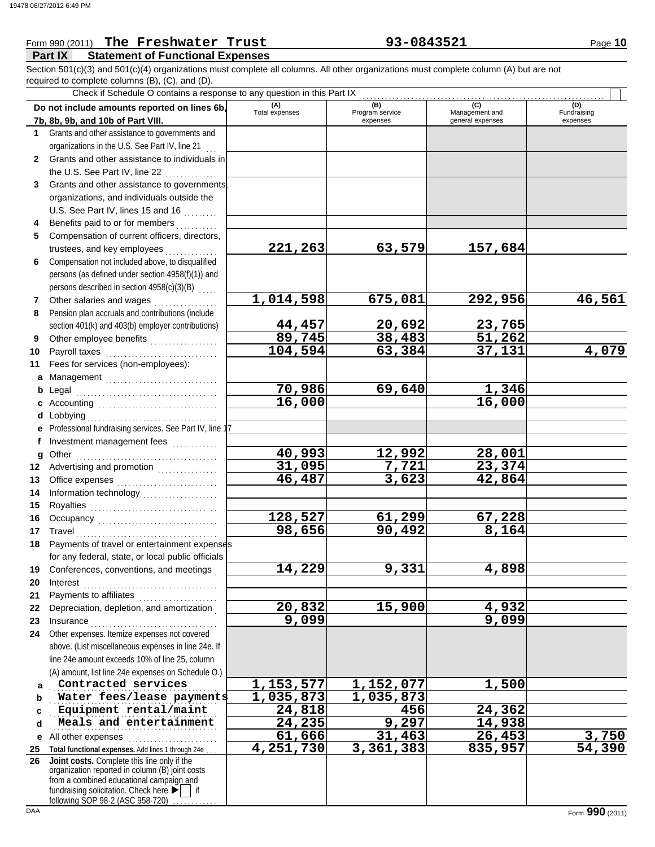## **Part IX Statement of Functional Expenses** Form 990 (2011) The Freshwater Trust **93-0843521** Page 10 required to complete columns (B), (C), and (D). Section 501(c)(3) and 501(c)(4) organizations must complete all columns. All other organizations must complete column (A) but are not

Check if Schedule O contains a response to any question in this Part IX

|              | Do not include amounts reported on lines 6b,<br>7b, 8b, 9b, and 10b of Part VIII.               | (A)<br><b>Total expenses</b> | (B)<br>Program service | (C)<br>Management and | (D)<br>Fundraising     |
|--------------|-------------------------------------------------------------------------------------------------|------------------------------|------------------------|-----------------------|------------------------|
| 1.           | Grants and other assistance to governments and                                                  |                              | expenses               | general expenses      | expenses               |
|              |                                                                                                 |                              |                        |                       |                        |
|              | organizations in the U.S. See Part IV, line 21<br>Grants and other assistance to individuals in |                              |                        |                       |                        |
| $\mathbf{2}$ | the U.S. See Part IV, line 22                                                                   |                              |                        |                       |                        |
| 3            | Grants and other assistance to governments                                                      |                              |                        |                       |                        |
|              | organizations, and individuals outside the                                                      |                              |                        |                       |                        |
|              | U.S. See Part IV, lines 15 and 16                                                               |                              |                        |                       |                        |
| 4            | Benefits paid to or for members                                                                 |                              |                        |                       |                        |
| 5            | Compensation of current officers, directors,                                                    |                              |                        |                       |                        |
|              | trustees, and key employees                                                                     | 221,263                      | 63,579                 | 157,684               |                        |
| 6            | Compensation not included above, to disqualified                                                |                              |                        |                       |                        |
|              | persons (as defined under section 4958(f)(1)) and                                               |                              |                        |                       |                        |
|              | persons described in section 4958(c)(3)(B)                                                      |                              |                        |                       |                        |
| $\mathbf{7}$ | Other salaries and wages                                                                        | 1,014,598                    | 675,081                | 292,956               | 46,561                 |
| 8            | Pension plan accruals and contributions (include                                                |                              |                        |                       |                        |
|              | section 401(k) and 403(b) employer contributions)                                               |                              | 20,692                 | 23,765                |                        |
| 9            | Other employee benefits                                                                         | 44,457<br>89,745             | 38,483                 | 51,262                |                        |
| 10           |                                                                                                 | 104,594                      | 63,384                 | 37,131                | 4,079                  |
| 11           | Fees for services (non-employees):                                                              |                              |                        |                       |                        |
|              |                                                                                                 |                              |                        |                       |                        |
|              |                                                                                                 | 70,986                       | 69,640                 | 1,346                 |                        |
| b            |                                                                                                 | 16,000                       |                        | 16,000                |                        |
|              |                                                                                                 |                              |                        |                       |                        |
|              | e Professional fundraising services. See Part IV, line 17                                       |                              |                        |                       |                        |
|              | Investment management fees                                                                      |                              |                        |                       |                        |
| f            |                                                                                                 | 40,993                       | 12,992                 | 28,001                |                        |
| g<br>12      | Advertising and promotion [1] [1] [1] Advertising and promotion                                 | 31,095                       | 7,721                  | 23,374                |                        |
| 13           |                                                                                                 | 46,487                       | 3,623                  | 42,864                |                        |
| 14           |                                                                                                 |                              |                        |                       |                        |
| 15           | Information technology<br>                                                                      |                              |                        |                       |                        |
| 16           |                                                                                                 | 128,527                      | 61,299                 | 67,228                |                        |
| 17           | Travel                                                                                          | 98,656                       | 90,492                 | 8,164                 |                        |
| 18           | Payments of travel or entertainment expenses                                                    |                              |                        |                       |                        |
|              | for any federal, state, or local public officials                                               |                              |                        |                       |                        |
|              | 19 Conferences, conventions, and meetings                                                       | 14,229                       | 9,331                  | 4,898                 |                        |
| 20           | Interest                                                                                        |                              |                        |                       |                        |
| 21           | Payments to affiliates                                                                          |                              |                        |                       |                        |
| 22           | Depreciation, depletion, and amortization                                                       | 20,832                       | 15,900                 | 4,932                 |                        |
| 23           |                                                                                                 | 9,099                        |                        | 9,099                 |                        |
| 24           | Other expenses. Itemize expenses not covered                                                    |                              |                        |                       |                        |
|              | above. (List miscellaneous expenses in line 24e. If                                             |                              |                        |                       |                        |
|              | line 24e amount exceeds 10% of line 25, column                                                  |                              |                        |                       |                        |
|              | (A) amount, list line 24e expenses on Schedule O.)                                              |                              |                        |                       |                        |
| a            | Contracted services                                                                             | 1,153,577                    | 1,152,077              | 1,500                 |                        |
| b            | Water fees/lease payments                                                                       | 1,035,873                    | 1,035,873              |                       |                        |
| c            | Equipment rental/maint                                                                          | 24,818                       | 456                    | 24,362                |                        |
| d            | Meals and entertainment                                                                         | 24,235                       | 9,297                  | 14,938                |                        |
| е            | All other expenses                                                                              | 61,666                       | 31,463                 | 26,453                |                        |
| 25           | Total functional expenses. Add lines 1 through 24e                                              | 4,251,730                    | 3,361,383              | 835,957               | $\frac{3,750}{54,390}$ |
| 26           | Joint costs. Complete this line only if the                                                     |                              |                        |                       |                        |
|              | organization reported in column (B) joint costs                                                 |                              |                        |                       |                        |
|              | from a combined educational campaign and<br>fundraising solicitation. Check here ▶              |                              |                        |                       |                        |
|              | following SOP 98-2 (ASC 958-720)                                                                |                              |                        |                       |                        |
| DAA          |                                                                                                 |                              |                        |                       | Form 990 (2011)        |

Г ┱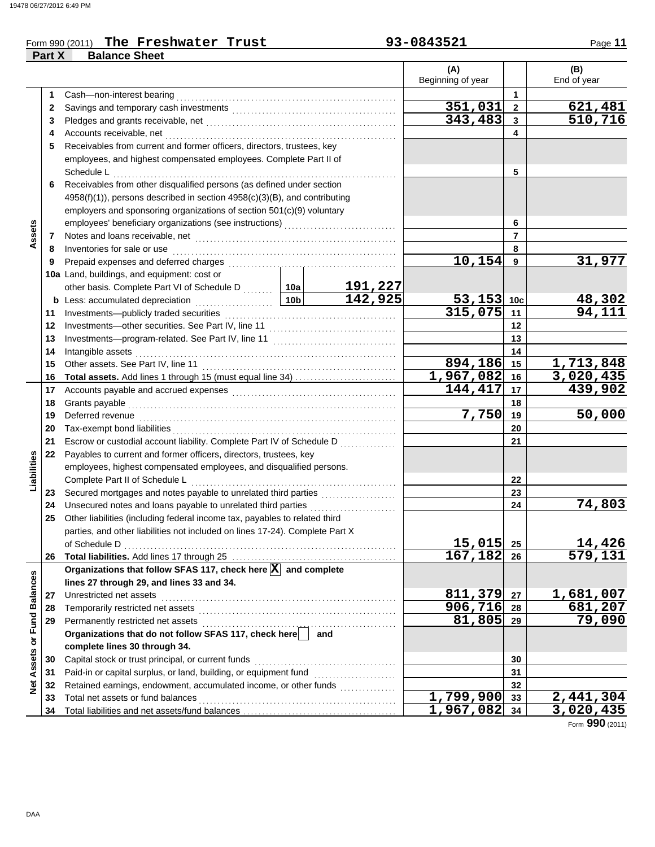### Form 990 (2011) The Freshwater Trust **93-0843521** Page 11 **The Freshwater Trust 93-0843521**

**Part X Balance Sheet**

|                             |    |                                                                                  |                 |                           | (A)                     |                | (B)         |
|-----------------------------|----|----------------------------------------------------------------------------------|-----------------|---------------------------|-------------------------|----------------|-------------|
|                             |    |                                                                                  |                 |                           | Beginning of year       |                | End of year |
|                             | 1  | Cash-non-interest bearing                                                        |                 |                           |                         | 1              |             |
|                             | 2  |                                                                                  |                 |                           | 351,031                 | $\overline{2}$ | 621,481     |
|                             | 3  |                                                                                  |                 |                           | 343,483                 | $\mathbf{3}$   | 510,716     |
|                             | 4  | Accounts receivable, net                                                         |                 |                           |                         | 4              |             |
|                             | 5  | Receivables from current and former officers, directors, trustees, key           |                 |                           |                         |                |             |
|                             |    | employees, and highest compensated employees. Complete Part II of                |                 |                           |                         |                |             |
|                             |    | Schedule L                                                                       |                 |                           |                         | 5              |             |
|                             | 6  | Receivables from other disqualified persons (as defined under section            |                 |                           |                         |                |             |
|                             |    | 4958(f)(1)), persons described in section 4958(c)(3)(B), and contributing        |                 |                           |                         |                |             |
|                             |    | employers and sponsoring organizations of section 501(c)(9) voluntary            |                 |                           |                         |                |             |
|                             |    |                                                                                  |                 | 6                         |                         |                |             |
| Assets                      | 7  |                                                                                  |                 | $\overline{7}$            |                         |                |             |
|                             | 8  | Inventories for sale or use                                                      |                 |                           |                         | 8              |             |
|                             | 9  | Prepaid expenses and deferred charges                                            |                 |                           | 10,154                  | 9              | 31,977      |
|                             |    | 10a Land, buildings, and equipment: cost or                                      |                 |                           |                         |                |             |
|                             |    | other basis. Complete Part VI of Schedule D  10a                                 |                 |                           |                         |                |             |
|                             |    | <b>b</b> Less: accumulated depreciation<br>.                                     | 10 <sub>b</sub> | $\frac{191,227}{142,925}$ | $53, 153$ 10c           |                |             |
|                             | 11 | Investments-publicly traded securities                                           | $315,075$ 11    |                           | $\frac{48,302}{94,111}$ |                |             |
|                             | 12 | Investments-other securities. See Part IV, line 11                               |                 |                           |                         | 12             |             |
|                             | 13 |                                                                                  |                 |                           |                         | 13             |             |
|                             | 14 | Intangible assets                                                                |                 |                           |                         | 14             |             |
|                             | 15 | Other assets. See Part IV, line 11                                               |                 |                           | 894,186 15              |                | 1,713,848   |
|                             | 16 | Total assets. Add lines 1 through 15 (must equal line 34)                        |                 |                           | 1,967,082 16            |                | 3,020,435   |
|                             | 17 |                                                                                  |                 |                           | 144, 417 17             |                | 439,902     |
|                             | 18 | Grants payable                                                                   |                 |                           |                         | 18             |             |
|                             | 19 | Deferred revenue                                                                 | 7,750           | 19                        | 50,000                  |                |             |
|                             | 20 | Tax-exempt bond liabilities                                                      |                 | 20                        |                         |                |             |
|                             | 21 | Escrow or custodial account liability. Complete Part IV of Schedule D            |                 | 21                        |                         |                |             |
|                             | 22 | Payables to current and former officers, directors, trustees, key                |                 |                           |                         |                |             |
| Liabilities                 |    | employees, highest compensated employees, and disqualified persons.              |                 |                           |                         |                |             |
|                             |    | Complete Part II of Schedule L                                                   |                 |                           |                         | 22             |             |
|                             | 23 | Secured mortgages and notes payable to unrelated third parties                   |                 |                           |                         | 23             |             |
|                             | 24 | Unsecured notes and loans payable to unrelated third parties                     |                 | .                         |                         | 24             | 74,803      |
|                             | 25 | Other liabilities (including federal income tax, payables to related third       |                 |                           |                         |                |             |
|                             |    | parties, and other liabilities not included on lines 17-24). Complete Part X     |                 |                           |                         |                |             |
|                             |    | of Schedule D                                                                    | $15,015$ 25     |                           | 14,426                  |                |             |
|                             | 26 |                                                                                  |                 |                           | 167,182                 | 26             | 579,131     |
|                             |    | Organizations that follow SFAS 117, check here $\boxed{\mathbf{X}}$ and complete |                 |                           |                         |                |             |
|                             |    | lines 27 through 29, and lines 33 and 34.                                        |                 |                           |                         |                |             |
|                             | 27 | Unrestricted net assets                                                          |                 |                           | 811,379                 | 27             | 1,681,007   |
|                             | 28 | Temporarily restricted net assets                                                |                 |                           | 906,716                 | 28             | 681,207     |
|                             | 29 | Permanently restricted net assets                                                |                 |                           | 81,805                  | 29             | 79,090      |
|                             |    | Organizations that do not follow SFAS 117, check here                            |                 | and                       |                         |                |             |
| Net Assets or Fund Balances |    | complete lines 30 through 34.                                                    |                 |                           |                         |                |             |
|                             | 30 | Capital stock or trust principal, or current funds                               |                 |                           |                         | 30             |             |
|                             | 31 | Paid-in or capital surplus, or land, building, or equipment fund                 |                 |                           |                         | 31             |             |
|                             | 32 | Retained earnings, endowment, accumulated income, or other funds                 |                 |                           |                         | 32             |             |
|                             | 33 | Total net assets or fund balances                                                |                 |                           | 1,799,900               | 33             | 2,441,304   |
|                             | 34 |                                                                                  |                 |                           | 1,967,082 34            |                | 3,020,435   |

Form **990** (2011)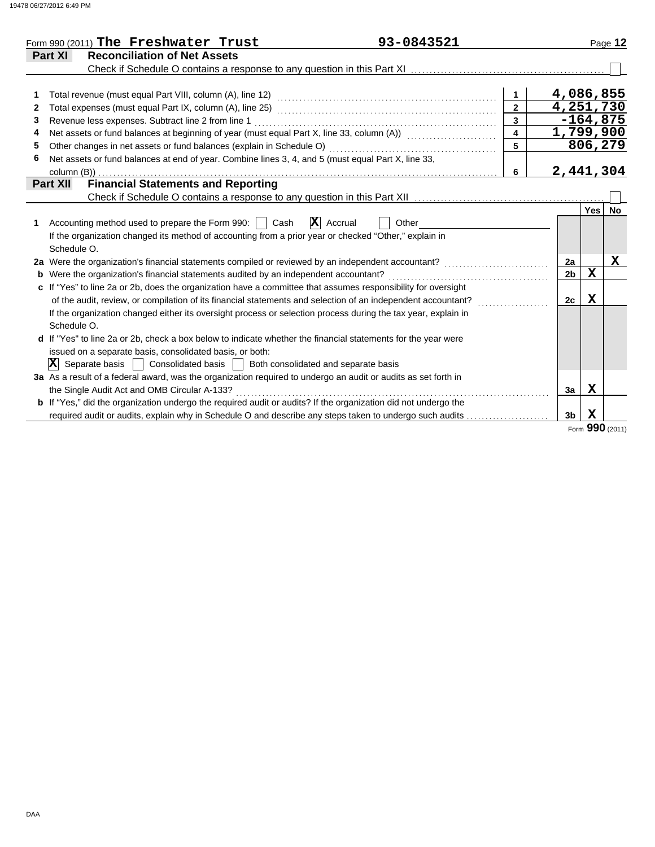| Form 990 (2011) The Freshwater Trust                                                                      | 93-0843521                                                                                                            |                         |                |              | Page 12     |
|-----------------------------------------------------------------------------------------------------------|-----------------------------------------------------------------------------------------------------------------------|-------------------------|----------------|--------------|-------------|
| <b>Part XI</b><br><b>Reconciliation of Net Assets</b>                                                     |                                                                                                                       |                         |                |              |             |
|                                                                                                           |                                                                                                                       |                         |                |              |             |
|                                                                                                           |                                                                                                                       | $\mathbf{1}$            | 4,086,855      |              |             |
|                                                                                                           |                                                                                                                       |                         | 4,251,730      |              |             |
| Revenue less expenses. Subtract line 2 from line 1<br>3                                                   |                                                                                                                       | $\overline{3}$          |                | $-164,875$   |             |
| 4                                                                                                         | Net assets or fund balances at beginning of year (must equal Part X, line 33, column (A)) [[[[[[[[[[[[[[[[[[[         | $\overline{\mathbf{4}}$ | 1,799,900      |              |             |
| Other changes in net assets or fund balances (explain in Schedule O)<br>5                                 |                                                                                                                       | 5                       |                | 806,279      |             |
| Net assets or fund balances at end of year. Combine lines 3, 4, and 5 (must equal Part X, line 33,<br>6   |                                                                                                                       |                         |                |              |             |
| column (B))                                                                                               |                                                                                                                       | 6                       | 2,441,304      |              |             |
| <b>Financial Statements and Reporting</b><br><b>Part XII</b>                                              |                                                                                                                       |                         |                |              |             |
|                                                                                                           |                                                                                                                       |                         |                |              |             |
|                                                                                                           |                                                                                                                       |                         |                |              | Yes No      |
| Accounting method used to prepare the Form 990:     Cash                                                  | $\mathbf{X}$ Accrual<br>Other                                                                                         |                         |                |              |             |
| If the organization changed its method of accounting from a prior year or checked "Other," explain in     |                                                                                                                       |                         |                |              |             |
| Schedule O.                                                                                               |                                                                                                                       |                         |                |              |             |
|                                                                                                           |                                                                                                                       |                         | 2a             |              | $\mathbf x$ |
| <b>b</b> Were the organization's financial statements audited by an independent accountant?               |                                                                                                                       |                         | 2 <sub>b</sub> | $\mathbf{x}$ |             |
|                                                                                                           | c If "Yes" to line 2a or 2b, does the organization have a committee that assumes responsibility for oversight         |                         |                |              |             |
|                                                                                                           | of the audit, review, or compilation of its financial statements and selection of an independent accountant?          |                         | 2c             | $\mathbf x$  |             |
| Schedule O.                                                                                               | If the organization changed either its oversight process or selection process during the tax year, explain in         |                         |                |              |             |
|                                                                                                           | d If "Yes" to line 2a or 2b, check a box below to indicate whether the financial statements for the year were         |                         |                |              |             |
| issued on a separate basis, consolidated basis, or both:                                                  |                                                                                                                       |                         |                |              |             |
| $ \mathbf{X} $ Separate basis $ \cdot $ Consolidated basis $ \cdot $ Both consolidated and separate basis |                                                                                                                       |                         |                |              |             |
|                                                                                                           | 3a As a result of a federal award, was the organization required to undergo an audit or audits as set forth in        |                         |                |              |             |
| the Single Audit Act and OMB Circular A-133?                                                              |                                                                                                                       |                         | 3a             | X            |             |
|                                                                                                           | <b>b</b> If "Yes," did the organization undergo the required audit or audits? If the organization did not undergo the |                         |                |              |             |
|                                                                                                           | required audit or audits, explain why in Schedule O and describe any steps taken to undergo such audits               |                         | 3 <sub>b</sub> | $\mathbf x$  |             |

Form **990** (2011)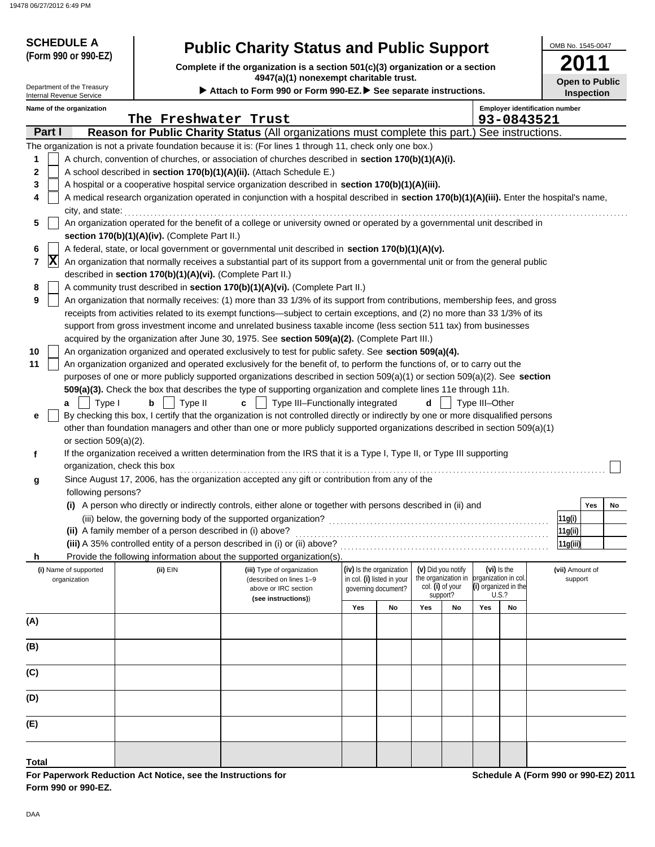|     |        | 8 06/27/2012 6:49 PM                                 |                                                            |                                                                                                                                                                                                                                                                 |     |                                                        |     |                                           |                      |                                                     |                            |                   |    |
|-----|--------|------------------------------------------------------|------------------------------------------------------------|-----------------------------------------------------------------------------------------------------------------------------------------------------------------------------------------------------------------------------------------------------------------|-----|--------------------------------------------------------|-----|-------------------------------------------|----------------------|-----------------------------------------------------|----------------------------|-------------------|----|
|     |        | <b>SCHEDULE A</b>                                    |                                                            |                                                                                                                                                                                                                                                                 |     |                                                        |     |                                           |                      |                                                     | OMB No. 1545-0047          |                   |    |
|     |        | (Form 990 or 990-EZ)                                 |                                                            | <b>Public Charity Status and Public Support</b><br>Complete if the organization is a section 501(c)(3) organization or a section<br>4947(a)(1) nonexempt charitable trust.                                                                                      |     |                                                        |     |                                           |                      |                                                     |                            |                   |    |
|     |        | Department of the Treasury                           |                                                            | Attach to Form 990 or Form 990-EZ. See separate instructions.                                                                                                                                                                                                   |     |                                                        |     |                                           |                      |                                                     | <b>Open to Public</b>      | <b>Inspection</b> |    |
|     |        | Internal Revenue Service<br>Name of the organization | The Freshwater Trust                                       |                                                                                                                                                                                                                                                                 |     |                                                        |     |                                           |                      | <b>Employer identification number</b><br>93-0843521 |                            |                   |    |
|     | Part I |                                                      |                                                            | Reason for Public Charity Status (All organizations must complete this part.) See instructions.                                                                                                                                                                 |     |                                                        |     |                                           |                      |                                                     |                            |                   |    |
|     |        |                                                      |                                                            | The organization is not a private foundation because it is: (For lines 1 through 11, check only one box.)                                                                                                                                                       |     |                                                        |     |                                           |                      |                                                     |                            |                   |    |
| 1   |        |                                                      |                                                            | A church, convention of churches, or association of churches described in section 170(b)(1)(A)(i).                                                                                                                                                              |     |                                                        |     |                                           |                      |                                                     |                            |                   |    |
| 2   |        |                                                      |                                                            | A school described in section 170(b)(1)(A)(ii). (Attach Schedule E.)                                                                                                                                                                                            |     |                                                        |     |                                           |                      |                                                     |                            |                   |    |
| 3   |        |                                                      |                                                            | A hospital or a cooperative hospital service organization described in section 170(b)(1)(A)(iii).                                                                                                                                                               |     |                                                        |     |                                           |                      |                                                     |                            |                   |    |
| 4   |        |                                                      |                                                            | A medical research organization operated in conjunction with a hospital described in section 170(b)(1)(A)(iii). Enter the hospital's name,                                                                                                                      |     |                                                        |     |                                           |                      |                                                     |                            |                   |    |
|     |        | city, and state:                                     |                                                            |                                                                                                                                                                                                                                                                 |     |                                                        |     |                                           |                      |                                                     |                            |                   |    |
| 5   |        |                                                      |                                                            | An organization operated for the benefit of a college or university owned or operated by a governmental unit described in                                                                                                                                       |     |                                                        |     |                                           |                      |                                                     |                            |                   |    |
|     |        |                                                      | section $170(b)(1)(A)(iv)$ . (Complete Part II.)           |                                                                                                                                                                                                                                                                 |     |                                                        |     |                                           |                      |                                                     |                            |                   |    |
| 6   | X      |                                                      |                                                            | A federal, state, or local government or governmental unit described in section 170(b)(1)(A)(v).                                                                                                                                                                |     |                                                        |     |                                           |                      |                                                     |                            |                   |    |
| 7   |        |                                                      | described in section 170(b)(1)(A)(vi). (Complete Part II.) | An organization that normally receives a substantial part of its support from a governmental unit or from the general public                                                                                                                                    |     |                                                        |     |                                           |                      |                                                     |                            |                   |    |
| 8   |        |                                                      |                                                            | A community trust described in section 170(b)(1)(A)(vi). (Complete Part II.)                                                                                                                                                                                    |     |                                                        |     |                                           |                      |                                                     |                            |                   |    |
| 9   |        |                                                      |                                                            | An organization that normally receives: (1) more than 33 1/3% of its support from contributions, membership fees, and gross                                                                                                                                     |     |                                                        |     |                                           |                      |                                                     |                            |                   |    |
|     |        |                                                      |                                                            | receipts from activities related to its exempt functions—subject to certain exceptions, and (2) no more than 33 1/3% of its                                                                                                                                     |     |                                                        |     |                                           |                      |                                                     |                            |                   |    |
|     |        |                                                      |                                                            | support from gross investment income and unrelated business taxable income (less section 511 tax) from businesses                                                                                                                                               |     |                                                        |     |                                           |                      |                                                     |                            |                   |    |
|     |        |                                                      |                                                            | acquired by the organization after June 30, 1975. See section 509(a)(2). (Complete Part III.)                                                                                                                                                                   |     |                                                        |     |                                           |                      |                                                     |                            |                   |    |
| 10  |        |                                                      |                                                            | An organization organized and operated exclusively to test for public safety. See section 509(a)(4).                                                                                                                                                            |     |                                                        |     |                                           |                      |                                                     |                            |                   |    |
| 11  |        |                                                      |                                                            | An organization organized and operated exclusively for the benefit of, to perform the functions of, or to carry out the                                                                                                                                         |     |                                                        |     |                                           |                      |                                                     |                            |                   |    |
|     |        |                                                      |                                                            | purposes of one or more publicly supported organizations described in section 509(a)(1) or section 509(a)(2). See section                                                                                                                                       |     |                                                        |     |                                           |                      |                                                     |                            |                   |    |
|     |        |                                                      |                                                            | 509(a)(3). Check the box that describes the type of supporting organization and complete lines 11e through 11h.                                                                                                                                                 |     |                                                        |     |                                           |                      |                                                     |                            |                   |    |
|     |        | Type I<br>a                                          | b<br>Type II                                               | Type III-Functionally integrated<br>C                                                                                                                                                                                                                           |     |                                                        | d   |                                           | Type III-Other       |                                                     |                            |                   |    |
| е   |        |                                                      |                                                            | By checking this box, I certify that the organization is not controlled directly or indirectly by one or more disqualified persons<br>other than foundation managers and other than one or more publicly supported organizations described in section 509(a)(1) |     |                                                        |     |                                           |                      |                                                     |                            |                   |    |
|     |        | or section $509(a)(2)$ .                             |                                                            |                                                                                                                                                                                                                                                                 |     |                                                        |     |                                           |                      |                                                     |                            |                   |    |
| f   |        |                                                      |                                                            | If the organization received a written determination from the IRS that it is a Type I, Type II, or Type III supporting                                                                                                                                          |     |                                                        |     |                                           |                      |                                                     |                            |                   |    |
|     |        |                                                      | organization, check this box                               |                                                                                                                                                                                                                                                                 |     |                                                        |     |                                           |                      |                                                     |                            |                   |    |
| g   |        |                                                      |                                                            | Since August 17, 2006, has the organization accepted any gift or contribution from any of the                                                                                                                                                                   |     |                                                        |     |                                           |                      |                                                     |                            |                   |    |
|     |        | following persons?                                   |                                                            |                                                                                                                                                                                                                                                                 |     |                                                        |     |                                           |                      |                                                     |                            |                   |    |
|     |        |                                                      |                                                            | (i) A person who directly or indirectly controls, either alone or together with persons described in (ii) and                                                                                                                                                   |     |                                                        |     |                                           |                      |                                                     |                            | Yes               | No |
|     |        |                                                      |                                                            | (iii) below, the governing body of the supported organization?                                                                                                                                                                                                  |     |                                                        |     |                                           |                      |                                                     | 11g(i)                     |                   |    |
|     |        |                                                      | (ii) A family member of a person described in (i) above?   |                                                                                                                                                                                                                                                                 |     |                                                        |     |                                           |                      |                                                     | 11g(ii)                    |                   |    |
|     |        |                                                      |                                                            | (iii) A 35% controlled entity of a person described in (i) or (ii) above?                                                                                                                                                                                       |     |                                                        |     |                                           |                      |                                                     | 11g(iii)                   |                   |    |
| h   |        |                                                      |                                                            | Provide the following information about the supported organization(s)                                                                                                                                                                                           |     |                                                        |     |                                           |                      |                                                     |                            |                   |    |
|     |        | (i) Name of supported<br>organization                | (ii) EIN                                                   | (iii) Type of organization<br>(described on lines 1-9                                                                                                                                                                                                           |     | (iv) Is the organization<br>in col. (i) listed in your |     | (v) Did you notify<br>the organization in | organization in col. | $(vi)$ is the                                       | (vii) Amount of<br>support |                   |    |
|     |        |                                                      |                                                            | above or IRC section                                                                                                                                                                                                                                            |     | qoverning document?                                    |     | col. (i) of your<br>support?              | (i) organized in the | U.S.?                                               |                            |                   |    |
|     |        |                                                      |                                                            | (see instructions))                                                                                                                                                                                                                                             | Yes | No                                                     | Yes | No                                        | Yes                  | No                                                  |                            |                   |    |
| (A) |        |                                                      |                                                            |                                                                                                                                                                                                                                                                 |     |                                                        |     |                                           |                      |                                                     |                            |                   |    |
|     |        |                                                      |                                                            |                                                                                                                                                                                                                                                                 |     |                                                        |     |                                           |                      |                                                     |                            |                   |    |
| (B) |        |                                                      |                                                            |                                                                                                                                                                                                                                                                 |     |                                                        |     |                                           |                      |                                                     |                            |                   |    |
| (C) |        |                                                      |                                                            |                                                                                                                                                                                                                                                                 |     |                                                        |     |                                           |                      |                                                     |                            |                   |    |

| For Paperwork Reduction Act Notice, see the Instructions for |
|--------------------------------------------------------------|
| Form 990 or 990-EZ.                                          |

**Schedule A (Form 990 or 990-EZ) 2011**

**Total**

**(E)**

**(D)**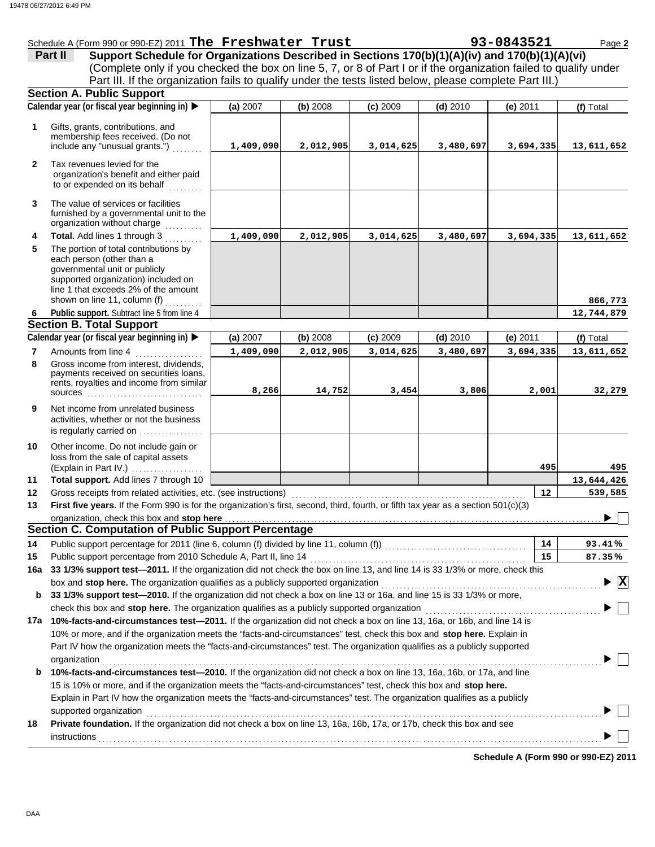|                | 8 06/27/2012 6:49 PM                                                                                                                                                                                                                                                                                                                                                                               |           |           |            |            |            |                                           |
|----------------|----------------------------------------------------------------------------------------------------------------------------------------------------------------------------------------------------------------------------------------------------------------------------------------------------------------------------------------------------------------------------------------------------|-----------|-----------|------------|------------|------------|-------------------------------------------|
|                | Schedule A (Form 990 or 990-EZ) 2011 The Freshwater Trust<br>Part II                                                                                                                                                                                                                                                                                                                               |           |           |            |            | 93-0843521 | Page 2                                    |
|                | Support Schedule for Organizations Described in Sections 170(b)(1)(A)(iv) and 170(b)(1)(A)(vi)<br>(Complete only if you checked the box on line 5, 7, or 8 of Part I or if the organization failed to qualify under                                                                                                                                                                                |           |           |            |            |            |                                           |
|                | Part III. If the organization fails to qualify under the tests listed below, please complete Part III.)                                                                                                                                                                                                                                                                                            |           |           |            |            |            |                                           |
|                | <b>Section A. Public Support</b>                                                                                                                                                                                                                                                                                                                                                                   |           |           |            |            |            |                                           |
|                | Calendar year (or fiscal year beginning in)                                                                                                                                                                                                                                                                                                                                                        | (a) 2007  | (b) 2008  | $(c)$ 2009 | $(d)$ 2010 | $(e)$ 2011 | (f) Total                                 |
|                |                                                                                                                                                                                                                                                                                                                                                                                                    |           |           |            |            |            |                                           |
| 1              | Gifts, grants, contributions, and<br>membership fees received. (Do not<br>include any "unusual grants.")                                                                                                                                                                                                                                                                                           | 1,409,090 | 2,012,905 | 3,014,625  | 3,480,697  | 3,694,335  | 13,611,652                                |
| $\mathbf{2}$   | Tax revenues levied for the<br>organization's benefit and either paid<br>to or expended on its behalf                                                                                                                                                                                                                                                                                              |           |           |            |            |            |                                           |
| 3              | The value of services or facilities<br>furnished by a governmental unit to the<br>organization without charge                                                                                                                                                                                                                                                                                      |           |           |            |            |            |                                           |
| 4              | Total. Add lines 1 through 3                                                                                                                                                                                                                                                                                                                                                                       | 1,409,090 | 2,012,905 | 3,014,625  | 3,480,697  | 3,694,335  | 13,611,652                                |
| 5              | The portion of total contributions by<br>each person (other than a<br>governmental unit or publicly<br>supported organization) included on<br>line 1 that exceeds 2% of the amount<br>shown on line 11, column (f)                                                                                                                                                                                 |           |           |            |            |            | 866,773                                   |
| 6              | Public support. Subtract line 5 from line 4                                                                                                                                                                                                                                                                                                                                                        |           |           |            |            |            | 12,744,879                                |
|                | <b>Section B. Total Support</b>                                                                                                                                                                                                                                                                                                                                                                    |           |           |            |            |            |                                           |
|                | Calendar year (or fiscal year beginning in)                                                                                                                                                                                                                                                                                                                                                        | (a) 2007  | (b) 2008  | $(c)$ 2009 | $(d)$ 2010 | $(e)$ 2011 | (f) Total                                 |
| $\overline{7}$ | Amounts from line 4                                                                                                                                                                                                                                                                                                                                                                                | 1,409,090 | 2,012,905 | 3,014,625  | 3,480,697  | 3,694,335  | 13,611,652                                |
| 8              | Gross income from interest, dividends,<br>payments received on securities loans,<br>rents, royalties and income from similar<br><b>SOUICES</b>                                                                                                                                                                                                                                                     | 8,266     | 14,752    | 3,454      | 3,806      | 2,001      | 32,279                                    |
| 9              | Net income from unrelated business<br>activities, whether or not the business<br>is regularly carried on                                                                                                                                                                                                                                                                                           |           |           |            |            |            |                                           |
| 10             | Other income. Do not include gain or<br>loss from the sale of capital assets<br>(Explain in Part IV.)                                                                                                                                                                                                                                                                                              |           |           |            |            | 495        | 495                                       |
| 11             | Total support. Add lines 7 through 10                                                                                                                                                                                                                                                                                                                                                              |           |           |            |            |            | 13,644,426                                |
| 12             | Gross receipts from related activities, etc. (see instructions)                                                                                                                                                                                                                                                                                                                                    |           |           |            |            | 12         | 539,585                                   |
| 13             | First five years. If the Form 990 is for the organization's first, second, third, fourth, or fifth tax year as a section 501(c)(3)<br>organization, check this box and stop here<br><b>Section C. Computation of Public Support Percentage</b>                                                                                                                                                     |           |           |            |            |            |                                           |
| 14             | Public support percentage for 2011 (line 6, column (f) divided by line 11, column (f)) [[[[[[[[[[[[[[[[[[[[[[                                                                                                                                                                                                                                                                                      |           |           |            |            | 14         | 93.41%                                    |
| 15             | Public support percentage from 2010 Schedule A, Part II, line 14                                                                                                                                                                                                                                                                                                                                   |           |           |            |            | 15         | 87.35%                                    |
| 16a            | 33 1/3% support test-2011. If the organization did not check the box on line 13, and line 14 is 33 1/3% or more, check this<br>box and stop here. The organization qualifies as a publicly supported organization                                                                                                                                                                                  |           |           |            |            |            | $\blacktriangleright \overline{\text{X}}$ |
| b              | 33 1/3% support test-2010. If the organization did not check a box on line 13 or 16a, and line 15 is 33 1/3% or more,                                                                                                                                                                                                                                                                              |           |           |            |            |            |                                           |
|                |                                                                                                                                                                                                                                                                                                                                                                                                    |           |           |            |            |            |                                           |
|                | 17a 10%-facts-and-circumstances test-2011. If the organization did not check a box on line 13, 16a, or 16b, and line 14 is<br>10% or more, and if the organization meets the "facts-and-circumstances" test, check this box and stop here. Explain in<br>Part IV how the organization meets the "facts-and-circumstances" test. The organization qualifies as a publicly supported<br>organization |           |           |            |            |            |                                           |

|    | <b>UI yui lieuwii</b>                                                                                                          |
|----|--------------------------------------------------------------------------------------------------------------------------------|
|    | <b>b</b> 10%-facts-and-circumstances test-2010. If the organization did not check a box on line 13, 16a, 16b, or 17a, and line |
|    | 15 is 10% or more, and if the organization meets the "facts-and-circumstances" test, check this box and stop here.             |
|    | Explain in Part IV how the organization meets the "facts-and-circumstances" test. The organization qualifies as a publicly     |
|    | supported organization                                                                                                         |
| 18 | Private foundation. If the organization did not check a box on line 13, 16a, 16b, 17a, or 17b, check this box and see          |
|    | instructions                                                                                                                   |
|    |                                                                                                                                |

**Schedule A (Form 990 or 990-EZ) 2011**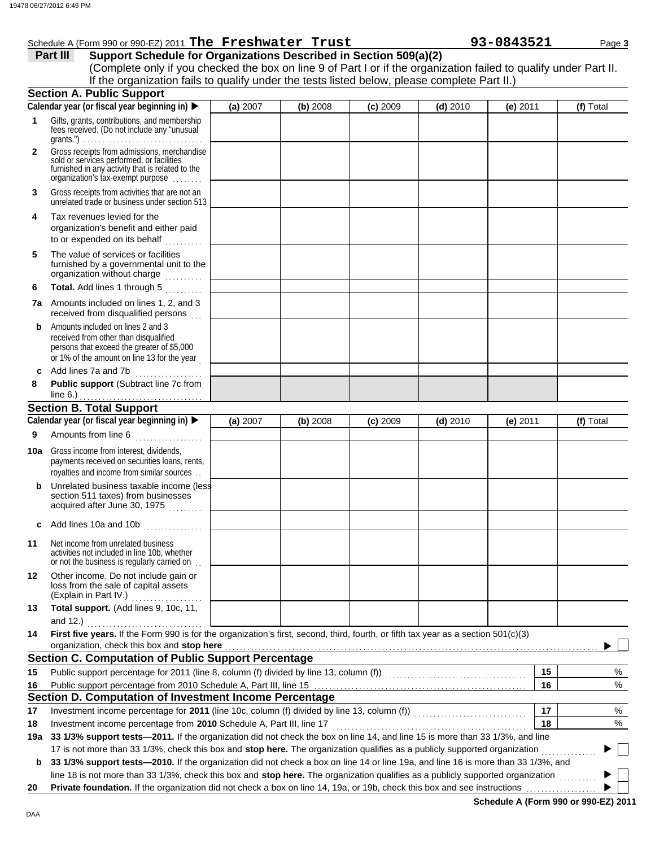|              | 8 06/27/2012 6:49 PM                                                                                                                                                                                                                                                                               |          |          |            |            |            |           |
|--------------|----------------------------------------------------------------------------------------------------------------------------------------------------------------------------------------------------------------------------------------------------------------------------------------------------|----------|----------|------------|------------|------------|-----------|
|              | Schedule A (Form 990 or 990-EZ) 2011 The Freshwater Trust                                                                                                                                                                                                                                          |          |          |            |            | 93-0843521 | Page 3    |
|              | Support Schedule for Organizations Described in Section 509(a)(2)<br>Part III<br>(Complete only if you checked the box on line 9 of Part I or if the organization failed to qualify under Part II.<br>If the organization fails to qualify under the tests listed below, please complete Part II.) |          |          |            |            |            |           |
|              | <b>Section A. Public Support</b>                                                                                                                                                                                                                                                                   |          |          |            |            |            |           |
|              | Calendar year (or fiscal year beginning in)                                                                                                                                                                                                                                                        | (a) 2007 | (b) 2008 | $(c)$ 2009 | $(d)$ 2010 | (e) 2011   | (f) Total |
| 1            | Gifts, grants, contributions, and membership<br>fees received. (Do not include any "unusual                                                                                                                                                                                                        |          |          |            |            |            |           |
| $\mathbf{2}$ | Gross receipts from admissions, merchandise<br>sold or services performed, or facilities<br>furnished in any activity that is related to the<br>organization's tax-exempt purpose                                                                                                                  |          |          |            |            |            |           |
| 3            | Gross receipts from activities that are not an<br>unrelated trade or business under section 513                                                                                                                                                                                                    |          |          |            |            |            |           |
| 4            | Tax revenues levied for the<br>organization's benefit and either paid<br>to or expended on its behalf                                                                                                                                                                                              |          |          |            |            |            |           |
| 5            | The value of services or facilities<br>furnished by a governmental unit to the<br>organization without charge                                                                                                                                                                                      |          |          |            |            |            |           |
| 6            | Total. Add lines 1 through 5                                                                                                                                                                                                                                                                       |          |          |            |            |            |           |
|              | <b>7a</b> Amounts included on lines 1, 2, and 3<br>received from disqualified persons                                                                                                                                                                                                              |          |          |            |            |            |           |
| b            | Amounts included on lines 2 and 3<br>received from other than disqualified<br>persons that exceed the greater of \$5,000<br>or 1% of the amount on line 13 for the year                                                                                                                            |          |          |            |            |            |           |
| c            | Add lines 7a and 7b                                                                                                                                                                                                                                                                                |          |          |            |            |            |           |
| 8            | Public support (Subtract line 7c from                                                                                                                                                                                                                                                              |          |          |            |            |            |           |
|              |                                                                                                                                                                                                                                                                                                    |          |          |            |            |            |           |
|              | <b>Section B. Total Support</b>                                                                                                                                                                                                                                                                    |          |          |            |            |            |           |
|              | Calendar year (or fiscal year beginning in)                                                                                                                                                                                                                                                        | (a) 2007 | (b) 2008 | $(c)$ 2009 | $(d)$ 2010 | (e) $2011$ | (f) Total |
| 9            | Amounts from line 6                                                                                                                                                                                                                                                                                |          |          |            |            |            |           |
|              | <b>10a</b> Gross income from interest, dividends,<br>payments received on securities loans, rents,<br>royalties and income from similar sources                                                                                                                                                    |          |          |            |            |            |           |
| b            | Unrelated business taxable income (less<br>section 511 taxes) from businesses<br>acquired after June 30, 1975                                                                                                                                                                                      |          |          |            |            |            |           |
| c            | Add lines 10a and 10b                                                                                                                                                                                                                                                                              |          |          |            |            |            |           |
| 11           | Net income from unrelated business<br>activities not included in line 10b, whether<br>or not the business is regularly carried on                                                                                                                                                                  |          |          |            |            |            |           |
| 12           | Other income. Do not include gain or<br>loss from the sale of capital assets<br>(Explain in Part IV.)                                                                                                                                                                                              |          |          |            |            |            |           |
| 13           | Total support. (Add lines 9, 10c, 11,<br>and 12.) $\qquad \qquad$                                                                                                                                                                                                                                  |          |          |            |            |            |           |
| 14           | First five years. If the Form 990 is for the organization's first, second, third, fourth, or fifth tax year as a section 501(c)(3)                                                                                                                                                                 |          |          |            |            |            |           |
|              | organization, check this box and stop here <b>contained</b> and according to the contained a state of the contained and stop here contained a structure of the contained and structure of the contained and structure of the contai                                                                |          |          |            |            |            |           |
|              | <b>Section C. Computation of Public Support Percentage</b>                                                                                                                                                                                                                                         |          |          |            |            |            |           |
| 15           |                                                                                                                                                                                                                                                                                                    |          |          |            |            | 15         | %         |
| 16           |                                                                                                                                                                                                                                                                                                    |          |          |            |            | 16         | %         |
|              | Section D. Computation of Investment Income Percentage                                                                                                                                                                                                                                             |          |          |            |            |            |           |
| 17           |                                                                                                                                                                                                                                                                                                    |          |          |            |            | 17         | %         |
| 18           |                                                                                                                                                                                                                                                                                                    |          |          |            |            | 18         | %         |
| 19a          | 33 1/3% support tests-2011. If the organization did not check the box on line 14, and line 15 is more than 33 1/3%, and line                                                                                                                                                                       |          |          |            |            |            |           |
|              | 17 is not more than 33 1/3%, check this box and stop here. The organization qualifies as a publicly supported organization                                                                                                                                                                         |          |          |            |            |            |           |

**b** 33 1/3% support tests-2010. If the organization did not check a box on line 14 or line 19a, and line 16 is more than 33 1/3%, and line 18 is not more than 33 1/3%, check this box and **stop here.** The organization qualifies as a publicly supported organization .........

**20 Private foundation.** If the organization did not check a box on line 14, 19a, or 19b, check this box and see instructions

**Schedule A (Form 990 or 990-EZ) 2011**

 $\blacktriangleright$ Ь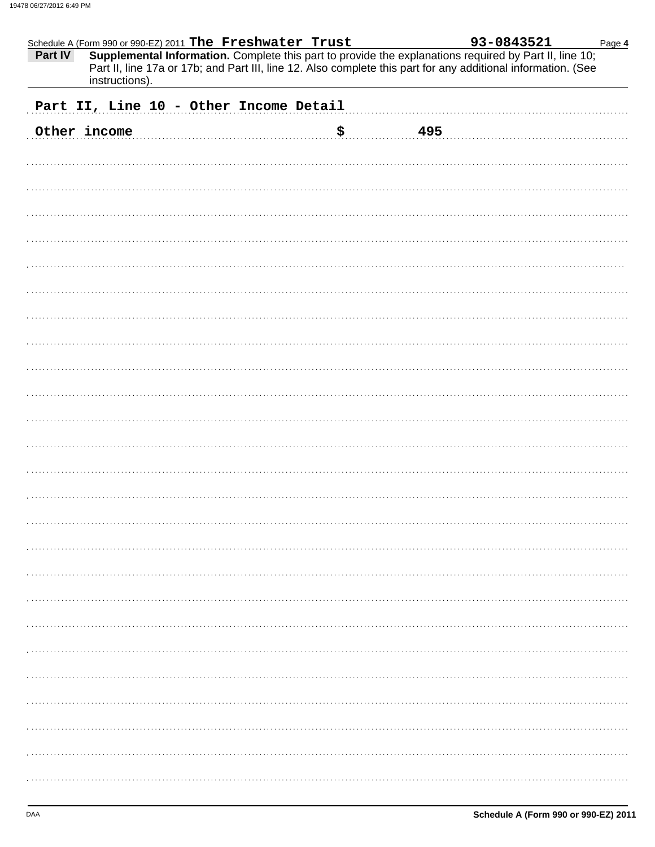| Schedule A (Form 990 or 990-EZ) 2011 The Freshwater Trust<br>Part IV<br>Supplemental Information. Complete this part to provide the explanations required by Part II, line 10;<br>Part II, line 17a or 17b; and Part III, line 12. Also complete this part for any additional information. (See<br>instructions). |           | 93-0843521<br>Page 4 |
|-------------------------------------------------------------------------------------------------------------------------------------------------------------------------------------------------------------------------------------------------------------------------------------------------------------------|-----------|----------------------|
| Part II, Line 10 - Other Income Detail                                                                                                                                                                                                                                                                            |           |                      |
| Other income                                                                                                                                                                                                                                                                                                      | \$<br>495 |                      |
|                                                                                                                                                                                                                                                                                                                   |           |                      |
|                                                                                                                                                                                                                                                                                                                   |           |                      |
|                                                                                                                                                                                                                                                                                                                   |           |                      |
|                                                                                                                                                                                                                                                                                                                   |           |                      |
|                                                                                                                                                                                                                                                                                                                   |           |                      |
|                                                                                                                                                                                                                                                                                                                   |           |                      |
|                                                                                                                                                                                                                                                                                                                   |           |                      |
|                                                                                                                                                                                                                                                                                                                   |           |                      |
|                                                                                                                                                                                                                                                                                                                   |           |                      |
|                                                                                                                                                                                                                                                                                                                   |           |                      |
|                                                                                                                                                                                                                                                                                                                   |           |                      |
|                                                                                                                                                                                                                                                                                                                   |           |                      |
|                                                                                                                                                                                                                                                                                                                   |           |                      |
|                                                                                                                                                                                                                                                                                                                   |           |                      |
|                                                                                                                                                                                                                                                                                                                   |           |                      |
|                                                                                                                                                                                                                                                                                                                   |           |                      |
|                                                                                                                                                                                                                                                                                                                   |           |                      |
|                                                                                                                                                                                                                                                                                                                   |           |                      |
|                                                                                                                                                                                                                                                                                                                   |           |                      |
|                                                                                                                                                                                                                                                                                                                   |           |                      |
|                                                                                                                                                                                                                                                                                                                   |           |                      |
|                                                                                                                                                                                                                                                                                                                   |           |                      |
|                                                                                                                                                                                                                                                                                                                   |           |                      |
|                                                                                                                                                                                                                                                                                                                   |           |                      |
|                                                                                                                                                                                                                                                                                                                   |           |                      |
|                                                                                                                                                                                                                                                                                                                   |           |                      |
|                                                                                                                                                                                                                                                                                                                   |           |                      |
|                                                                                                                                                                                                                                                                                                                   |           |                      |
|                                                                                                                                                                                                                                                                                                                   |           |                      |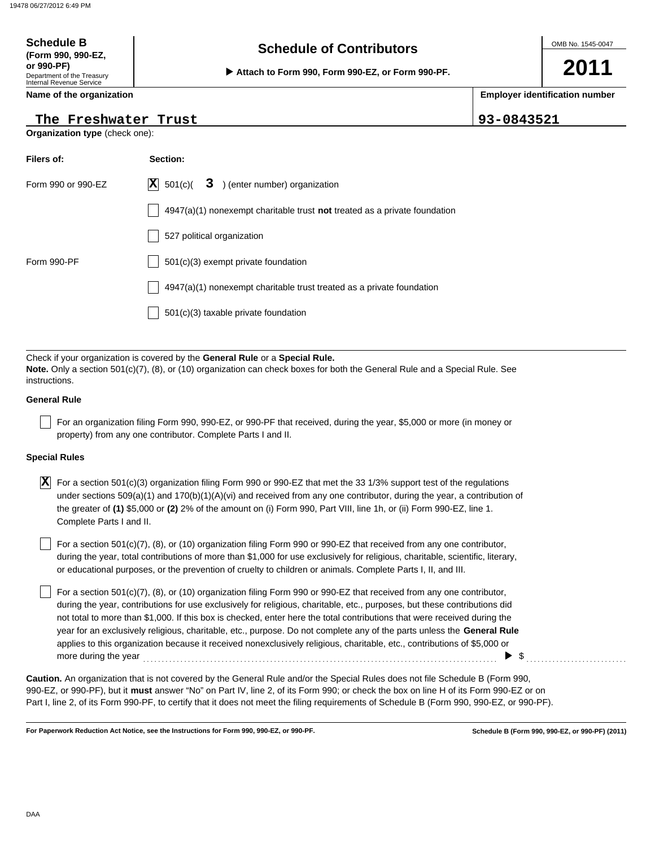## Department of the Treasury Internal Revenue Service **Schedule of Contributors Schedule B (Form 990, 990-EZ, or 990-PF)**<br> **▶ Attach to Form 990, Form 990-EZ, or Form 990-PF.**

**Name of the organization**

### **The Freshwater Trust 93-0843521**

**Organization type** (check one):

| Filers of:         | Section:                                                                           |
|--------------------|------------------------------------------------------------------------------------|
| Form 990 or 990-EZ | $ \mathbf{X} $ 501(c)(<br>3 ) (enter number) organization                          |
|                    | $4947(a)(1)$ nonexempt charitable trust <b>not</b> treated as a private foundation |
|                    | 527 political organization                                                         |
| Form 990-PF        | $501(c)(3)$ exempt private foundation                                              |
|                    | 4947(a)(1) nonexempt charitable trust treated as a private foundation              |
|                    | $501(c)(3)$ taxable private foundation                                             |

Check if your organization is covered by the **General Rule** or a **Special Rule. Note.** Only a section 501(c)(7), (8), or (10) organization can check boxes for both the General Rule and a Special Rule. See instructions.

### **General Rule**

For an organization filing Form 990, 990-EZ, or 990-PF that received, during the year, \$5,000 or more (in money or property) from any one contributor. Complete Parts I and II.

### **Special Rules**

 $\overline{\textbf{X}}$  For a section 501(c)(3) organization filing Form 990 or 990-EZ that met the 33 1/3% support test of the regulations under sections 509(a)(1) and 170(b)(1)(A)(vi) and received from any one contributor, during the year, a contribution of the greater of **(1)** \$5,000 or **(2)** 2% of the amount on (i) Form 990, Part VIII, line 1h, or (ii) Form 990-EZ, line 1. Complete Parts I and II.

or educational purposes, or the prevention of cruelty to children or animals. Complete Parts I, II, and III. For a section 501(c)(7), (8), or (10) organization filing Form 990 or 990-EZ that received from any one contributor, during the year, total contributions of more than \$1,000 for use exclusively for religious, charitable, scientific, literary,

For a section  $501(c)(7)$ , (8), or (10) organization filing Form 990 or 990-EZ that received from any one contributor, during the year, contributions for use exclusively for religious, charitable, etc., purposes, but these contributions did not total to more than \$1,000. If this box is checked, enter here the total contributions that were received during the year for an exclusively religious, charitable, etc., purpose. Do not complete any of the parts unless the **General Rule** applies to this organization because it received nonexclusively religious, charitable, etc., contributions of \$5,000 or more during the year  $\ldots$   $\ldots$   $\ldots$   $\ldots$   $\ldots$   $\ldots$   $\ldots$   $\ldots$   $\ldots$   $\ldots$   $\ldots$   $\ldots$   $\ldots$   $\ldots$ 

990-EZ, or 990-PF), but it **must** answer "No" on Part IV, line 2, of its Form 990; or check the box on line H of its Form 990-EZ or on Part I, line 2, of its Form 990-PF, to certify that it does not meet the filing requirements of Schedule B (Form 990, 990-EZ, or 990-PF). **Caution.** An organization that is not covered by the General Rule and/or the Special Rules does not file Schedule B (Form 990,

**For Paperwork Reduction Act Notice, see the Instructions for Form 990, 990-EZ, or 990-PF.**

**2011**

**Employer identification number**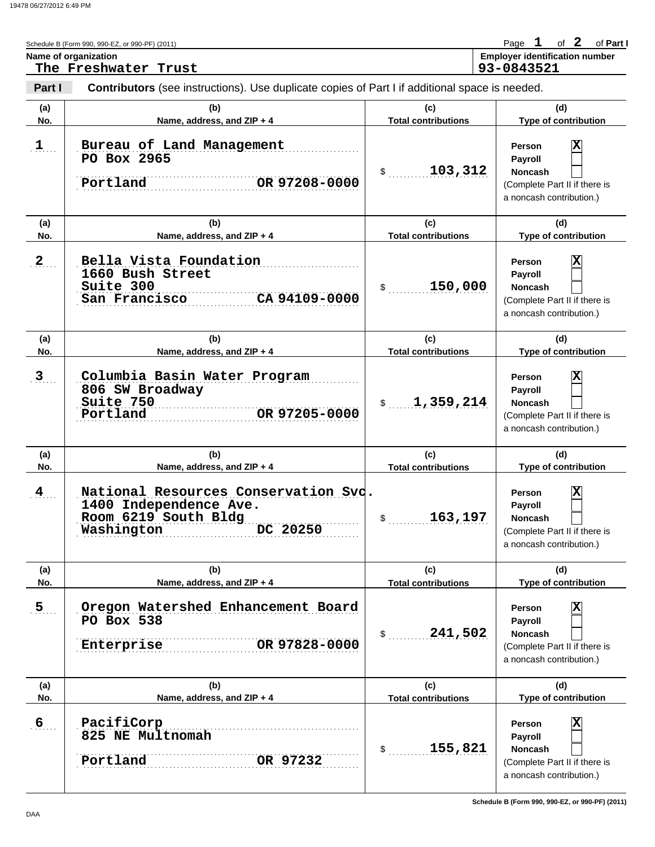|                | Schedule B (Form 990, 990-EZ, or 990-PF) (2011)<br>Name of organization<br>The Freshwater Trust                  |                                   | Page $1$<br>of $2$<br>of Part I<br><b>Employer identification number</b><br>93-0843521                |
|----------------|------------------------------------------------------------------------------------------------------------------|-----------------------------------|-------------------------------------------------------------------------------------------------------|
| Part I         | <b>Contributors</b> (see instructions). Use duplicate copies of Part I if additional space is needed.            |                                   |                                                                                                       |
| (a)<br>No.     | (b)<br>Name, address, and ZIP + 4                                                                                | (c)<br><b>Total contributions</b> | (d)<br><b>Type of contribution</b>                                                                    |
| 1              | Bureau of Land Management<br>PO Box 2965<br>Portland<br>OR 97208-0000                                            | 103,312<br>$\frac{1}{2}$          | X<br>Person<br>Payroll<br><b>Noncash</b><br>(Complete Part II if there is<br>a noncash contribution.) |
| (a)<br>No.     | (b)<br>Name, address, and ZIP + 4                                                                                | (c)<br><b>Total contributions</b> | (d)<br>Type of contribution                                                                           |
| 2              | Bella Vista Foundation<br>1660 Bush Street<br>Suite 300<br>CA 94109-0000<br>San Francisco                        | 150,000<br>\$                     |                                                                                                       |
| (a)<br>No.     | (b)<br>Name, address, and ZIP + 4                                                                                | (c)<br><b>Total contributions</b> | (d)<br>Type of contribution                                                                           |
| 3 <sub>1</sub> | Columbia Basin Water Program<br>806 SW Broadway<br>Suite 750<br>Portland<br>OR 97205-0000                        | 1,359,214<br>$\mathsf{\$}$        | X<br>Person<br>Payroll<br><b>Noncash</b><br>(Complete Part II if there is<br>a noncash contribution.) |
| (a)<br>No.     | (b)<br>Name, address, and ZIP + 4                                                                                | (c)<br><b>Total contributions</b> | (d)<br>Type of contribution                                                                           |
| $\frac{4}{1}$  | National Resources Conservation Svd.<br>1400 Independence Ave.<br>Room 6219 South Bldg<br>DC 20250<br>Washington | 163,197                           | X<br>Person<br>Payroll<br>Noncash<br>(Complete Part II if there is<br>a noncash contribution.)        |
| (a)<br>No.     | (b)<br>Name, address, and ZIP + 4                                                                                | (c)<br><b>Total contributions</b> | (d)<br><b>Type of contribution</b>                                                                    |
| $5$ .          | Oregon Watershed Enhancement Board<br>PO Box 538<br>241,502<br>\$<br>OR 97828-0000<br>Enterprise                 |                                   | X<br>Person<br>Payroll<br><b>Noncash</b><br>(Complete Part II if there is<br>a noncash contribution.) |
| (a)<br>No.     | (b)<br>Name, address, and ZIP + 4                                                                                | (c)<br><b>Total contributions</b> | (d)<br>Type of contribution                                                                           |
| $6$            | PacifiCorp<br>825 NE Multnomah<br>Portland<br>OR 97232                                                           | 155,821<br>\$                     | X<br>Person<br>Payroll<br><b>Noncash</b><br>(Complete Part II if there is<br>a noncash contribution.) |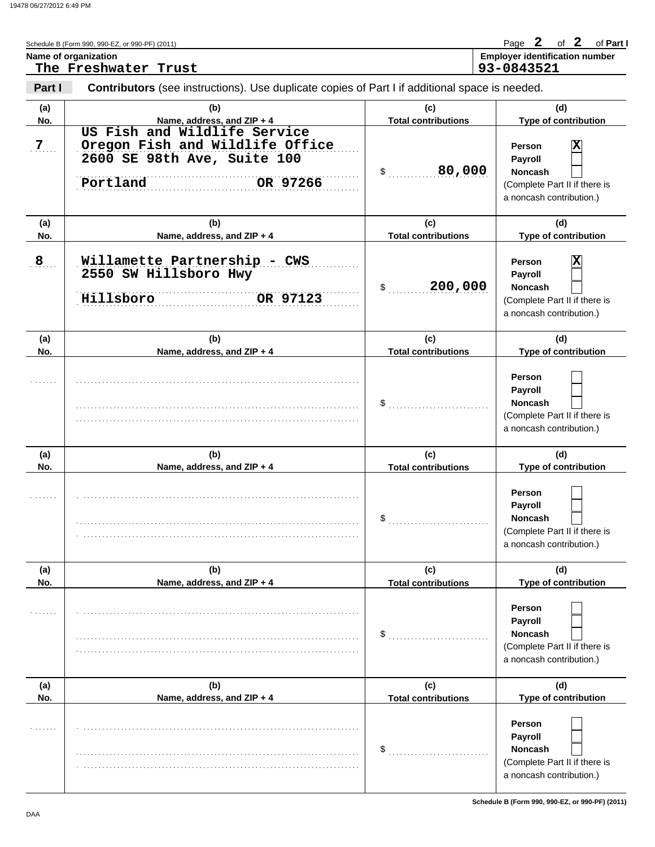|                | Schedule B (Form 990, 990-EZ, or 990-PF) (2011)                                                                        |                                   | Page 2 of 2 of Part I                                                                                   |
|----------------|------------------------------------------------------------------------------------------------------------------------|-----------------------------------|---------------------------------------------------------------------------------------------------------|
|                | Name of organization<br>The Freshwater Trust                                                                           |                                   | <b>Employer identification number</b><br>93-0843521                                                     |
| Part I         | Contributors (see instructions). Use duplicate copies of Part I if additional space is needed.                         |                                   |                                                                                                         |
| (a)<br>No.     | (b)<br>Name, address, and ZIP + 4                                                                                      | (c)<br><b>Total contributions</b> | (d)<br>Type of contribution                                                                             |
| 7 <sub>7</sub> | US Fish and Wildlife Service<br>Oregon Fish and Wildlife Office<br>2600 SE 98th Ave, Suite 100<br>Portland<br>OR 97266 | 80,000<br>\$                      | X<br>Person<br>Payroll<br><b>Noncash</b><br>(Complete Part II if there is<br>a noncash contribution.)   |
| (a)<br>No.     | (b)<br>Name, address, and ZIP + 4                                                                                      | (c)<br><b>Total contributions</b> | (d)<br>Type of contribution                                                                             |
| 8 <sub>1</sub> | Willamette Partnership - CWS<br>2550 SW Hillsboro Hwy<br>Hillsboro<br>OR 97123                                         | 200,000<br>$\mathsf{\$}$          | X<br>Person<br>Payroll<br><b>Noncash</b><br>(Complete Part II if there is<br>a noncash contribution.)   |
| (a)<br>No.     | (b)<br>Name, address, and ZIP + 4                                                                                      | (c)<br><b>Total contributions</b> | (d)<br>Type of contribution                                                                             |
|                |                                                                                                                        | \$                                | <b>Person</b><br>Payroll<br><b>Noncash</b><br>(Complete Part II if there is<br>a noncash contribution.) |
| (a)<br>No.     | (b)<br>Name, address, and ZIP + 4                                                                                      | (c)<br><b>Total contributions</b> | (d)<br>Type of contribution                                                                             |
|                |                                                                                                                        | \$                                | Person<br>Payroll<br>Noncash<br>(Complete Part II if there is<br>a noncash contribution.)               |
| (a)<br>No.     | (b)<br>Name, address, and ZIP + 4                                                                                      | (c)<br><b>Total contributions</b> | (d)<br>Type of contribution                                                                             |
|                |                                                                                                                        | \$                                | Person<br>Payroll<br><b>Noncash</b><br>(Complete Part II if there is<br>a noncash contribution.)        |
| (a)<br>No.     | (b)<br>Name, address, and ZIP + 4                                                                                      | (c)<br><b>Total contributions</b> | (d)<br>Type of contribution                                                                             |
|                |                                                                                                                        | \$                                | Person<br><b>Payroll</b><br><b>Noncash</b><br>(Complete Part II if there is<br>a noncash contribution.) |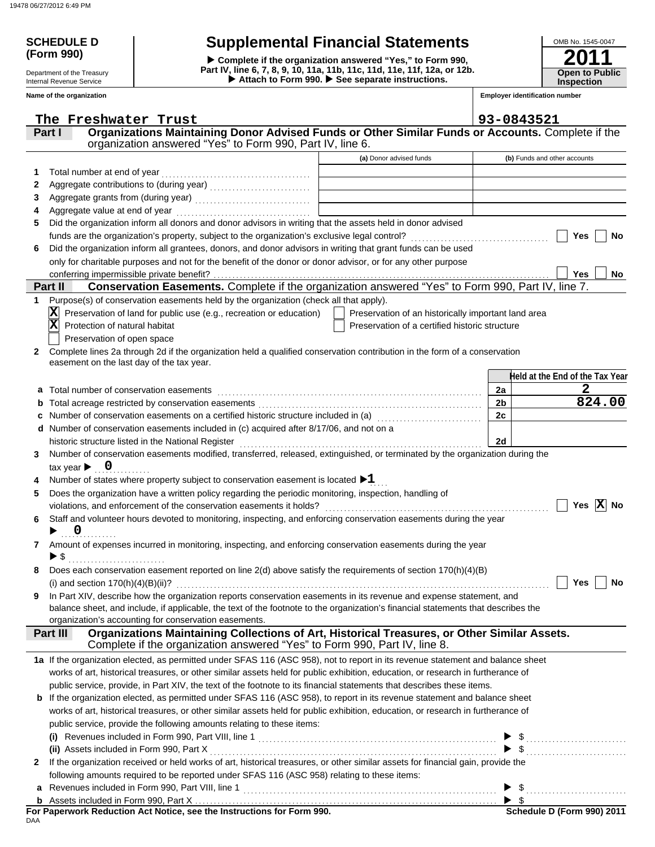**(Form 990)**

Department of the Treasury Internal Revenue Service **Name of the organization**

# **SCHEDULE D Supplemental Financial Statements**

▶ Attach to Form 990. ▶ See separate instructions. **Part IV, line 6, 7, 8, 9, 10, 11a, 11b, 11c, 11d, 11e, 11f, 12a, or 12b. Complete if the organization answered "Yes," to Form 990,**

| OMB No. 1545-0047                          |
|--------------------------------------------|
| 2011                                       |
| <b>Open to Public</b><br><b>Inspection</b> |

**Employer identification number**

|              | The Freshwater Trust                                                                                                                           |                                                     | 93-0843521                      |
|--------------|------------------------------------------------------------------------------------------------------------------------------------------------|-----------------------------------------------------|---------------------------------|
|              | Organizations Maintaining Donor Advised Funds or Other Similar Funds or Accounts. Complete if the<br>Part I                                    |                                                     |                                 |
|              | organization answered "Yes" to Form 990, Part IV, line 6.                                                                                      |                                                     |                                 |
|              |                                                                                                                                                | (a) Donor advised funds                             | (b) Funds and other accounts    |
| 1            | Total number at end of year                                                                                                                    |                                                     |                                 |
| 2            | Aggregate contributions to (during year) [11] [11] Aggregate contributions to (during year)                                                    |                                                     |                                 |
| 3            |                                                                                                                                                |                                                     |                                 |
| 4            |                                                                                                                                                |                                                     |                                 |
| 5            | Did the organization inform all donors and donor advisors in writing that the assets held in donor advised                                     |                                                     |                                 |
|              |                                                                                                                                                |                                                     | Yes<br>No                       |
| 6            | Did the organization inform all grantees, donors, and donor advisors in writing that grant funds can be used                                   |                                                     |                                 |
|              | only for charitable purposes and not for the benefit of the donor or donor advisor, or for any other purpose                                   |                                                     |                                 |
|              | conferring impermissible private benefit?                                                                                                      |                                                     | <b>Yes</b><br>No                |
|              | Conservation Easements. Complete if the organization answered "Yes" to Form 990, Part IV, line 7.<br>Part II                                   |                                                     |                                 |
| 1            | Purpose(s) of conservation easements held by the organization (check all that apply).                                                          |                                                     |                                 |
|              | Preservation of land for public use (e.g., recreation or education)                                                                            | Preservation of an historically important land area |                                 |
|              | $\mathbf{x}$<br>Protection of natural habitat                                                                                                  | Preservation of a certified historic structure      |                                 |
|              | Preservation of open space                                                                                                                     |                                                     |                                 |
| $\mathbf{2}$ | Complete lines 2a through 2d if the organization held a qualified conservation contribution in the form of a conservation                      |                                                     |                                 |
|              | easement on the last day of the tax year.                                                                                                      |                                                     |                                 |
|              |                                                                                                                                                |                                                     | Held at the End of the Tax Year |
|              | a Total number of conservation easements                                                                                                       |                                                     | $\mathbf{2}$<br>2a              |
|              |                                                                                                                                                |                                                     | 824.00<br>2 <sub>b</sub>        |
|              | Number of conservation easements on a certified historic structure included in (a) [11] Number of conservation                                 |                                                     | 2c                              |
|              | d Number of conservation easements included in (c) acquired after 8/17/06, and not on a                                                        |                                                     |                                 |
|              |                                                                                                                                                |                                                     | 2d                              |
| 3            | Number of conservation easements modified, transferred, released, extinguished, or terminated by the organization during the                   |                                                     |                                 |
|              | tax year $\blacktriangleright$ 0                                                                                                               |                                                     |                                 |
|              | Number of states where property subject to conservation easement is located $\blacktriangleright 1$                                            |                                                     |                                 |
| 5            | Does the organization have a written policy regarding the periodic monitoring, inspection, handling of                                         |                                                     |                                 |
|              |                                                                                                                                                |                                                     | Yes $X$ No                      |
| 6            | Staff and volunteer hours devoted to monitoring, inspecting, and enforcing conservation easements during the year                              |                                                     |                                 |
|              | $\overline{\mathbf{0}}$                                                                                                                        |                                                     |                                 |
| 7            | Amount of expenses incurred in monitoring, inspecting, and enforcing conservation easements during the year                                    |                                                     |                                 |
|              | ▶ \$                                                                                                                                           |                                                     |                                 |
|              | Does each conservation easement reported on line 2(d) above satisfy the requirements of section 170(h)(4)(B)                                   |                                                     |                                 |
|              |                                                                                                                                                |                                                     | Yes<br>No                       |
| 9            | In Part XIV, describe how the organization reports conservation easements in its revenue and expense statement, and                            |                                                     |                                 |
|              | balance sheet, and include, if applicable, the text of the footnote to the organization's financial statements that describes the              |                                                     |                                 |
|              | organization's accounting for conservation easements.                                                                                          |                                                     |                                 |
|              | Organizations Maintaining Collections of Art, Historical Treasures, or Other Similar Assets.<br>Part III                                       |                                                     |                                 |
|              | Complete if the organization answered "Yes" to Form 990, Part IV, line 8.                                                                      |                                                     |                                 |
|              | 1a If the organization elected, as permitted under SFAS 116 (ASC 958), not to report in its revenue statement and balance sheet                |                                                     |                                 |
|              | works of art, historical treasures, or other similar assets held for public exhibition, education, or research in furtherance of               |                                                     |                                 |
|              | public service, provide, in Part XIV, the text of the footnote to its financial statements that describes these items.                         |                                                     |                                 |
|              | <b>b</b> If the organization elected, as permitted under SFAS 116 (ASC 958), to report in its revenue statement and balance sheet              |                                                     |                                 |
|              | works of art, historical treasures, or other similar assets held for public exhibition, education, or research in furtherance of               |                                                     |                                 |
|              | public service, provide the following amounts relating to these items:                                                                         |                                                     |                                 |
|              | (i) Revenues included in Form 990, Part VIII, line 1 $\ldots$ $\ldots$ $\ldots$ $\ldots$ $\ldots$ $\ldots$ $\ldots$ $\ldots$ $\ldots$ $\ldots$ |                                                     |                                 |
|              |                                                                                                                                                |                                                     | $\blacktriangleright$ \$        |
| $\mathbf{2}$ | If the organization received or held works of art, historical treasures, or other similar assets for financial gain, provide the               |                                                     |                                 |
|              | following amounts required to be reported under SFAS 116 (ASC 958) relating to these items:                                                    |                                                     |                                 |
| a            |                                                                                                                                                |                                                     |                                 |
|              |                                                                                                                                                |                                                     |                                 |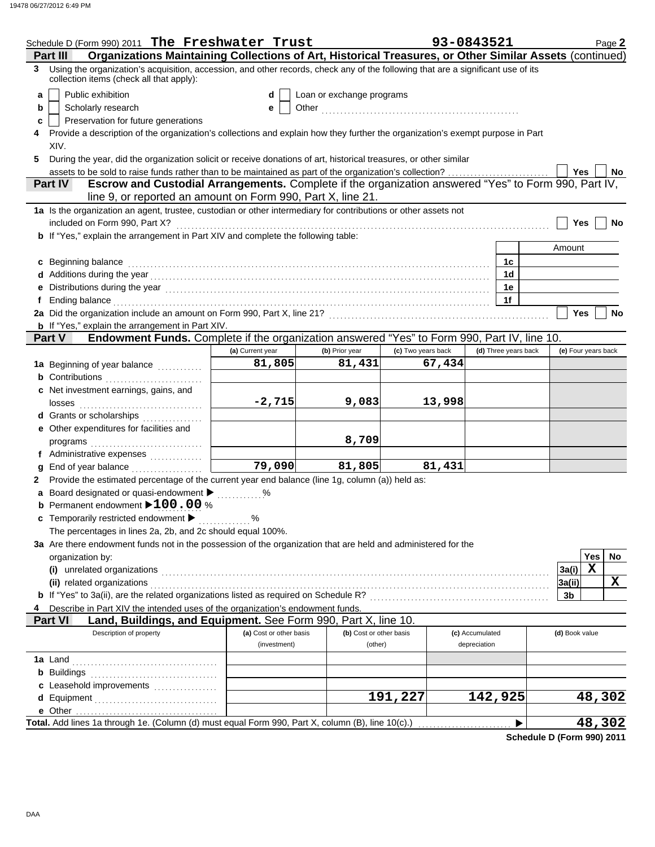|   | Schedule D (Form 990) 2011 The Freshwater Trust                                                                                                                                                                                |                         |                           |                    | 93-0843521           |                      | Page 2 |
|---|--------------------------------------------------------------------------------------------------------------------------------------------------------------------------------------------------------------------------------|-------------------------|---------------------------|--------------------|----------------------|----------------------|--------|
|   | Organizations Maintaining Collections of Art, Historical Treasures, or Other Similar Assets (continued)<br>Part III                                                                                                            |                         |                           |                    |                      |                      |        |
| 3 | Using the organization's acquisition, accession, and other records, check any of the following that are a significant use of its<br>collection items (check all that apply):                                                   |                         |                           |                    |                      |                      |        |
| a | Public exhibition                                                                                                                                                                                                              | d                       | Loan or exchange programs |                    |                      |                      |        |
| b | Scholarly research                                                                                                                                                                                                             | е                       |                           |                    |                      |                      |        |
| c | Preservation for future generations                                                                                                                                                                                            |                         |                           |                    |                      |                      |        |
| 4 | Provide a description of the organization's collections and explain how they further the organization's exempt purpose in Part                                                                                                 |                         |                           |                    |                      |                      |        |
|   | XIV.                                                                                                                                                                                                                           |                         |                           |                    |                      |                      |        |
| 5 | During the year, did the organization solicit or receive donations of art, historical treasures, or other similar                                                                                                              |                         |                           |                    |                      |                      |        |
|   |                                                                                                                                                                                                                                |                         |                           |                    |                      | Yes                  | No.    |
|   | Escrow and Custodial Arrangements. Complete if the organization answered "Yes" to Form 990, Part IV,<br>Part IV<br>line 9, or reported an amount on Form 990, Part X, line 21.                                                 |                         |                           |                    |                      |                      |        |
|   | 1a Is the organization an agent, trustee, custodian or other intermediary for contributions or other assets not                                                                                                                |                         |                           |                    |                      |                      |        |
|   | included on Form 990, Part X?                                                                                                                                                                                                  |                         |                           |                    |                      | Yes                  | No     |
|   | b If "Yes," explain the arrangement in Part XIV and complete the following table:                                                                                                                                              |                         |                           |                    |                      |                      |        |
|   |                                                                                                                                                                                                                                |                         |                           |                    |                      | Amount               |        |
|   | c Beginning balance                                                                                                                                                                                                            |                         |                           |                    | 1c                   |                      |        |
|   |                                                                                                                                                                                                                                |                         |                           |                    | 1d                   |                      |        |
|   | e Distributions during the year [1, 1, 2010] with the control of the set of the set of the set of the set of the set of the set of the set of the set of the set of the set of the set of the set of the set of the set of the |                         |                           |                    | 1e                   |                      |        |
|   | $f$ Ending balance $\ldots$ . $\ldots$ . $\ldots$ . $\ldots$ . $\ldots$ . $\ldots$ . $\ldots$ . $\ldots$ . $\ldots$ . $\ldots$ . $\ldots$ . $\ldots$ . $\ldots$                                                                |                         |                           |                    | 1f                   |                      |        |
|   |                                                                                                                                                                                                                                |                         |                           |                    |                      | Yes                  | No     |
|   | <b>b</b> If "Yes," explain the arrangement in Part XIV.                                                                                                                                                                        |                         |                           |                    |                      |                      |        |
|   | Endowment Funds. Complete if the organization answered "Yes" to Form 990, Part IV, line 10.<br>Part V                                                                                                                          |                         |                           |                    |                      |                      |        |
|   |                                                                                                                                                                                                                                | (a) Current year        | (b) Prior year            | (c) Two years back | (d) Three years back | (e) Four years back  |        |
|   | 1a Beginning of year balance                                                                                                                                                                                                   | 81,805                  | 81,431                    | 67,434             |                      |                      |        |
|   | <b>b</b> Contributions <b>contributions</b>                                                                                                                                                                                    |                         |                           |                    |                      |                      |        |
|   | c Net investment earnings, gains, and                                                                                                                                                                                          |                         |                           |                    |                      |                      |        |
|   |                                                                                                                                                                                                                                | $-2,715$                | 9,083                     | 13,998             |                      |                      |        |
|   | d Grants or scholarships                                                                                                                                                                                                       |                         |                           |                    |                      |                      |        |
|   | e Other expenditures for facilities and                                                                                                                                                                                        |                         |                           |                    |                      |                      |        |
|   |                                                                                                                                                                                                                                |                         | 8,709                     |                    |                      |                      |        |
|   | f Administrative expenses                                                                                                                                                                                                      |                         |                           |                    |                      |                      |        |
|   |                                                                                                                                                                                                                                | 79,090                  | 81,805                    | 81,431             |                      |                      |        |
|   | 2 Provide the estimated percentage of the current year end balance (line 1g, column (a)) held as:                                                                                                                              |                         |                           |                    |                      |                      |        |
|   | a Board designated or quasi-endowment >                                                                                                                                                                                        | %                       |                           |                    |                      |                      |        |
|   | b Permanent endowment $\blacktriangleright$ 100.00%                                                                                                                                                                            |                         |                           |                    |                      |                      |        |
|   | c Temporarily restricted endowment >                                                                                                                                                                                           | %                       |                           |                    |                      |                      |        |
|   | The percentages in lines 2a, 2b, and 2c should equal 100%.                                                                                                                                                                     |                         |                           |                    |                      |                      |        |
|   | 3a Are there endowment funds not in the possession of the organization that are held and administered for the                                                                                                                  |                         |                           |                    |                      |                      |        |
|   | organization by:                                                                                                                                                                                                               |                         |                           |                    |                      | Yes                  | No     |
|   | (i) unrelated organizations entertainment and all the contract of the contract of the contract of the contract of the contract of the contract of the contract of the contract of the contract of the contract of the contract |                         |                           |                    |                      | $\mathbf X$<br>3a(i) |        |
|   | (ii) related organizations                                                                                                                                                                                                     |                         |                           |                    |                      | 3a(ii)               | X      |
|   |                                                                                                                                                                                                                                |                         |                           |                    |                      | 3b                   |        |
|   | Describe in Part XIV the intended uses of the organization's endowment funds.<br>Land, Buildings, and Equipment. See Form 990, Part X, line 10.<br><b>Part VI</b>                                                              |                         |                           |                    |                      |                      |        |
|   | Description of property                                                                                                                                                                                                        | (a) Cost or other basis | (b) Cost or other basis   |                    | (c) Accumulated      | (d) Book value       |        |
|   |                                                                                                                                                                                                                                | (investment)            | (other)                   |                    | depreciation         |                      |        |
|   | <b>1a</b> Land                                                                                                                                                                                                                 |                         |                           |                    |                      |                      |        |
|   |                                                                                                                                                                                                                                |                         |                           |                    |                      |                      |        |
|   | c Leasehold improvements                                                                                                                                                                                                       |                         |                           |                    |                      |                      |        |
|   |                                                                                                                                                                                                                                |                         |                           | 191,227            | 142,925              | 48,302               |        |
|   |                                                                                                                                                                                                                                |                         |                           |                    |                      |                      |        |
|   | Total. Add lines 1a through 1e. (Column (d) must equal Form 990, Part X, column (B), line 10(c).)                                                                                                                              |                         |                           |                    | ▶                    | 48,302               |        |
|   |                                                                                                                                                                                                                                |                         |                           |                    |                      |                      |        |

**Schedule D (Form 990) 2011**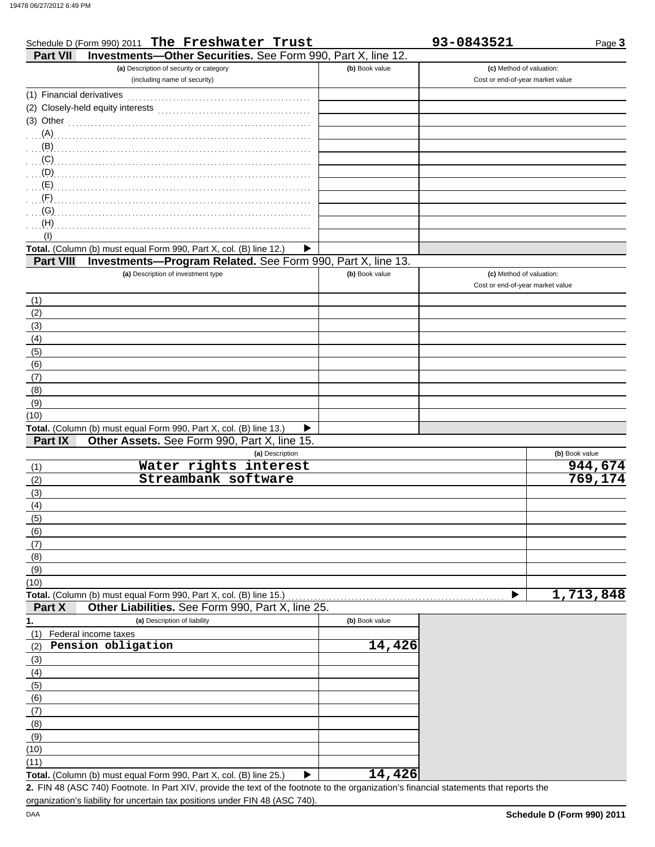|                           | Schedule D (Form 990) 2011 The Freshwater Trust                         |                | 93-0843521                       | Page 3         |
|---------------------------|-------------------------------------------------------------------------|----------------|----------------------------------|----------------|
| <b>Part VII</b>           | Investments-Other Securities. See Form 990, Part X, line 12.            |                |                                  |                |
|                           | (a) Description of security or category                                 | (b) Book value | (c) Method of valuation:         |                |
|                           | (including name of security)                                            |                | Cost or end-of-year market value |                |
| (1) Financial derivatives |                                                                         |                |                                  |                |
|                           |                                                                         |                |                                  |                |
|                           |                                                                         |                |                                  |                |
|                           | (3) Other $\ldots$ and $\ldots$ and $\ldots$ and $\ldots$               |                |                                  |                |
|                           |                                                                         |                |                                  |                |
|                           |                                                                         |                |                                  |                |
|                           | (C)                                                                     |                |                                  |                |
|                           |                                                                         |                |                                  |                |
|                           |                                                                         |                |                                  |                |
|                           |                                                                         |                |                                  |                |
| (G)                       |                                                                         |                |                                  |                |
| (H)                       |                                                                         |                |                                  |                |
| (1)                       |                                                                         |                |                                  |                |
|                           | Total. (Column (b) must equal Form 990, Part X, col. (B) line 12.)<br>▶ |                |                                  |                |
| <b>Part VIII</b>          | Investments-Program Related. See Form 990, Part X, line 13.             |                |                                  |                |
|                           | (a) Description of investment type                                      | (b) Book value | (c) Method of valuation:         |                |
|                           |                                                                         |                | Cost or end-of-year market value |                |
| (1)                       |                                                                         |                |                                  |                |
| (2)                       |                                                                         |                |                                  |                |
| (3)                       |                                                                         |                |                                  |                |
| (4)                       |                                                                         |                |                                  |                |
|                           |                                                                         |                |                                  |                |
| (5)                       |                                                                         |                |                                  |                |
| (6)                       |                                                                         |                |                                  |                |
| (7)                       |                                                                         |                |                                  |                |
| (8)                       |                                                                         |                |                                  |                |
| (9)                       |                                                                         |                |                                  |                |
| (10)                      |                                                                         |                |                                  |                |
|                           | Total. (Column (b) must equal Form 990, Part X, col. (B) line 13.)<br>▶ |                |                                  |                |
| Part IX                   | Other Assets. See Form 990, Part X, line 15.                            |                |                                  |                |
|                           | (a) Description                                                         |                |                                  | (b) Book value |
| (1)                       | Water rights interest                                                   |                |                                  | 944,674        |
| (2)                       | Streambank software                                                     |                |                                  | 769, 174       |
| (3)                       |                                                                         |                |                                  |                |
| (4)                       |                                                                         |                |                                  |                |
| (5)                       |                                                                         |                |                                  |                |
| (6)                       |                                                                         |                |                                  |                |
| (7)                       |                                                                         |                |                                  |                |
| (8)                       |                                                                         |                |                                  |                |
| (9)                       |                                                                         |                |                                  |                |
| (10)                      |                                                                         |                |                                  |                |
|                           | Total. (Column (b) must equal Form 990, Part X, col. (B) line 15.)      |                | ▶                                | 1,713,848      |
| Part X                    | Other Liabilities. See Form 990, Part X, line 25.                       |                |                                  |                |
|                           | (a) Description of liability                                            |                |                                  |                |
| 1.                        |                                                                         | (b) Book value |                                  |                |
| (1)                       | Federal income taxes                                                    |                |                                  |                |
| (2)                       | Pension obligation                                                      | 14,426         |                                  |                |
| (3)                       |                                                                         |                |                                  |                |
| (4)                       |                                                                         |                |                                  |                |
| (5)                       |                                                                         |                |                                  |                |
| (6)                       |                                                                         |                |                                  |                |
| (7)                       |                                                                         |                |                                  |                |
| (8)                       |                                                                         |                |                                  |                |
| (9)                       |                                                                         |                |                                  |                |
| (10)                      |                                                                         |                |                                  |                |
| (11)                      |                                                                         |                |                                  |                |
|                           | Total. (Column (b) must equal Form 990, Part X, col. (B) line 25.)<br>▶ | 14,426         |                                  |                |
|                           |                                                                         |                |                                  |                |

FIN 48 (ASC 740) Footnote. In Part XIV, provide the text of the footnote to the organization's financial statements that reports the **2.** organization's liability for uncertain tax positions under FIN 48 (ASC 740).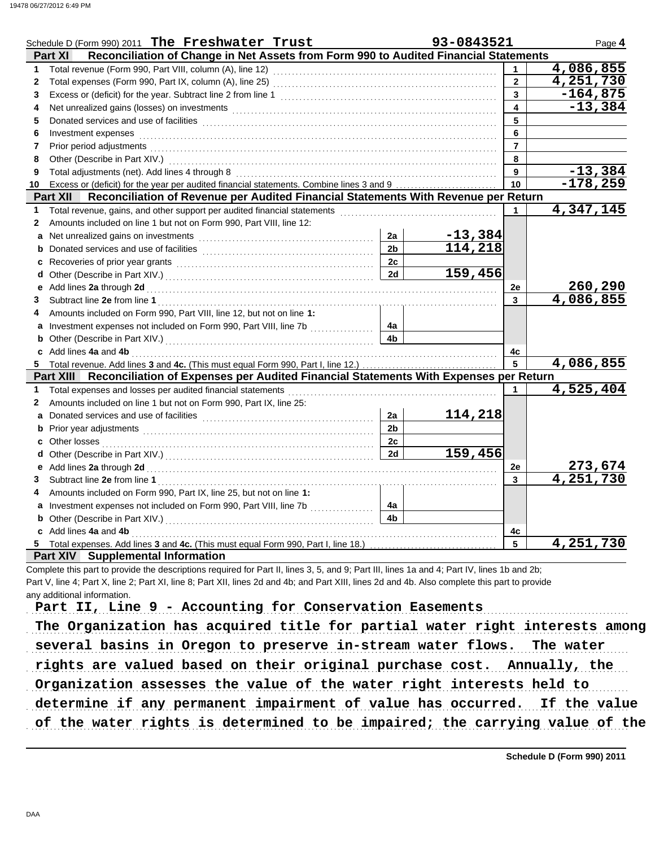|              | Schedule D (Form 990) 2011 The Freshwater Trust                                                                                                                                                                                |                | 93-0843521                |                  | Page 4                    |
|--------------|--------------------------------------------------------------------------------------------------------------------------------------------------------------------------------------------------------------------------------|----------------|---------------------------|------------------|---------------------------|
|              | Reconciliation of Change in Net Assets from Form 990 to Audited Financial Statements<br><b>Part XI</b>                                                                                                                         |                |                           |                  |                           |
| 1.           | Total revenue (Form 990, Part VIII, column (A), line 12)                                                                                                                                                                       |                |                           | $\mathbf{1}$     | 4,086,855                 |
| $\mathbf{2}$ |                                                                                                                                                                                                                                |                |                           | $\overline{2}$   | $\overline{4}$ , 251, 730 |
| 3            |                                                                                                                                                                                                                                |                |                           | 3                | $-164,875$                |
| 4            |                                                                                                                                                                                                                                |                |                           | $\blacktriangle$ | $-13,384$                 |
| 5            |                                                                                                                                                                                                                                |                |                           | 5                |                           |
| 6            | Investment expenses                                                                                                                                                                                                            |                |                           | 6                |                           |
| 7            | Prior period adjustments [11, 12] and the contract of the contract of the contract of the contract of the contract of the contract of the contract of the contract of the contract of the contract of the contract of the cont |                |                           | $\overline{7}$   |                           |
| 8            |                                                                                                                                                                                                                                |                |                           | 8                |                           |
| 9            |                                                                                                                                                                                                                                |                |                           | 9                | $-13,384$                 |
| 10           |                                                                                                                                                                                                                                |                |                           | 10               | $-178,259$                |
|              | Reconciliation of Revenue per Audited Financial Statements With Revenue per Return<br><b>Part XII</b>                                                                                                                          |                |                           |                  |                           |
| 1            |                                                                                                                                                                                                                                |                |                           | 1                | 4,347,145                 |
| $\mathbf{2}$ | Amounts included on line 1 but not on Form 990, Part VIII, line 12:                                                                                                                                                            |                |                           |                  |                           |
| $\mathbf{a}$ | Net unrealized gains on investments [11] with an intervention of the state of the state of the state of the state of the state of the state of the state of the state of the state of the state of the state of the state of t | 2a             | $\frac{-13,384}{114,218}$ |                  |                           |
| b            |                                                                                                                                                                                                                                | 2 <sub>b</sub> |                           |                  |                           |
| c            |                                                                                                                                                                                                                                | 2c             |                           |                  |                           |
| d            |                                                                                                                                                                                                                                | 2d             | 159,456                   |                  |                           |
|              |                                                                                                                                                                                                                                |                |                           | <b>2e</b>        | 260,290                   |
| 3            |                                                                                                                                                                                                                                |                |                           | 3                | 4,086,855                 |
|              | Amounts included on Form 990, Part VIII, line 12, but not on line 1:                                                                                                                                                           |                |                           |                  |                           |
| a            | Investment expenses not included on Form 990, Part VIII, line 7b [                                                                                                                                                             | 4a             |                           |                  |                           |
| b            |                                                                                                                                                                                                                                | 4 <sub>b</sub> |                           |                  |                           |
|              | c Add lines 4a and 4b                                                                                                                                                                                                          |                |                           | 4c               |                           |
|              | 5 Total revenue. Add lines 3 and 4c. (This must equal Form 990, Part I, line 12.)                                                                                                                                              |                |                           | 5                | 4,086,855                 |
|              | Part XIII Reconciliation of Expenses per Audited Financial Statements With Expenses per Return                                                                                                                                 |                |                           |                  |                           |
| 1            |                                                                                                                                                                                                                                |                |                           | $\mathbf 1$      | 4,525,404                 |
| $\mathbf{2}$ | Amounts included on line 1 but not on Form 990, Part IX, line 25:                                                                                                                                                              |                |                           |                  |                           |
| a            |                                                                                                                                                                                                                                | 2a             | 114,218                   |                  |                           |
| b            | Prior year adjustments [11, 12] March 1997 (12) March 1997 (12) March 1997 (13) March 1997 (13) March 1997 (13)                                                                                                                | 2 <sub>b</sub> |                           |                  |                           |
| c            |                                                                                                                                                                                                                                | 2c             |                           |                  |                           |
| d            |                                                                                                                                                                                                                                | 2d             | 159,456                   |                  |                           |
| е            |                                                                                                                                                                                                                                |                |                           | 2e               | 273,674                   |
| 3            |                                                                                                                                                                                                                                |                |                           | 3                | $\overline{4,251,730}$    |
| 4            | Amounts included on Form 990, Part IX, line 25, but not on line 1:                                                                                                                                                             |                |                           |                  |                           |
|              | a Investment expenses not included on Form 990, Part VIII, line 7b                                                                                                                                                             | 4a             |                           |                  |                           |
| b            |                                                                                                                                                                                                                                | 4 <sub>h</sub> |                           |                  |                           |
|              | c Add lines 4a and 4b                                                                                                                                                                                                          |                |                           | 4c               |                           |
| 5.           | Total expenses. Add lines 3 and 4c. (This must equal Form 990, Part I, line 18.)                                                                                                                                               |                |                           | 5                | 4,251,730                 |
|              | <b>Part XIV</b> Supplemental Information                                                                                                                                                                                       |                |                           |                  |                           |

Complete this part to provide the descriptions required for Part II, lines 3, 5, and 9; Part III, lines 1a and 4; Part IV, lines 1b and 2b; Part V, line 4; Part X, line 2; Part XI, line 8; Part XII, lines 2d and 4b; and Part XIII, lines 2d and 4b. Also complete this part to provide any additional information.

Part II, Line 9 - Accounting for Conservation Easements

The Organization has acquired title for partial water right interests among several basins in Oregon to preserve in-stream water flows. The water rights are valued based on their original purchase cost. Annually, the Organization assesses the value of the water right interests held to determine if any permanent impairment of value has occurred. If the value

of the water rights is determined to be impaired; the carrying value of the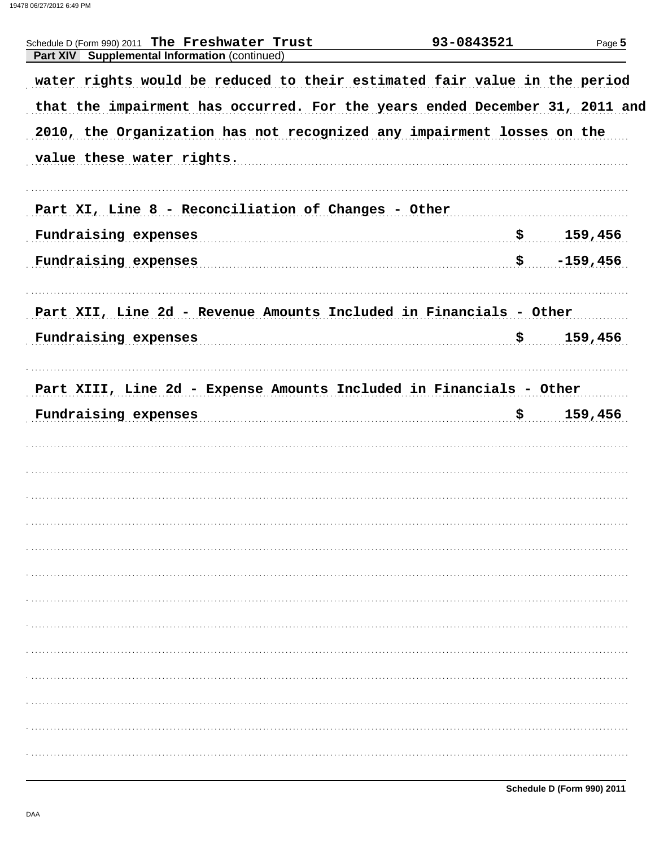| Schedule D (Form 990) 2011 The Freshwater Trust<br>Part XIV Supplemental Information (continued) | 93-0843521 | Page 5     |
|--------------------------------------------------------------------------------------------------|------------|------------|
| water rights would be reduced to their estimated fair value in the period                        |            |            |
| that the impairment has occurred. For the years ended December 31, 2011 and                      |            |            |
| 2010, the Organization has not recognized any impairment losses on the                           |            |            |
| value these water rights.                                                                        |            |            |
| Part XI, Line 8 - Reconciliation of Changes - Other                                              |            |            |
| Fundraising expenses                                                                             |            | 159,456    |
| Fundraising expenses                                                                             | \$         | $-159,456$ |
| Part XII, Line 2d - Revenue Amounts Included in Financials - Other                               |            |            |
| Fundraising expenses                                                                             | <u>\$</u>  | 159,456    |
| Part XIII, Line 2d - Expense Amounts Included in Financials - Other<br>Fundraising expenses      | <u>\$</u>  | 159,456    |
|                                                                                                  |            |            |
|                                                                                                  |            |            |
|                                                                                                  |            |            |
|                                                                                                  |            |            |
|                                                                                                  |            |            |
|                                                                                                  |            |            |
|                                                                                                  |            |            |
|                                                                                                  |            |            |
|                                                                                                  |            |            |
|                                                                                                  |            |            |
|                                                                                                  |            |            |
|                                                                                                  |            |            |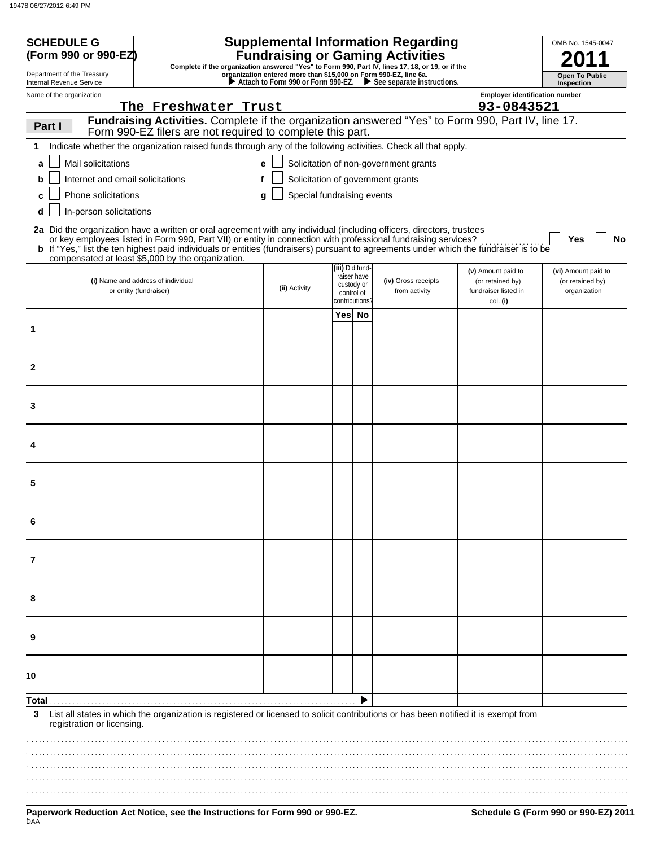| <b>SCHEDULE G</b><br>(Form 990 or 990-EZ                     | <b>Supplemental Information Regarding</b><br><b>Fundraising or Gaming Activities</b><br>Complete if the organization answered "Yes" to Form 990, Part IV, lines 17, 18, or 19, or if the                                                                                                                                                                                                                                               | OMB No. 1545-0047                                                                                      |                                                            |  |                                             |                                                                |                                                         |  |
|--------------------------------------------------------------|----------------------------------------------------------------------------------------------------------------------------------------------------------------------------------------------------------------------------------------------------------------------------------------------------------------------------------------------------------------------------------------------------------------------------------------|--------------------------------------------------------------------------------------------------------|------------------------------------------------------------|--|---------------------------------------------|----------------------------------------------------------------|---------------------------------------------------------|--|
| Department of the Treasury<br>Internal Revenue Service       |                                                                                                                                                                                                                                                                                                                                                                                                                                        | organization entered more than \$15,000 on Form 990-EZ, line 6a.<br>Attach to Form 990 or Form 990-EZ. |                                                            |  | $\triangleright$ See separate instructions. |                                                                | <b>Open To Public</b><br>Inspection                     |  |
| Name of the organization                                     |                                                                                                                                                                                                                                                                                                                                                                                                                                        |                                                                                                        |                                                            |  |                                             | <b>Employer identification number</b>                          |                                                         |  |
|                                                              | The Freshwater Trust<br>Fundraising Activities. Complete if the organization answered "Yes" to Form 990, Part IV, line 17.                                                                                                                                                                                                                                                                                                             |                                                                                                        |                                                            |  |                                             | 93-0843521                                                     |                                                         |  |
| Part I                                                       | Form 990-EZ filers are not required to complete this part.                                                                                                                                                                                                                                                                                                                                                                             |                                                                                                        |                                                            |  |                                             |                                                                |                                                         |  |
|                                                              | Indicate whether the organization raised funds through any of the following activities. Check all that apply.                                                                                                                                                                                                                                                                                                                          |                                                                                                        |                                                            |  |                                             |                                                                |                                                         |  |
| Mail solicitations<br>a                                      |                                                                                                                                                                                                                                                                                                                                                                                                                                        | e                                                                                                      |                                                            |  | Solicitation of non-government grants       |                                                                |                                                         |  |
| Internet and email solicitations<br>b<br>Phone solicitations |                                                                                                                                                                                                                                                                                                                                                                                                                                        |                                                                                                        |                                                            |  | Solicitation of government grants           |                                                                |                                                         |  |
| In-person solicitations<br>d                                 |                                                                                                                                                                                                                                                                                                                                                                                                                                        | Special fundraising events<br>g                                                                        |                                                            |  |                                             |                                                                |                                                         |  |
|                                                              | 2a Did the organization have a written or oral agreement with any individual (including officers, directors, trustees<br>or key employees listed in Form 990, Part VII) or entity in connection with professional fundraising services?<br>b If "Yes," list the ten highest paid individuals or entities (fundraisers) pursuant to agreements under which the fundraiser is to be<br>compensated at least \$5,000 by the organization. |                                                                                                        |                                                            |  |                                             |                                                                | Yes<br>No                                               |  |
|                                                              | (i) Name and address of individual<br>or entity (fundraiser)                                                                                                                                                                                                                                                                                                                                                                           | (ii) Activity                                                                                          | (iii) Did fund-<br>raiser have<br>custody or<br>control of |  | (iv) Gross receipts<br>from activity        | (v) Amount paid to<br>(or retained by)<br>fundraiser listed in | (vi) Amount paid to<br>(or retained by)<br>organization |  |
|                                                              |                                                                                                                                                                                                                                                                                                                                                                                                                                        |                                                                                                        | contributions?<br>Yes No                                   |  |                                             | col. (i)                                                       |                                                         |  |
| 1                                                            |                                                                                                                                                                                                                                                                                                                                                                                                                                        |                                                                                                        |                                                            |  |                                             |                                                                |                                                         |  |
| $\mathbf{2}$                                                 |                                                                                                                                                                                                                                                                                                                                                                                                                                        |                                                                                                        |                                                            |  |                                             |                                                                |                                                         |  |
| 3                                                            |                                                                                                                                                                                                                                                                                                                                                                                                                                        |                                                                                                        |                                                            |  |                                             |                                                                |                                                         |  |
|                                                              |                                                                                                                                                                                                                                                                                                                                                                                                                                        |                                                                                                        |                                                            |  |                                             |                                                                |                                                         |  |
| 5                                                            |                                                                                                                                                                                                                                                                                                                                                                                                                                        |                                                                                                        |                                                            |  |                                             |                                                                |                                                         |  |
| 6                                                            |                                                                                                                                                                                                                                                                                                                                                                                                                                        |                                                                                                        |                                                            |  |                                             |                                                                |                                                         |  |
| 7                                                            |                                                                                                                                                                                                                                                                                                                                                                                                                                        |                                                                                                        |                                                            |  |                                             |                                                                |                                                         |  |
| 8                                                            |                                                                                                                                                                                                                                                                                                                                                                                                                                        |                                                                                                        |                                                            |  |                                             |                                                                |                                                         |  |
| 9                                                            |                                                                                                                                                                                                                                                                                                                                                                                                                                        |                                                                                                        |                                                            |  |                                             |                                                                |                                                         |  |
| 10                                                           |                                                                                                                                                                                                                                                                                                                                                                                                                                        |                                                                                                        |                                                            |  |                                             |                                                                |                                                         |  |
| Total .                                                      |                                                                                                                                                                                                                                                                                                                                                                                                                                        |                                                                                                        |                                                            |  |                                             |                                                                |                                                         |  |
| 3                                                            | List all states in which the organization is registered or licensed to solicit contributions or has been notified it is exempt from<br>registration or licensing.                                                                                                                                                                                                                                                                      |                                                                                                        |                                                            |  |                                             |                                                                |                                                         |  |
|                                                              |                                                                                                                                                                                                                                                                                                                                                                                                                                        |                                                                                                        |                                                            |  |                                             |                                                                |                                                         |  |
|                                                              |                                                                                                                                                                                                                                                                                                                                                                                                                                        |                                                                                                        |                                                            |  |                                             |                                                                |                                                         |  |
|                                                              |                                                                                                                                                                                                                                                                                                                                                                                                                                        |                                                                                                        |                                                            |  |                                             |                                                                |                                                         |  |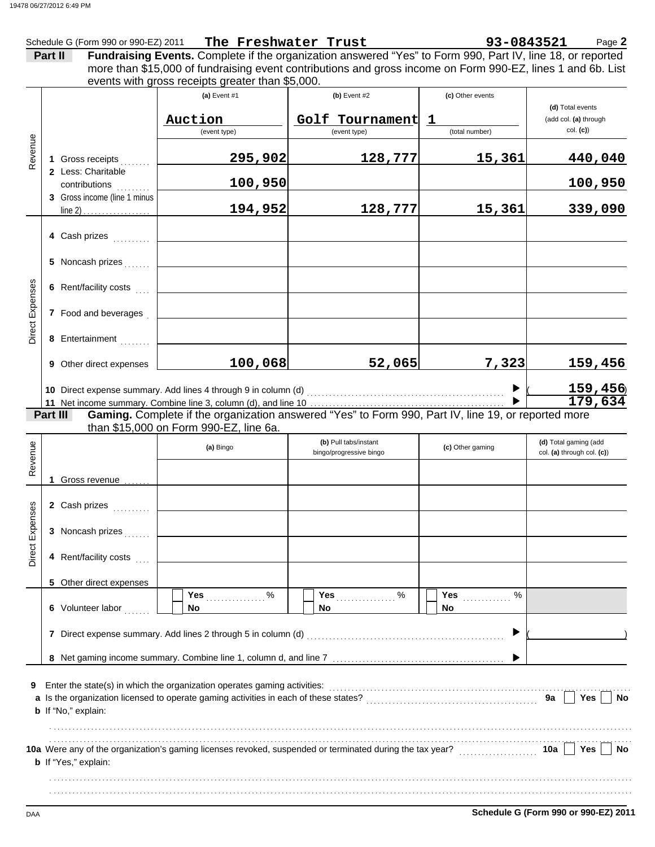|                        |         | Schedule G (Form 990 or 990-EZ) 2011 | The Freshwater Trust                                                     |                                                                                                                                                                                                                                | 93-0843521        | Page 2                     |
|------------------------|---------|--------------------------------------|--------------------------------------------------------------------------|--------------------------------------------------------------------------------------------------------------------------------------------------------------------------------------------------------------------------------|-------------------|----------------------------|
|                        | Part II |                                      |                                                                          | Fundraising Events. Complete if the organization answered "Yes" to Form 990, Part IV, line 18, or reported<br>more than \$15,000 of fundraising event contributions and gross income on Form 990-EZ, lines 1 and 6b. List      |                   |                            |
|                        |         |                                      | events with gross receipts greater than \$5,000.                         |                                                                                                                                                                                                                                |                   |                            |
|                        |         |                                      | (a) Event #1                                                             | $(b)$ Event #2                                                                                                                                                                                                                 | (c) Other events  | (d) Total events           |
|                        |         |                                      | Auction                                                                  | Golf Tournament                                                                                                                                                                                                                | $\mathbf 1$       | (add col. (a) through      |
|                        |         |                                      | (event type)                                                             | (event type)                                                                                                                                                                                                                   | (total number)    | col. (c)                   |
| Revenue                |         | 1 Gross receipts                     | 295,902                                                                  | 128,777                                                                                                                                                                                                                        | 15,361            | 440,040                    |
|                        |         | 2 Less: Charitable<br>contributions  | 100,950                                                                  |                                                                                                                                                                                                                                |                   | 100,950                    |
|                        |         | 3 Gross income (line 1 minus         | 194,952                                                                  | 128,777                                                                                                                                                                                                                        | 15,361            | 339,090                    |
|                        |         |                                      |                                                                          |                                                                                                                                                                                                                                |                   |                            |
|                        |         | 4 Cash prizes                        |                                                                          |                                                                                                                                                                                                                                |                   |                            |
|                        |         | 5 Noncash prizes                     |                                                                          |                                                                                                                                                                                                                                |                   |                            |
|                        |         | 6 Rent/facility costs                |                                                                          |                                                                                                                                                                                                                                |                   |                            |
| <b>Direct Expenses</b> |         | 7 Food and beverages                 |                                                                          |                                                                                                                                                                                                                                |                   |                            |
|                        |         | 8 Entertainment                      |                                                                          |                                                                                                                                                                                                                                |                   |                            |
|                        |         | 9 Other direct expenses              | 100,068                                                                  | 52,065                                                                                                                                                                                                                         | 7,323             | 159,456                    |
|                        |         |                                      |                                                                          | 10 Direct expense summary. Add lines 4 through 9 in column (d) [11] contently contently contently contently contently contently contently contently contently contently contently contently contently contently contently cont |                   | 159, 456                   |
|                        |         |                                      |                                                                          |                                                                                                                                                                                                                                |                   | 179,634                    |
|                        |         | Part III                             |                                                                          | Gaming. Complete if the organization answered "Yes" to Form 990, Part IV, line 19, or reported more                                                                                                                            |                   |                            |
|                        |         |                                      | than \$15,000 on Form 990-EZ, line 6a.                                   | (b) Pull tabs/instant                                                                                                                                                                                                          |                   | (d) Total gaming (add      |
| Revenue                |         |                                      | (a) Bingo                                                                | bingo/progressive bingo                                                                                                                                                                                                        | (c) Other gaming  | col. (a) through col. (c)) |
|                        |         | Gross revenue                        |                                                                          |                                                                                                                                                                                                                                |                   |                            |
| ses                    |         | 2 Cash prizes                        |                                                                          |                                                                                                                                                                                                                                |                   |                            |
|                        |         | 3 Noncash prizes                     |                                                                          |                                                                                                                                                                                                                                |                   |                            |
| Direct Exper           |         | 4 Rent/facility costs                |                                                                          |                                                                                                                                                                                                                                |                   |                            |
|                        |         | 5 Other direct expenses              |                                                                          |                                                                                                                                                                                                                                |                   |                            |
|                        |         | 6 Volunteer labor                    | $\%$<br>Yes<br><b>No</b>                                                 | $\%$<br>Yes<br>No.                                                                                                                                                                                                             | $\%$<br>Yes<br>No |                            |
|                        |         |                                      | 7 Direct expense summary. Add lines 2 through 5 in column (d)            |                                                                                                                                                                                                                                | ▶                 |                            |
|                        |         |                                      |                                                                          |                                                                                                                                                                                                                                |                   |                            |
|                        |         |                                      |                                                                          |                                                                                                                                                                                                                                |                   |                            |
| 9                      |         | <b>b</b> If "No," explain:           | Enter the state(s) in which the organization operates gaming activities: |                                                                                                                                                                                                                                |                   | 9a<br>Yes<br>No            |
|                        |         |                                      |                                                                          |                                                                                                                                                                                                                                |                   |                            |
|                        |         | <b>b</b> If "Yes," explain:          |                                                                          | 10a Were any of the organization's gaming licenses revoked, suspended or terminated during the tax year?                                                                                                                       |                   | Yes<br>10a  <br>No         |
|                        |         |                                      |                                                                          |                                                                                                                                                                                                                                |                   |                            |
|                        |         |                                      |                                                                          |                                                                                                                                                                                                                                |                   |                            |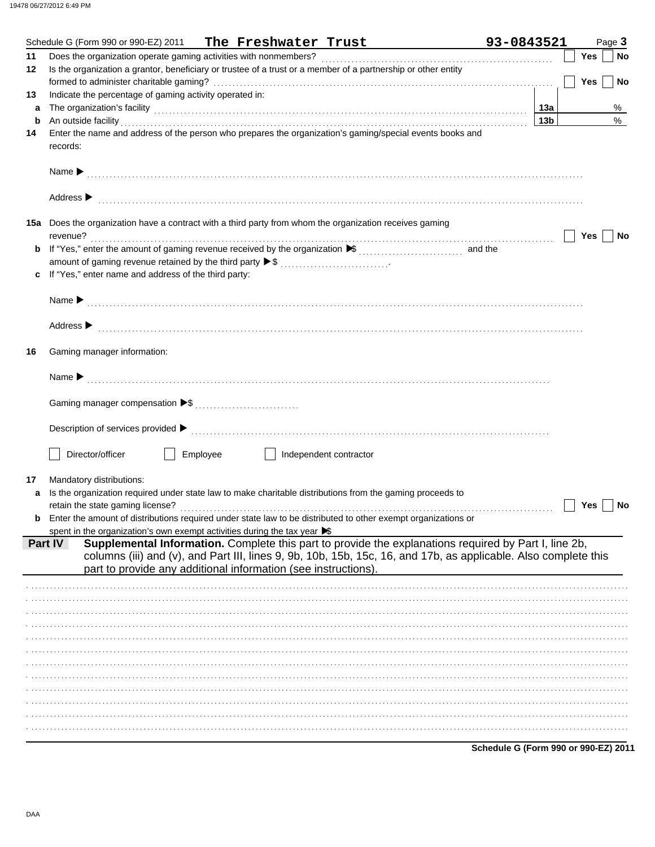|    | Schedule G (Form 990 or 990-EZ) 2011 The Freshwater Trust                                                                                                                                                                     | 93-0843521                           | Page 3                  |
|----|-------------------------------------------------------------------------------------------------------------------------------------------------------------------------------------------------------------------------------|--------------------------------------|-------------------------|
| 11 |                                                                                                                                                                                                                               |                                      | Yes<br>No               |
| 12 | Is the organization a grantor, beneficiary or trustee of a trust or a member of a partnership or other entity                                                                                                                 |                                      |                         |
|    |                                                                                                                                                                                                                               |                                      | <b>Yes</b><br><b>No</b> |
| 13 | Indicate the percentage of gaming activity operated in:                                                                                                                                                                       |                                      |                         |
| а  |                                                                                                                                                                                                                               |                                      | %                       |
| b  | An outside facility                                                                                                                                                                                                           | 13 <sub>b</sub>                      | $\%$                    |
| 14 | Enter the name and address of the person who prepares the organization's gaming/special events books and                                                                                                                      |                                      |                         |
|    | records:                                                                                                                                                                                                                      |                                      |                         |
|    |                                                                                                                                                                                                                               |                                      |                         |
|    |                                                                                                                                                                                                                               |                                      |                         |
|    |                                                                                                                                                                                                                               |                                      |                         |
|    | Address > medical contract of the contract of the contract of the contract of the contract of the contract of the contract of the contract of the contract of the contract of the contract of the contract of the contract of |                                      |                         |
|    |                                                                                                                                                                                                                               |                                      |                         |
|    | 15a Does the organization have a contract with a third party from whom the organization receives gaming                                                                                                                       |                                      |                         |
|    | revenue?                                                                                                                                                                                                                      |                                      | Yes $ $<br><b>No</b>    |
|    |                                                                                                                                                                                                                               |                                      |                         |
|    |                                                                                                                                                                                                                               |                                      |                         |
| c  | If "Yes," enter name and address of the third party:                                                                                                                                                                          |                                      |                         |
|    |                                                                                                                                                                                                                               |                                      |                         |
|    |                                                                                                                                                                                                                               |                                      |                         |
|    |                                                                                                                                                                                                                               |                                      |                         |
|    | Address > continuous contract of the contract of the contract of the contract of the contract of the contract of the contract of the contract of the contract of the contract of the contract of the contract of the contract |                                      |                         |
|    |                                                                                                                                                                                                                               |                                      |                         |
| 16 | Gaming manager information:                                                                                                                                                                                                   |                                      |                         |
|    |                                                                                                                                                                                                                               |                                      |                         |
|    |                                                                                                                                                                                                                               |                                      |                         |
|    |                                                                                                                                                                                                                               |                                      |                         |
|    |                                                                                                                                                                                                                               |                                      |                         |
|    |                                                                                                                                                                                                                               |                                      |                         |
|    |                                                                                                                                                                                                                               |                                      |                         |
|    |                                                                                                                                                                                                                               |                                      |                         |
|    | Director/officer<br>Employee<br>    Independent contractor                                                                                                                                                                    |                                      |                         |
|    |                                                                                                                                                                                                                               |                                      |                         |
| 17 | Mandatory distributions:                                                                                                                                                                                                      |                                      |                         |
| a  | Is the organization required under state law to make charitable distributions from the gaming proceeds to                                                                                                                     |                                      |                         |
|    |                                                                                                                                                                                                                               |                                      | <b>No</b><br>$Yes \mid$ |
|    | Enter the amount of distributions required under state law to be distributed to other exempt organizations or                                                                                                                 |                                      |                         |
|    | spent in the organization's own exempt activities during the tax year S                                                                                                                                                       |                                      |                         |
|    | Supplemental Information. Complete this part to provide the explanations required by Part I, line 2b,<br><b>Part IV</b>                                                                                                       |                                      |                         |
|    | columns (iii) and (v), and Part III, lines 9, 9b, 10b, 15b, 15c, 16, and 17b, as applicable. Also complete this                                                                                                               |                                      |                         |
|    | part to provide any additional information (see instructions).                                                                                                                                                                |                                      |                         |
|    |                                                                                                                                                                                                                               |                                      |                         |
|    |                                                                                                                                                                                                                               |                                      |                         |
|    |                                                                                                                                                                                                                               |                                      |                         |
|    |                                                                                                                                                                                                                               |                                      |                         |
|    |                                                                                                                                                                                                                               |                                      |                         |
|    |                                                                                                                                                                                                                               |                                      |                         |
|    |                                                                                                                                                                                                                               |                                      |                         |
|    |                                                                                                                                                                                                                               |                                      |                         |
|    |                                                                                                                                                                                                                               |                                      |                         |
|    |                                                                                                                                                                                                                               |                                      |                         |
|    |                                                                                                                                                                                                                               |                                      |                         |
|    |                                                                                                                                                                                                                               |                                      |                         |
|    |                                                                                                                                                                                                                               |                                      |                         |
|    |                                                                                                                                                                                                                               | Schedule G (Form 990 or 990-EZ) 2011 |                         |
|    |                                                                                                                                                                                                                               |                                      |                         |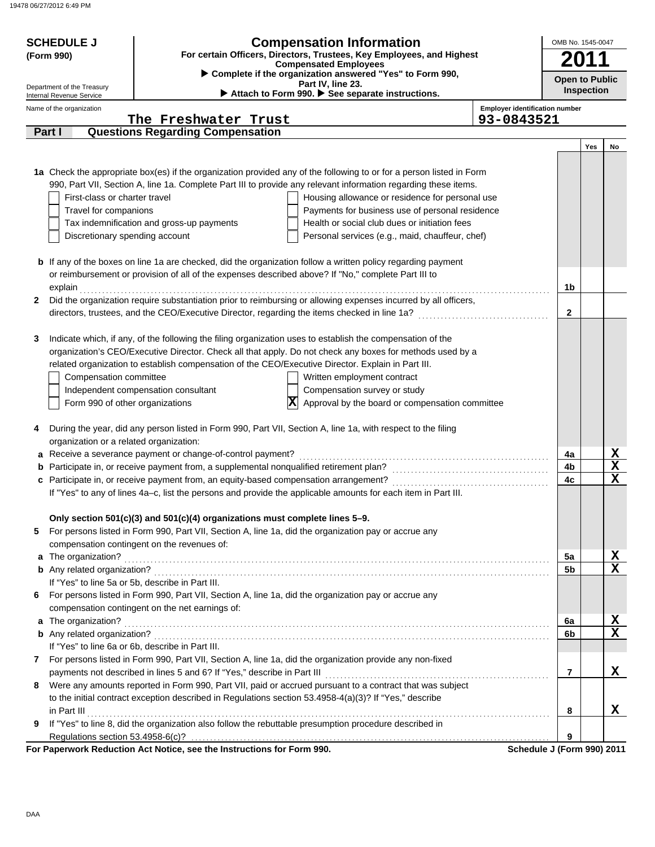19478 06/27/2012 6:49 PM

| <b>SCHEDULE J</b>                       | OMB No. 1545-0047                                                           |                                                                                                                      |                                                     |                                 |
|-----------------------------------------|-----------------------------------------------------------------------------|----------------------------------------------------------------------------------------------------------------------|-----------------------------------------------------|---------------------------------|
| (Form 990)                              | For certain Officers, Directors, Trustees, Key Employees, and Highest       |                                                                                                                      |                                                     |                                 |
| Department of the Treasury              |                                                                             | <b>Open to Public</b><br><b>Inspection</b>                                                                           |                                                     |                                 |
| Internal Revenue Service                |                                                                             | Attach to Form 990. See separate instructions.                                                                       |                                                     |                                 |
| Name of the organization                | The Freshwater Trust                                                        |                                                                                                                      | <b>Employer identification number</b><br>93-0843521 |                                 |
| Part I                                  | <b>Questions Regarding Compensation</b>                                     |                                                                                                                      |                                                     |                                 |
|                                         |                                                                             |                                                                                                                      |                                                     | Yes<br>No                       |
|                                         |                                                                             |                                                                                                                      |                                                     |                                 |
|                                         |                                                                             | 1a Check the appropriate box(es) if the organization provided any of the following to or for a person listed in Form |                                                     |                                 |
|                                         |                                                                             | 990, Part VII, Section A, line 1a. Complete Part III to provide any relevant information regarding these items.      |                                                     |                                 |
| First-class or charter travel           |                                                                             | Housing allowance or residence for personal use                                                                      |                                                     |                                 |
| Travel for companions                   |                                                                             | Payments for business use of personal residence                                                                      |                                                     |                                 |
|                                         | Tax indemnification and gross-up payments                                   | Health or social club dues or initiation fees                                                                        |                                                     |                                 |
| Discretionary spending account          |                                                                             | Personal services (e.g., maid, chauffeur, chef)                                                                      |                                                     |                                 |
|                                         |                                                                             |                                                                                                                      |                                                     |                                 |
|                                         |                                                                             | <b>b</b> If any of the boxes on line 1a are checked, did the organization follow a written policy regarding payment  |                                                     |                                 |
|                                         |                                                                             | or reimbursement or provision of all of the expenses described above? If "No," complete Part III to                  |                                                     |                                 |
| explain                                 |                                                                             |                                                                                                                      | 1b                                                  |                                 |
| $\mathbf{2}$                            |                                                                             | Did the organization require substantiation prior to reimbursing or allowing expenses incurred by all officers,      |                                                     |                                 |
|                                         |                                                                             |                                                                                                                      | $\mathbf{2}$                                        |                                 |
|                                         |                                                                             |                                                                                                                      |                                                     |                                 |
| 3                                       |                                                                             | Indicate which, if any, of the following the filing organization uses to establish the compensation of the           |                                                     |                                 |
|                                         |                                                                             | organization's CEO/Executive Director. Check all that apply. Do not check any boxes for methods used by a            |                                                     |                                 |
|                                         |                                                                             | related organization to establish compensation of the CEO/Executive Director. Explain in Part III.                   |                                                     |                                 |
| Compensation committee                  |                                                                             | Written employment contract                                                                                          |                                                     |                                 |
|                                         | Independent compensation consultant                                         | Compensation survey or study                                                                                         |                                                     |                                 |
| Form 990 of other organizations         |                                                                             | Approval by the board or compensation committee<br>X                                                                 |                                                     |                                 |
|                                         |                                                                             |                                                                                                                      |                                                     |                                 |
|                                         |                                                                             | During the year, did any person listed in Form 990, Part VII, Section A, line 1a, with respect to the filing         |                                                     |                                 |
| organization or a related organization: |                                                                             |                                                                                                                      |                                                     |                                 |
|                                         | a Receive a severance payment or change-of-control payment?                 |                                                                                                                      | 4a                                                  |                                 |
|                                         |                                                                             |                                                                                                                      | 4b                                                  | $\frac{\mathbf{x}}{\mathbf{x}}$ |
|                                         |                                                                             | c Participate in, or receive payment from, an equity-based compensation arrangement?                                 | 4c                                                  | $\overline{\textbf{x}}$         |
|                                         |                                                                             | If "Yes" to any of lines 4a-c, list the persons and provide the applicable amounts for each item in Part III.        |                                                     |                                 |
|                                         |                                                                             |                                                                                                                      |                                                     |                                 |
|                                         | Only section 501(c)(3) and 501(c)(4) organizations must complete lines 5-9. |                                                                                                                      |                                                     |                                 |
| 5                                       |                                                                             | For persons listed in Form 990, Part VII, Section A, line 1a, did the organization pay or accrue any                 |                                                     |                                 |
|                                         | compensation contingent on the revenues of:                                 |                                                                                                                      |                                                     |                                 |
| a The organization?                     |                                                                             |                                                                                                                      | 5a                                                  |                                 |
|                                         |                                                                             |                                                                                                                      | 5 <sub>b</sub>                                      | $\frac{\text{X}}{\text{X}}$     |
|                                         | If "Yes" to line 5a or 5b, describe in Part III.                            |                                                                                                                      |                                                     |                                 |
| 6                                       |                                                                             | For persons listed in Form 990, Part VII, Section A, line 1a, did the organization pay or accrue any                 |                                                     |                                 |
|                                         | compensation contingent on the net earnings of:                             |                                                                                                                      |                                                     |                                 |
| a The organization?                     |                                                                             |                                                                                                                      | 6a                                                  | X                               |
|                                         |                                                                             |                                                                                                                      | 6b                                                  | $\overline{\mathbf{x}}$         |
|                                         | If "Yes" to line 6a or 6b, describe in Part III.                            |                                                                                                                      |                                                     |                                 |
| $\mathbf{7}$                            |                                                                             | For persons listed in Form 990, Part VII, Section A, line 1a, did the organization provide any non-fixed             |                                                     |                                 |
|                                         | payments not described in lines 5 and 6? If "Yes," describe in Part III     |                                                                                                                      | $\overline{7}$                                      | x                               |
| 8                                       |                                                                             | Were any amounts reported in Form 990, Part VII, paid or accrued pursuant to a contract that was subject             |                                                     |                                 |
|                                         |                                                                             | to the initial contract exception described in Regulations section 53.4958-4(a)(3)? If "Yes," describe               |                                                     |                                 |
| in Part III                             |                                                                             |                                                                                                                      | 8                                                   | x                               |
| 9                                       |                                                                             | If "Yes" to line 8, did the organization also follow the rebuttable presumption procedure described in               |                                                     |                                 |
|                                         |                                                                             |                                                                                                                      | 9                                                   |                                 |
|                                         | For Paperwork Reduction Act Notice, see the Instructions for Form 990.      |                                                                                                                      | Schedule J (Form 990) 2011                          |                                 |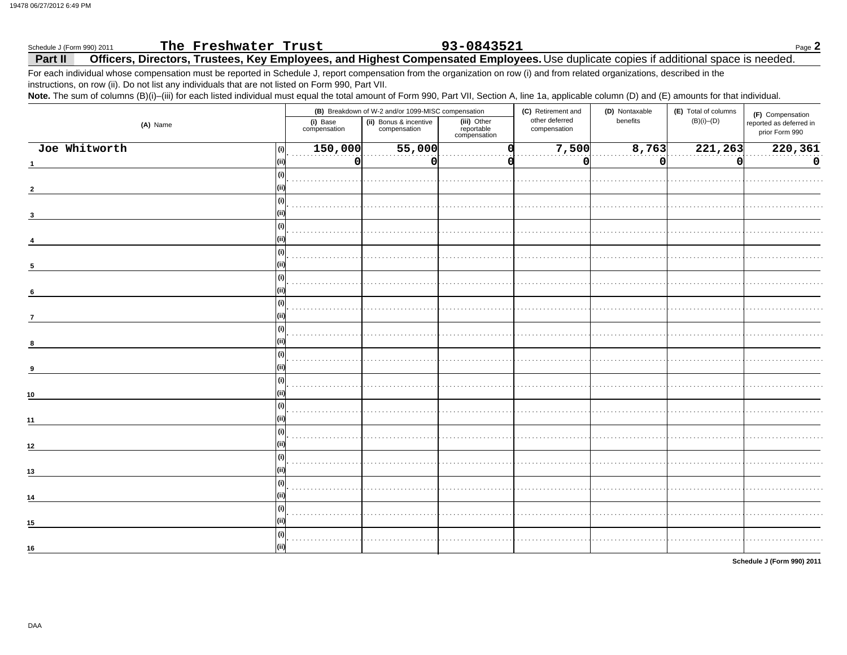### The Freshwater Trust 93-0843521 Page 2 Schedule J (Form 990) 2011 Officers, Directors, Trustees, Key Employees, and Highest Compensated Employees. Use duplicate copies if additional space is needed. Part II

For each individual whose compensation must be reported in Schedule J, report compensation from the organization on row (i) and from related organizations, described in the instructions, on row (ii). Do not list any individuals that are not listed on Form 990, Part VII.

Note. The sum of columns (B)(i)-(iii) for each listed individual must equal the total amount of Form 990, Part VII, Section A, line 1a, applicable column (D) and (E) amounts for that individual.

|                      |                          | (B) Breakdown of W-2 and/or 1099-MISC compensation |                                           | (C) Retirement and<br>(D) Nontaxable |          | (E) Total of columns | (F) Compensation                          |
|----------------------|--------------------------|----------------------------------------------------|-------------------------------------------|--------------------------------------|----------|----------------------|-------------------------------------------|
| (A) Name             | (i) Base<br>compensation | (ii) Bonus & incentive<br>compensation             | (iii) Other<br>reportable<br>compensation | other deferred<br>compensation       | benefits | $(B)(i)$ - $(D)$     | reported as deferred in<br>prior Form 990 |
| Joe Whitworth<br>(i) | 150,000                  | 55,000                                             |                                           | 7,500                                | 8,763    | 221,263              | 220,361                                   |
|                      | $\mathbf 0$              | 0                                                  |                                           | 0                                    | $\Omega$ | 0                    | $\mathbf 0$                               |
| (i)                  |                          |                                                    |                                           |                                      |          |                      |                                           |
|                      |                          |                                                    |                                           |                                      |          |                      |                                           |
| (i)                  |                          |                                                    |                                           |                                      |          |                      |                                           |
| 3                    |                          |                                                    |                                           |                                      |          |                      |                                           |
| (i)                  |                          |                                                    |                                           |                                      |          |                      |                                           |
|                      |                          |                                                    |                                           |                                      |          |                      |                                           |
| (i)                  |                          |                                                    |                                           |                                      |          |                      |                                           |
|                      |                          |                                                    |                                           |                                      |          |                      |                                           |
| (i)                  |                          |                                                    |                                           |                                      |          |                      |                                           |
| 6                    |                          |                                                    |                                           |                                      |          |                      |                                           |
| (i)                  |                          |                                                    |                                           |                                      |          |                      |                                           |
| $\overline{7}$       |                          |                                                    |                                           |                                      |          |                      |                                           |
| (i)                  |                          |                                                    |                                           |                                      |          |                      |                                           |
| 8                    |                          |                                                    |                                           |                                      |          |                      |                                           |
| (i)                  |                          |                                                    |                                           |                                      |          |                      |                                           |
| 9                    |                          |                                                    |                                           |                                      |          |                      |                                           |
| (i)                  |                          |                                                    |                                           |                                      |          |                      |                                           |
| 10                   |                          |                                                    |                                           |                                      |          |                      |                                           |
| (i)                  |                          |                                                    |                                           |                                      |          |                      |                                           |
| 11                   |                          |                                                    |                                           |                                      |          |                      |                                           |
| (i)                  |                          |                                                    |                                           |                                      |          |                      |                                           |
| 12                   |                          |                                                    |                                           |                                      |          |                      |                                           |
| (i)                  |                          |                                                    |                                           |                                      |          |                      |                                           |
| 13                   |                          |                                                    |                                           |                                      |          |                      |                                           |
| (i)                  |                          |                                                    |                                           |                                      |          |                      |                                           |
| 14                   |                          |                                                    |                                           |                                      |          |                      |                                           |
| (i)                  |                          |                                                    |                                           |                                      |          |                      |                                           |
| 15<br>(ii)           |                          |                                                    |                                           |                                      |          |                      |                                           |
| (i)                  |                          |                                                    |                                           |                                      |          |                      |                                           |
| 16                   |                          |                                                    |                                           |                                      |          |                      |                                           |

Schedule J (Form 990) 2011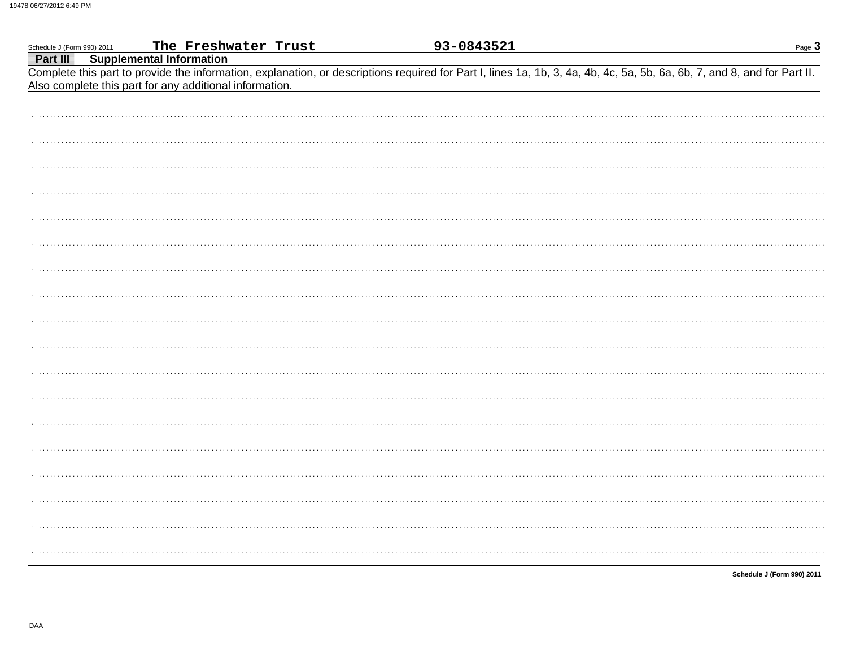| Schedule J (Form 990) 2011 | The Freshwater Trust                                    | 93-0843521                                                                                                                                                               | Page $3$ |
|----------------------------|---------------------------------------------------------|--------------------------------------------------------------------------------------------------------------------------------------------------------------------------|----------|
| Part III                   | <b>Supplemental Information</b>                         |                                                                                                                                                                          |          |
|                            |                                                         | Complete this part to provide the information, explanation, or descriptions required for Part I, lines 1a, 1b, 3, 4a, 4b, 4c, 5a, 5b, 6a, 6b, 7, and 8, and for Part II. |          |
|                            | Also complete this part for any additional information. |                                                                                                                                                                          |          |
|                            |                                                         |                                                                                                                                                                          |          |
|                            |                                                         |                                                                                                                                                                          |          |
|                            |                                                         |                                                                                                                                                                          |          |
|                            |                                                         |                                                                                                                                                                          |          |
|                            |                                                         |                                                                                                                                                                          |          |
|                            |                                                         |                                                                                                                                                                          |          |
|                            |                                                         |                                                                                                                                                                          |          |
|                            |                                                         |                                                                                                                                                                          |          |
|                            |                                                         |                                                                                                                                                                          |          |
|                            |                                                         |                                                                                                                                                                          |          |
|                            |                                                         |                                                                                                                                                                          |          |
|                            |                                                         |                                                                                                                                                                          |          |
|                            |                                                         |                                                                                                                                                                          |          |
|                            |                                                         |                                                                                                                                                                          |          |
|                            |                                                         |                                                                                                                                                                          |          |
|                            |                                                         |                                                                                                                                                                          |          |
|                            |                                                         |                                                                                                                                                                          |          |
|                            |                                                         |                                                                                                                                                                          |          |
|                            |                                                         |                                                                                                                                                                          |          |
|                            |                                                         |                                                                                                                                                                          |          |
|                            |                                                         |                                                                                                                                                                          |          |
|                            |                                                         |                                                                                                                                                                          |          |
|                            |                                                         |                                                                                                                                                                          |          |
|                            |                                                         |                                                                                                                                                                          |          |
|                            |                                                         |                                                                                                                                                                          |          |
|                            |                                                         |                                                                                                                                                                          |          |
|                            |                                                         |                                                                                                                                                                          |          |
|                            |                                                         |                                                                                                                                                                          |          |
|                            |                                                         |                                                                                                                                                                          |          |
|                            |                                                         |                                                                                                                                                                          |          |
|                            |                                                         |                                                                                                                                                                          |          |
|                            |                                                         |                                                                                                                                                                          |          |
|                            |                                                         |                                                                                                                                                                          |          |
|                            |                                                         |                                                                                                                                                                          |          |
|                            |                                                         |                                                                                                                                                                          |          |
|                            |                                                         |                                                                                                                                                                          |          |

Schedule J (Form 990) 2011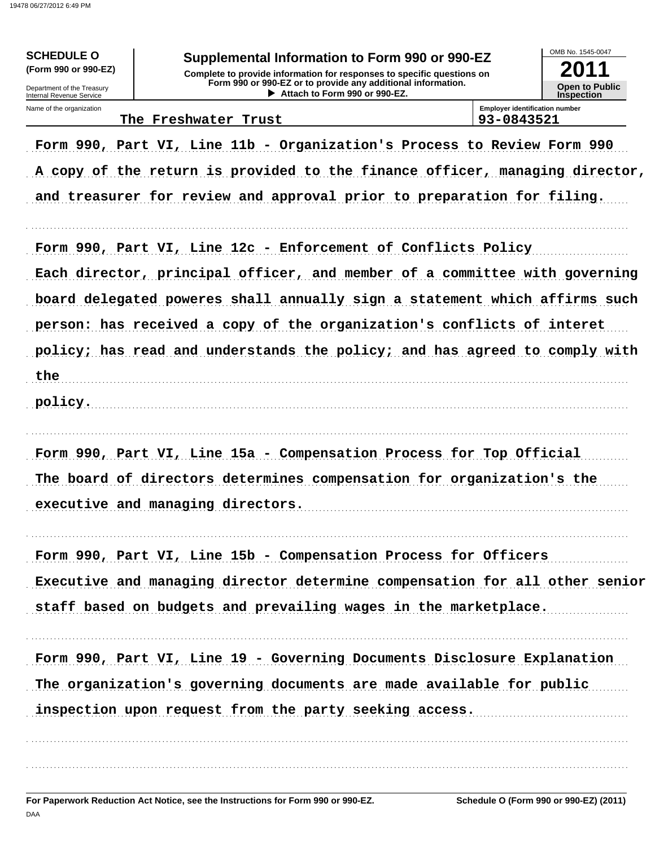19478 06/27/2012 6:49 PM

| <b>Emplover identification number</b><br>Name of the organization<br>93-0843521<br>The Freshwater Trust<br>Form 990, Part VI, Line 11b - Organization's Process to Review Form 990<br>A copy of the return is provided to the finance officer, managing director,<br>and treasurer for review and approval prior to preparation for filing.<br>Form 990, Part VI, Line 12c - Enforcement of Conflicts Policy<br>Each director, principal officer, and member of a committee with governing<br>board delegated poweres shall annually sign a statement which affirms such<br>person: has received a copy of the organization's conflicts of interet<br>policy; has read and understands the policy; and has agreed to comply with<br>the<br>policy.<br>Form 990, Part VI, Line 15a - Compensation Process for Top Official<br>The board of directors determines compensation for organization's the<br>executive and managing directors.<br>Form 990, Part VI, Line 15b - Compensation Process for Officers<br>Executive and managing director determine compensation for all other senior<br>staff based on budgets and prevailing wages in the marketplace.<br>Form 990, Part VI, Line 19 - Governing Documents Disclosure Explanation<br>The organization's governing documents are made available for public<br>inspection upon request from the party seeking access. | <b>SCHEDULE O</b><br>(Form 990 or 990-EZ)<br>Department of the Treasury<br>Internal Revenue Service | Supplemental Information to Form 990 or 990-EZ<br>Complete to provide information for responses to specific questions on<br>Form 990 or 990-EZ or to provide any additional information.<br>Attach to Form 990 or 990-EZ. | OMB No. 1545-0047<br>2011<br><b>Open to Public</b><br><b>Inspection</b> |
|---------------------------------------------------------------------------------------------------------------------------------------------------------------------------------------------------------------------------------------------------------------------------------------------------------------------------------------------------------------------------------------------------------------------------------------------------------------------------------------------------------------------------------------------------------------------------------------------------------------------------------------------------------------------------------------------------------------------------------------------------------------------------------------------------------------------------------------------------------------------------------------------------------------------------------------------------------------------------------------------------------------------------------------------------------------------------------------------------------------------------------------------------------------------------------------------------------------------------------------------------------------------------------------------------------------------------------------------------------------------------|-----------------------------------------------------------------------------------------------------|---------------------------------------------------------------------------------------------------------------------------------------------------------------------------------------------------------------------------|-------------------------------------------------------------------------|
|                                                                                                                                                                                                                                                                                                                                                                                                                                                                                                                                                                                                                                                                                                                                                                                                                                                                                                                                                                                                                                                                                                                                                                                                                                                                                                                                                                           |                                                                                                     |                                                                                                                                                                                                                           |                                                                         |
|                                                                                                                                                                                                                                                                                                                                                                                                                                                                                                                                                                                                                                                                                                                                                                                                                                                                                                                                                                                                                                                                                                                                                                                                                                                                                                                                                                           |                                                                                                     |                                                                                                                                                                                                                           |                                                                         |
|                                                                                                                                                                                                                                                                                                                                                                                                                                                                                                                                                                                                                                                                                                                                                                                                                                                                                                                                                                                                                                                                                                                                                                                                                                                                                                                                                                           |                                                                                                     |                                                                                                                                                                                                                           |                                                                         |
|                                                                                                                                                                                                                                                                                                                                                                                                                                                                                                                                                                                                                                                                                                                                                                                                                                                                                                                                                                                                                                                                                                                                                                                                                                                                                                                                                                           |                                                                                                     |                                                                                                                                                                                                                           |                                                                         |
|                                                                                                                                                                                                                                                                                                                                                                                                                                                                                                                                                                                                                                                                                                                                                                                                                                                                                                                                                                                                                                                                                                                                                                                                                                                                                                                                                                           |                                                                                                     |                                                                                                                                                                                                                           |                                                                         |
|                                                                                                                                                                                                                                                                                                                                                                                                                                                                                                                                                                                                                                                                                                                                                                                                                                                                                                                                                                                                                                                                                                                                                                                                                                                                                                                                                                           |                                                                                                     |                                                                                                                                                                                                                           |                                                                         |
|                                                                                                                                                                                                                                                                                                                                                                                                                                                                                                                                                                                                                                                                                                                                                                                                                                                                                                                                                                                                                                                                                                                                                                                                                                                                                                                                                                           |                                                                                                     |                                                                                                                                                                                                                           |                                                                         |
|                                                                                                                                                                                                                                                                                                                                                                                                                                                                                                                                                                                                                                                                                                                                                                                                                                                                                                                                                                                                                                                                                                                                                                                                                                                                                                                                                                           |                                                                                                     |                                                                                                                                                                                                                           |                                                                         |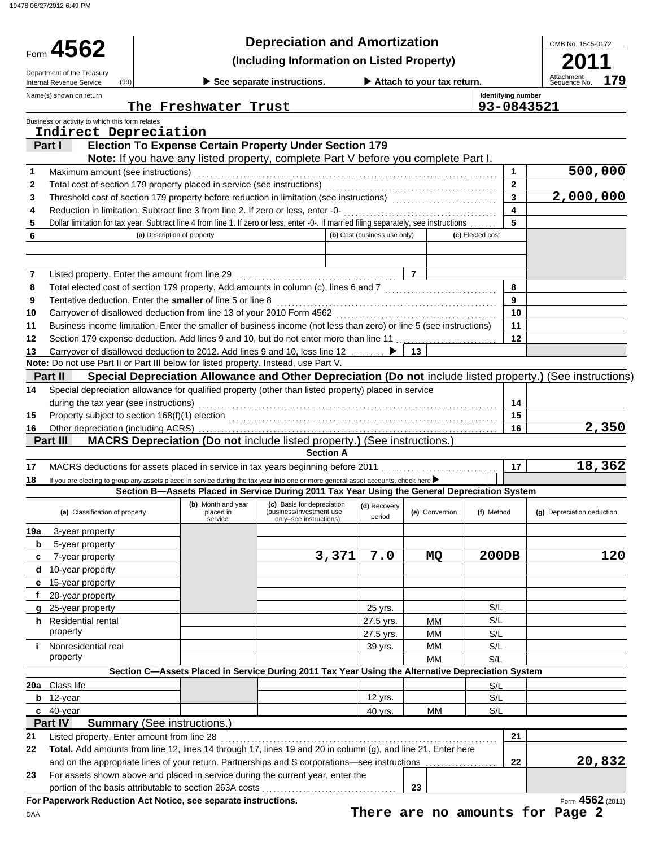19478 06/27/2012 6:49 PM

| Department of the Treasury                                               |                                                                                                                                                                                                                                    |                                                            | <b>Depreciation and Amortization</b> |                            |                  |                           | OMB No. 1545-0172                 |  |
|--------------------------------------------------------------------------|------------------------------------------------------------------------------------------------------------------------------------------------------------------------------------------------------------------------------------|------------------------------------------------------------|--------------------------------------|----------------------------|------------------|---------------------------|-----------------------------------|--|
|                                                                          | Form 4562<br>(Including Information on Listed Property)                                                                                                                                                                            |                                                            |                                      |                            |                  |                           |                                   |  |
| (99)<br>Internal Revenue Service                                         |                                                                                                                                                                                                                                    | See separate instructions.                                 |                                      | Attach to your tax return. |                  |                           | Attachment<br>Sequence No.<br>179 |  |
| Name(s) shown on return                                                  |                                                                                                                                                                                                                                    |                                                            |                                      |                            |                  | <b>Identifying number</b> |                                   |  |
|                                                                          | The Freshwater Trust                                                                                                                                                                                                               |                                                            |                                      |                            |                  |                           | 93-0843521                        |  |
| Business or activity to which this form relates<br>Indirect Depreciation |                                                                                                                                                                                                                                    |                                                            |                                      |                            |                  |                           |                                   |  |
| Part I                                                                   | <b>Election To Expense Certain Property Under Section 179</b>                                                                                                                                                                      |                                                            |                                      |                            |                  |                           |                                   |  |
|                                                                          | Note: If you have any listed property, complete Part V before you complete Part I.                                                                                                                                                 |                                                            |                                      |                            |                  |                           |                                   |  |
| Maximum amount (see instructions)<br>1                                   |                                                                                                                                                                                                                                    |                                                            |                                      |                            |                  | $\mathbf{1}$              | 500,000                           |  |
| 2                                                                        |                                                                                                                                                                                                                                    |                                                            |                                      |                            |                  | $\mathbf{2}$              |                                   |  |
| 3                                                                        |                                                                                                                                                                                                                                    |                                                            |                                      |                            |                  | $\overline{3}$            | 2,000,000                         |  |
| 4                                                                        |                                                                                                                                                                                                                                    |                                                            |                                      |                            |                  | $\overline{\mathbf{4}}$   |                                   |  |
| 5                                                                        | Dollar limitation for tax year. Subtract line 4 from line 1. If zero or less, enter -0-. If married filing separately, see instructions                                                                                            |                                                            |                                      |                            |                  | 5                         |                                   |  |
| 6                                                                        | (a) Description of property                                                                                                                                                                                                        |                                                            | (b) Cost (business use only)         |                            | (c) Elected cost |                           |                                   |  |
|                                                                          |                                                                                                                                                                                                                                    |                                                            |                                      |                            |                  |                           |                                   |  |
|                                                                          |                                                                                                                                                                                                                                    |                                                            |                                      |                            |                  |                           |                                   |  |
| 7<br>8                                                                   | Listed property. Enter the amount from line 29<br>Total elected cost of section 179 property. Add amounts in column (c), lines 6 and 7 [[[[[[[[[[[[[[[[[[[[[[[[                                                                    |                                                            |                                      | $\overline{7}$             |                  | 8                         |                                   |  |
| 9                                                                        | Tentative deduction. Enter the smaller of line 5 or line 8                                                                                                                                                                         |                                                            |                                      |                            |                  | 9                         |                                   |  |
| 10                                                                       |                                                                                                                                                                                                                                    |                                                            |                                      |                            |                  | 10                        |                                   |  |
| 11                                                                       | Business income limitation. Enter the smaller of business income (not less than zero) or line 5 (see instructions)                                                                                                                 |                                                            |                                      |                            |                  | 11                        |                                   |  |
| 12                                                                       | Section 179 expense deduction. Add lines 9 and 10, but do not enter more than line 11                                                                                                                                              |                                                            |                                      |                            |                  | 12                        |                                   |  |
| 13                                                                       | Carryover of disallowed deduction to 2012. Add lines 9 and 10, less line 12                                                                                                                                                        |                                                            |                                      | - 13                       |                  |                           |                                   |  |
|                                                                          | Note: Do not use Part II or Part III below for listed property. Instead, use Part V.                                                                                                                                               |                                                            |                                      |                            |                  |                           |                                   |  |
| Part II                                                                  | Special Depreciation Allowance and Other Depreciation (Do not include listed property.) (See instructions)                                                                                                                         |                                                            |                                      |                            |                  |                           |                                   |  |
| 14                                                                       | Special depreciation allowance for qualified property (other than listed property) placed in service                                                                                                                               |                                                            |                                      |                            |                  |                           |                                   |  |
| during the tax year (see instructions)                                   |                                                                                                                                                                                                                                    |                                                            |                                      |                            |                  | 14                        |                                   |  |
| 15                                                                       |                                                                                                                                                                                                                                    |                                                            |                                      |                            |                  | 15                        |                                   |  |
| Other depreciation (including ACRS)<br>16                                |                                                                                                                                                                                                                                    |                                                            |                                      |                            |                  | 16                        | 2,350                             |  |
| Part III                                                                 | MACRS Depreciation (Do not include listed property.) (See instructions.)                                                                                                                                                           |                                                            |                                      |                            |                  |                           |                                   |  |
|                                                                          |                                                                                                                                                                                                                                    | <b>Section A</b>                                           |                                      |                            |                  |                           |                                   |  |
| 17                                                                       | MACRS deductions for assets placed in service in tax years beginning before 2011                                                                                                                                                   |                                                            |                                      |                            |                  | 17                        | 18,362                            |  |
| 18                                                                       | If you are electing to group any assets placed in service during the tax year into one or more general asset accounts, check here<br>Section B-Assets Placed in Service During 2011 Tax Year Using the General Depreciation System |                                                            |                                      |                            |                  |                           |                                   |  |
|                                                                          |                                                                                                                                                                                                                                    | (b) Month and year (c) Basis for depreciation (d) Recovery |                                      |                            |                  |                           |                                   |  |
| (a) Classification of property                                           | placed in<br>service                                                                                                                                                                                                               | (business/investment use<br>only-see instructions)         | period                               | (e) Convention             | (f) Method       |                           | (g) Depreciation deduction        |  |
| 3-year property<br>19а                                                   |                                                                                                                                                                                                                                    |                                                            |                                      |                            |                  |                           |                                   |  |
| 5-year property<br>b                                                     |                                                                                                                                                                                                                                    |                                                            |                                      |                            |                  |                           |                                   |  |
| 7-year property<br>c                                                     |                                                                                                                                                                                                                                    | 3,371                                                      | 7.0                                  | MQ                         | <b>200DB</b>     |                           | 120                               |  |
| 10-year property<br>d                                                    |                                                                                                                                                                                                                                    |                                                            |                                      |                            |                  |                           |                                   |  |
| 15-year property<br>е                                                    |                                                                                                                                                                                                                                    |                                                            |                                      |                            |                  |                           |                                   |  |
| 20-year property                                                         |                                                                                                                                                                                                                                    |                                                            |                                      |                            |                  |                           |                                   |  |
| 25-year property<br>g                                                    |                                                                                                                                                                                                                                    |                                                            | 25 yrs.                              |                            | S/L              |                           |                                   |  |
| h Residential rental                                                     |                                                                                                                                                                                                                                    |                                                            | 27.5 yrs.                            | MМ                         | S/L              |                           |                                   |  |
| property                                                                 |                                                                                                                                                                                                                                    |                                                            | 27.5 yrs.                            | MМ                         | S/L              |                           |                                   |  |
| Nonresidential real<br>j.                                                |                                                                                                                                                                                                                                    |                                                            | 39 yrs.                              | MМ                         | S/L              |                           |                                   |  |
| property                                                                 |                                                                                                                                                                                                                                    |                                                            |                                      | MM                         | S/L              |                           |                                   |  |
|                                                                          | Section C-Assets Placed in Service During 2011 Tax Year Using the Alternative Depreciation System                                                                                                                                  |                                                            |                                      |                            |                  |                           |                                   |  |
| Class life<br>20a                                                        |                                                                                                                                                                                                                                    |                                                            |                                      |                            | S/L              |                           |                                   |  |
| $b$ 12-year                                                              |                                                                                                                                                                                                                                    |                                                            | 12 yrs.                              |                            | S/L              |                           |                                   |  |
| 40-year<br>C                                                             |                                                                                                                                                                                                                                    |                                                            | 40 yrs.                              | ΜМ                         | S/L              |                           |                                   |  |
| Part IV                                                                  | <b>Summary</b> (See instructions.)                                                                                                                                                                                                 |                                                            |                                      |                            |                  | 21                        |                                   |  |
|                                                                          |                                                                                                                                                                                                                                    |                                                            |                                      |                            |                  |                           |                                   |  |
| Listed property. Enter amount from line 28                               |                                                                                                                                                                                                                                    |                                                            |                                      |                            |                  |                           |                                   |  |
| 21<br>22                                                                 | Total. Add amounts from line 12, lines 14 through 17, lines 19 and 20 in column (g), and line 21. Enter here                                                                                                                       |                                                            |                                      |                            |                  |                           |                                   |  |
|                                                                          | and on the appropriate lines of your return. Partnerships and S corporations-see instructions                                                                                                                                      |                                                            |                                      |                            |                  | 22                        | 20,832                            |  |
| 23                                                                       | For assets shown above and placed in service during the current year, enter the<br>portion of the basis attributable to section 263A costs                                                                                         |                                                            |                                      | 23                         |                  |                           |                                   |  |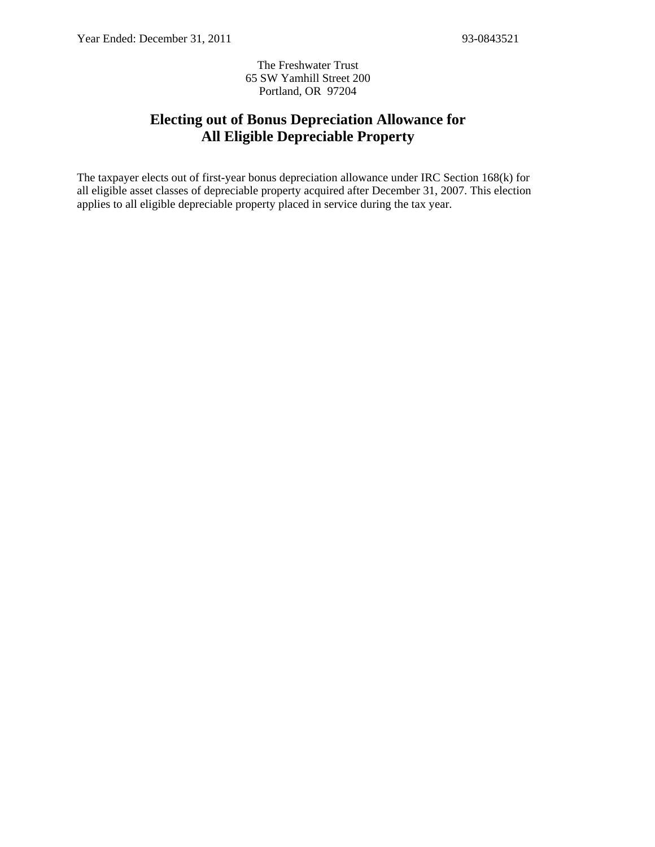The Freshwater Trust 65 SW Yamhill Street 200 Portland, OR 97204

## **Electing out of Bonus Depreciation Allowance for All Eligible Depreciable Property**

The taxpayer elects out of first-year bonus depreciation allowance under IRC Section 168(k) for all eligible asset classes of depreciable property acquired after December 31, 2007. This election applies to all eligible depreciable property placed in service during the tax year.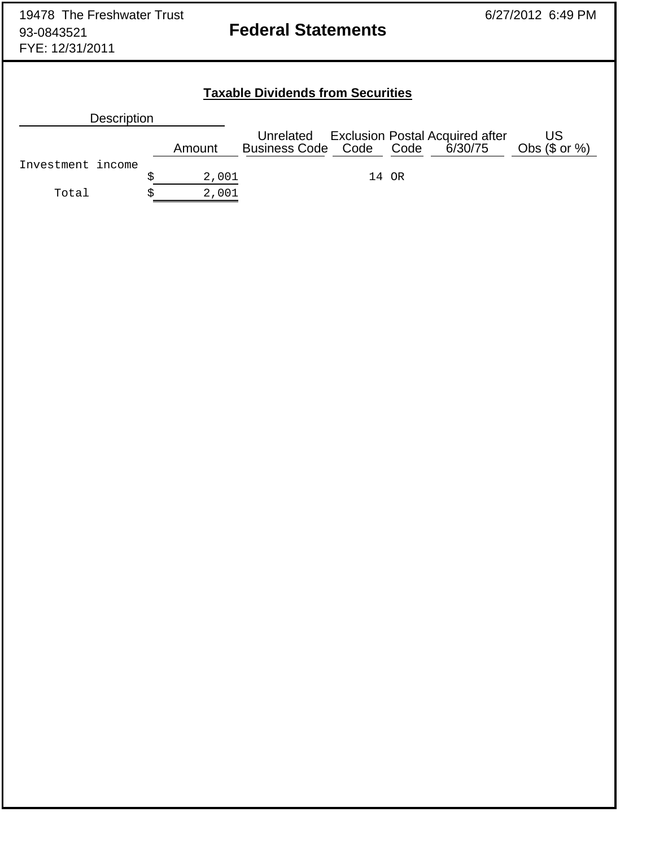# **Taxable Dividends from Securities**

| <b>Description</b> |        |                                 |       |                                           |                        |
|--------------------|--------|---------------------------------|-------|-------------------------------------------|------------------------|
|                    | Amount | Business Code Code Code 6/30/75 |       | Unrelated Exclusion Postal Acquired after | US<br>Obs $(\$$ or $%$ |
| Investment income  |        |                                 |       |                                           |                        |
|                    | 2,001  |                                 | 14 OR |                                           |                        |
| Total              | 2,001  |                                 |       |                                           |                        |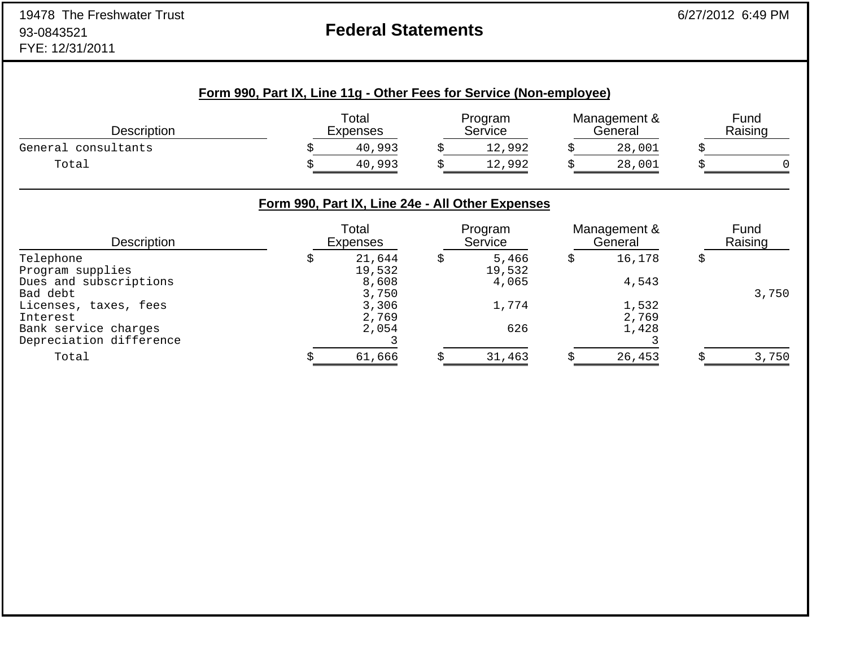# **Federal Statements**

|                                                         | Form 990, Part IX, Line 11g - Other Fees for Service (Non-employee) |                                                                              |    |                          |                         |                 |
|---------------------------------------------------------|---------------------------------------------------------------------|------------------------------------------------------------------------------|----|--------------------------|-------------------------|-----------------|
| <b>Description</b>                                      |                                                                     | Total<br><b>Expenses</b>                                                     |    | Program<br>Service       | Management &<br>General | Fund<br>Raising |
| General consultants                                     |                                                                     | 40,993                                                                       | S  | 12,992                   | 28,001                  |                 |
| Total                                                   |                                                                     | 40,993                                                                       |    | 12,992                   | 28,001                  |                 |
| <b>Description</b>                                      |                                                                     | Form 990, Part IX, Line 24e - All Other Expenses<br>Total<br><b>Expenses</b> |    | Program<br>Service       | Management &<br>General | Fund<br>Raising |
| Telephone<br>Program supplies<br>Dues and subscriptions | \$                                                                  | 21,644<br>19,532<br>8,608                                                    | \$ | 5,466<br>19,532<br>4,065 | 16,178<br>4,543         | \$              |
| Bad debt                                                |                                                                     | 3,750                                                                        |    |                          |                         | 3,750           |
| Licenses, taxes, fees<br>Interest                       |                                                                     | 3,306<br>2,769                                                               |    | 1,774                    | 1,532<br>2,769          |                 |
| Bank service charges                                    |                                                                     | 2,054                                                                        |    | 626                      | 1,428                   |                 |

Depreciation difference 3 3

Total \$ 61,666 \$ 31,463 \$ 26,453 \$ 3,750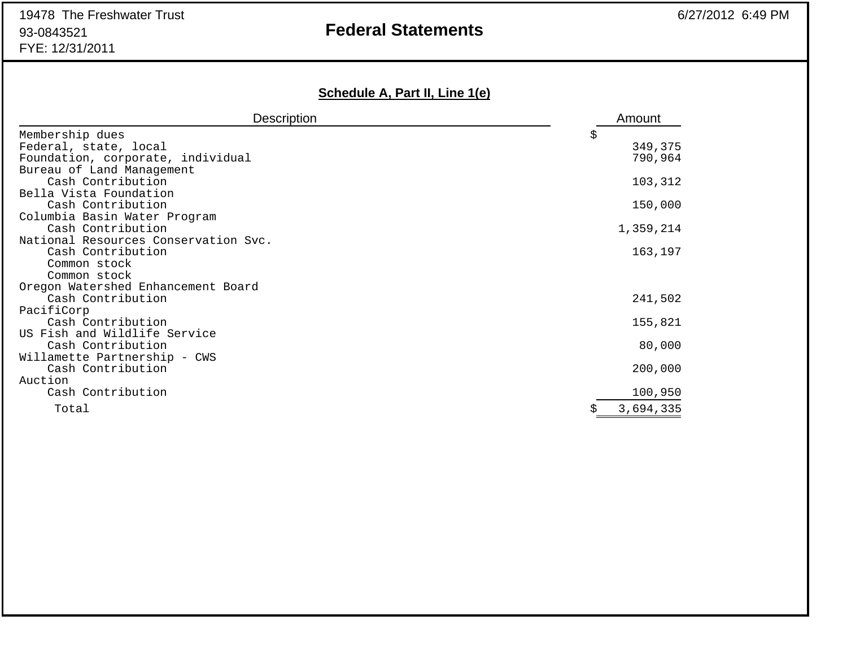# **Federal Statements**

# **Schedule A, Part II, Line 1(e)**

| <b>Description</b>                                | Amount    |
|---------------------------------------------------|-----------|
| Membership dues                                   | \$        |
| Federal, state, local                             | 349,375   |
| Foundation, corporate, individual                 | 790,964   |
| Bureau of Land Management                         |           |
| Cash Contribution                                 | 103,312   |
| Bella Vista Foundation                            |           |
| Cash Contribution                                 | 150,000   |
| Columbia Basin Water Program<br>Cash Contribution |           |
| National Resources Conservation Svc.              | 1,359,214 |
| Cash Contribution                                 | 163,197   |
| Common stock                                      |           |
| Common stock                                      |           |
| Oregon Watershed Enhancement Board                |           |
| Cash Contribution                                 | 241,502   |
| PacifiCorp                                        |           |
| Cash Contribution                                 | 155,821   |
| US Fish and Wildlife Service                      |           |
| Cash Contribution                                 | 80,000    |
| Willamette Partnership - CWS                      |           |
| Cash Contribution                                 | 200,000   |
| Auction<br>Cash Contribution                      |           |
|                                                   | 100,950   |
| Total                                             | 3,694,335 |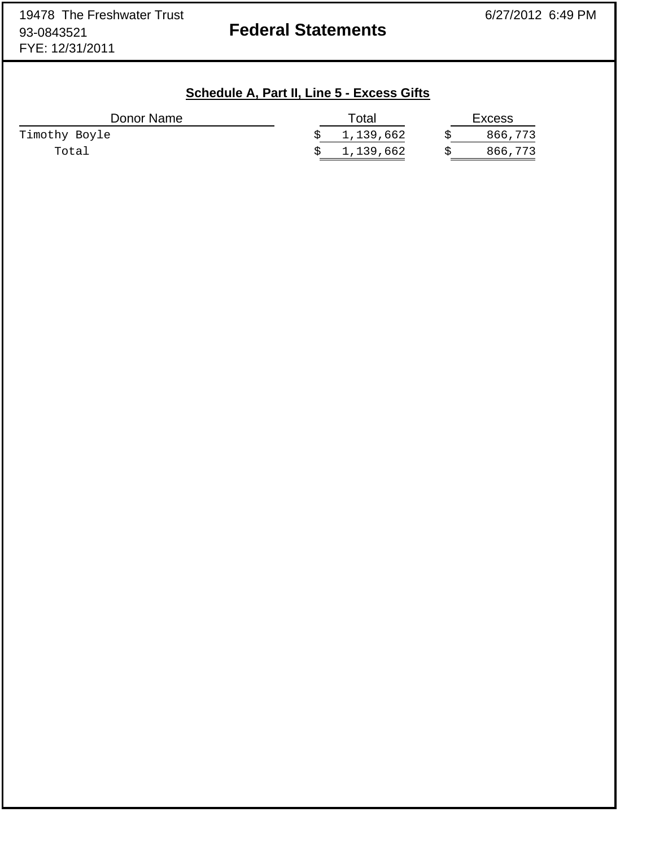## **Schedule A, Part II, Line 5 - Excess Gifts**

| Donor Name    | Total       | <b>Excess</b> |
|---------------|-------------|---------------|
| Timothy Boyle | \$1,139,662 | 866,773       |
| Total         | \$1,139,662 | 866,773       |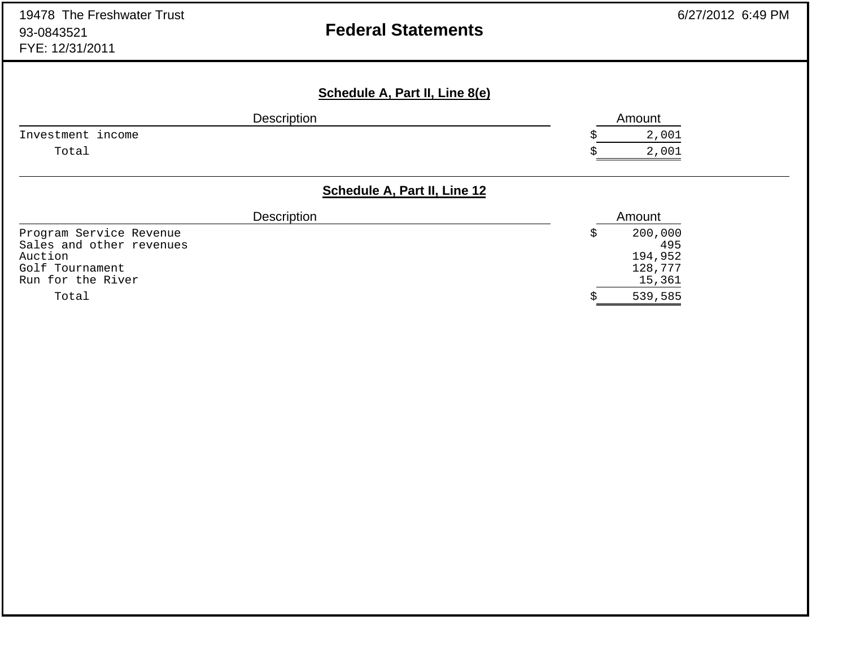| 19478 The Freshwater Trust<br>93-0843521<br>FYE: 12/31/2011 | <b>Federal Statements</b>             |   | 6/27/2012 6:49 PM |
|-------------------------------------------------------------|---------------------------------------|---|-------------------|
|                                                             | <b>Schedule A, Part II, Line 8(e)</b> |   |                   |
|                                                             | Description                           |   | Amount            |
| Investment income                                           |                                       |   | 2,001             |
| Total                                                       |                                       |   | 2,001             |
|                                                             | Schedule A, Part II, Line 12          |   |                   |
|                                                             | Description                           |   | Amount            |
| Program Service Revenue                                     |                                       | S | 200,000           |
| Sales and other revenues                                    |                                       |   | 495               |
| Auction                                                     |                                       |   | 194,952           |
| Golf Tournament<br>Run for the River                        |                                       |   | 128,777<br>15,361 |
| Total                                                       |                                       |   | 539,585           |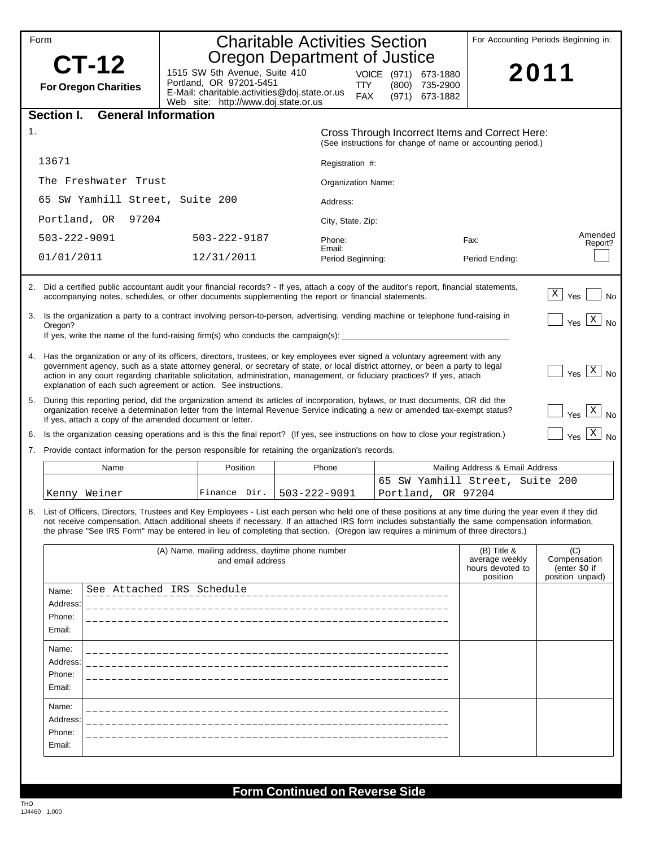| Form |                    |                                      |                                                                                                                                                                                                                                                                                                                                                                                                                                                                      |                   | <b>Charitable Activities Section</b><br>Oregon Department of Justice |                    |       |                                                    |                                                                                                                | For Accounting Periods Beginning in:                     |
|------|--------------------|--------------------------------------|----------------------------------------------------------------------------------------------------------------------------------------------------------------------------------------------------------------------------------------------------------------------------------------------------------------------------------------------------------------------------------------------------------------------------------------------------------------------|-------------------|----------------------------------------------------------------------|--------------------|-------|----------------------------------------------------|----------------------------------------------------------------------------------------------------------------|----------------------------------------------------------|
|      |                    | CT-12<br><b>For Oregon Charities</b> | 1515 SW 5th Avenue, Suite 410<br>Portland, OR 97201-5451<br>E-Mail: charitable.activities@doj.state.or.us<br>Web site: http://www.doj.state.or.us                                                                                                                                                                                                                                                                                                                    |                   |                                                                      | TTY.<br><b>FAX</b> | (800) | VOICE (971) 673-1880<br>735-2900<br>(971) 673-1882 |                                                                                                                | 2011                                                     |
|      | Section I.         | <b>General Information</b>           |                                                                                                                                                                                                                                                                                                                                                                                                                                                                      |                   |                                                                      |                    |       |                                                    |                                                                                                                |                                                          |
| 1.   |                    |                                      |                                                                                                                                                                                                                                                                                                                                                                                                                                                                      |                   |                                                                      |                    |       |                                                    | Cross Through Incorrect Items and Correct Here:<br>(See instructions for change of name or accounting period.) |                                                          |
|      | 13671              |                                      |                                                                                                                                                                                                                                                                                                                                                                                                                                                                      |                   | Registration #:                                                      |                    |       |                                                    |                                                                                                                |                                                          |
|      |                    | The Freshwater Trust                 |                                                                                                                                                                                                                                                                                                                                                                                                                                                                      |                   |                                                                      | Organization Name: |       |                                                    |                                                                                                                |                                                          |
|      |                    |                                      | 65 SW Yamhill Street, Suite 200                                                                                                                                                                                                                                                                                                                                                                                                                                      |                   | Address:                                                             |                    |       |                                                    |                                                                                                                |                                                          |
|      | Portland, OR       | 97204                                |                                                                                                                                                                                                                                                                                                                                                                                                                                                                      |                   | City, State, Zip:                                                    |                    |       |                                                    |                                                                                                                |                                                          |
|      | $503 - 222 - 9091$ |                                      | 503-222-9187                                                                                                                                                                                                                                                                                                                                                                                                                                                         |                   | Phone:                                                               |                    |       |                                                    | Fax:                                                                                                           | Amended<br>Report?                                       |
|      | 01/01/2011         |                                      | 12/31/2011                                                                                                                                                                                                                                                                                                                                                                                                                                                           |                   | Email:                                                               | Period Beginning:  |       |                                                    | Period Ending:                                                                                                 |                                                          |
|      |                    |                                      | 2. Did a certified public accountant audit your financial records? - If yes, attach a copy of the auditor's report, financial statements,<br>accompanying notes, schedules, or other documents supplementing the report or financial statements.                                                                                                                                                                                                                     |                   |                                                                      |                    |       |                                                    |                                                                                                                | X <br>Yes<br><b>No</b>                                   |
|      | Oregon?            |                                      | 3. Is the organization a party to a contract involving person-to-person, advertising, vending machine or telephone fund-raising in<br>If yes, write the name of the fund-raising firm(s) who conducts the campaign(s): _                                                                                                                                                                                                                                             |                   |                                                                      |                    |       |                                                    |                                                                                                                | $\mathbf{x}$<br>Yes<br><b>No</b>                         |
|      |                    |                                      | 4. Has the organization or any of its officers, directors, trustees, or key employees ever signed a voluntary agreement with any<br>government agency, such as a state attorney general, or secretary of state, or local district attorney, or been a party to legal<br>action in any court regarding charitable solicitation, administration, management, or fiduciary practices? If yes, attach<br>explanation of each such agreement or action. See instructions. |                   |                                                                      |                    |       |                                                    |                                                                                                                | $Yes$ $\overline{X}$<br><b>No</b>                        |
| 5.   |                    |                                      | During this reporting period, did the organization amend its articles of incorporation, bylaws, or trust documents, OR did the<br>organization receive a determination letter from the Internal Revenue Service indicating a new or amended tax-exempt status?<br>If yes, attach a copy of the amended document or letter.                                                                                                                                           |                   |                                                                      |                    |       |                                                    |                                                                                                                | $Yes \boxed{X}$<br><b>No</b>                             |
| 6.   |                    |                                      | Is the organization ceasing operations and is this the final report? (If yes, see instructions on how to close your registration.)                                                                                                                                                                                                                                                                                                                                   |                   |                                                                      |                    |       |                                                    |                                                                                                                | $\vert x \vert$<br>Yes<br><b>No</b>                      |
| 7.   |                    |                                      | Provide contact information for the person responsible for retaining the organization's records.                                                                                                                                                                                                                                                                                                                                                                     |                   |                                                                      |                    |       |                                                    |                                                                                                                |                                                          |
|      |                    | Name                                 |                                                                                                                                                                                                                                                                                                                                                                                                                                                                      | Position          | Phone                                                                |                    |       |                                                    | Mailing Address & Email Address                                                                                |                                                          |
|      |                    | Kenny Weiner                         | Finance Dir.                                                                                                                                                                                                                                                                                                                                                                                                                                                         |                   | $503 - 222 - 9091$                                                   |                    |       | Portland, OR 97204                                 | 65 SW Yamhill Street, Suite 200                                                                                |                                                          |
|      |                    |                                      | List of Officers, Directors, Trustees and Key Employees - List each person who held one of these positions at any time during the year even if they did<br>not receive compensation. Attach additional sheets if necessary. If an attached IRS form includes substantially the same compensation information,<br>the phrase "See IRS Form" may be entered in lieu of completing that section. (Oregon law requires a minimum of three directors.)                    |                   |                                                                      |                    |       |                                                    |                                                                                                                |                                                          |
|      |                    |                                      | (A) Name, mailing address, daytime phone number                                                                                                                                                                                                                                                                                                                                                                                                                      | and email address |                                                                      |                    |       |                                                    | $(B)$ Title &<br>average weekly<br>hours devoted to<br>position                                                | (C)<br>Compensation<br>(enter \$0 if<br>position unpaid) |
|      | Name:              |                                      | See Attached IRS Schedule                                                                                                                                                                                                                                                                                                                                                                                                                                            |                   |                                                                      |                    |       |                                                    |                                                                                                                |                                                          |
|      | Address:<br>Phone: |                                      |                                                                                                                                                                                                                                                                                                                                                                                                                                                                      |                   |                                                                      |                    |       |                                                    |                                                                                                                |                                                          |
|      | Email:             |                                      |                                                                                                                                                                                                                                                                                                                                                                                                                                                                      |                   |                                                                      |                    |       |                                                    |                                                                                                                |                                                          |
|      | Name:              |                                      |                                                                                                                                                                                                                                                                                                                                                                                                                                                                      |                   |                                                                      |                    |       |                                                    |                                                                                                                |                                                          |
|      | Address:<br>Phone: |                                      |                                                                                                                                                                                                                                                                                                                                                                                                                                                                      |                   |                                                                      |                    |       |                                                    |                                                                                                                |                                                          |
|      | Email:             |                                      |                                                                                                                                                                                                                                                                                                                                                                                                                                                                      |                   |                                                                      |                    |       |                                                    |                                                                                                                |                                                          |
|      | Name:              |                                      |                                                                                                                                                                                                                                                                                                                                                                                                                                                                      |                   |                                                                      |                    |       |                                                    |                                                                                                                |                                                          |
|      | Address:           |                                      |                                                                                                                                                                                                                                                                                                                                                                                                                                                                      |                   |                                                                      |                    |       |                                                    |                                                                                                                |                                                          |
|      | Phone:<br>Email:   |                                      |                                                                                                                                                                                                                                                                                                                                                                                                                                                                      |                   |                                                                      |                    |       |                                                    |                                                                                                                |                                                          |
|      |                    |                                      |                                                                                                                                                                                                                                                                                                                                                                                                                                                                      |                   |                                                                      |                    |       |                                                    |                                                                                                                |                                                          |

## **Form Continued on Reverse Side**